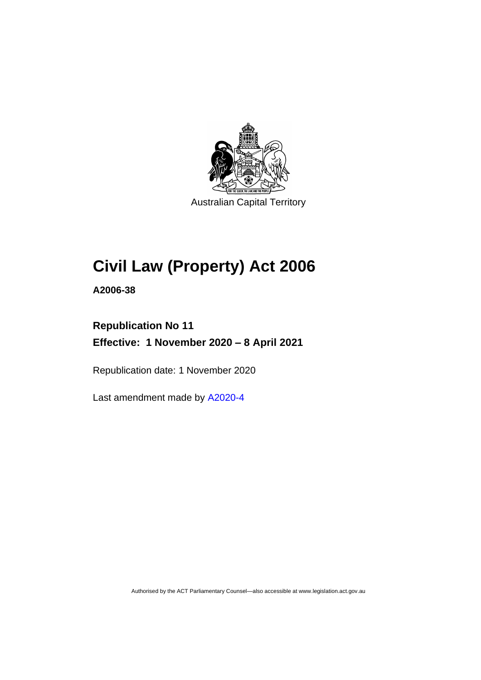

Australian Capital Territory

# **Civil Law (Property) Act 2006**

**A2006-38**

# **Republication No 11 Effective: 1 November 2020 – 8 April 2021**

Republication date: 1 November 2020

Last amendment made by [A2020-4](http://www.legislation.act.gov.au/a/2020-4/)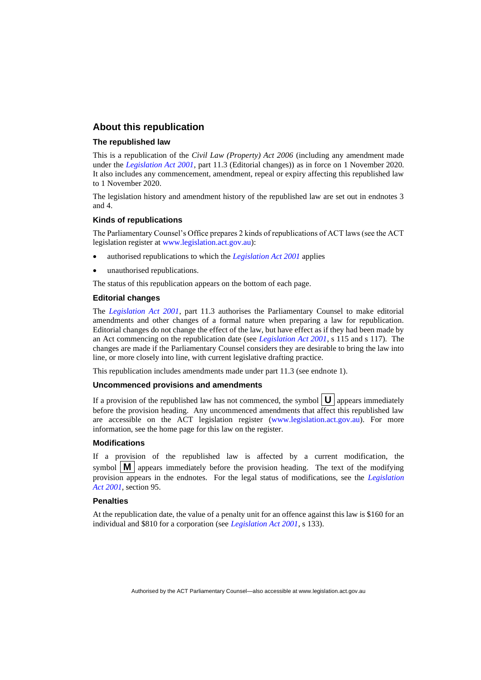#### **About this republication**

#### **The republished law**

This is a republication of the *Civil Law (Property) Act 2006* (including any amendment made under the *[Legislation Act 2001](http://www.legislation.act.gov.au/a/2001-14)*, part 11.3 (Editorial changes)) as in force on 1 November 2020*.*  It also includes any commencement, amendment, repeal or expiry affecting this republished law to 1 November 2020.

The legislation history and amendment history of the republished law are set out in endnotes 3 and 4.

#### **Kinds of republications**

The Parliamentary Counsel's Office prepares 2 kinds of republications of ACT laws (see the ACT legislation register at [www.legislation.act.gov.au\)](http://www.legislation.act.gov.au/):

- authorised republications to which the *[Legislation Act 2001](http://www.legislation.act.gov.au/a/2001-14)* applies
- unauthorised republications.

The status of this republication appears on the bottom of each page.

#### **Editorial changes**

The *[Legislation Act 2001](http://www.legislation.act.gov.au/a/2001-14)*, part 11.3 authorises the Parliamentary Counsel to make editorial amendments and other changes of a formal nature when preparing a law for republication. Editorial changes do not change the effect of the law, but have effect as if they had been made by an Act commencing on the republication date (see *[Legislation Act 2001](http://www.legislation.act.gov.au/a/2001-14)*, s 115 and s 117). The changes are made if the Parliamentary Counsel considers they are desirable to bring the law into line, or more closely into line, with current legislative drafting practice.

This republication includes amendments made under part 11.3 (see endnote 1).

#### **Uncommenced provisions and amendments**

If a provision of the republished law has not commenced, the symbol  $\mathbf{U}$  appears immediately before the provision heading. Any uncommenced amendments that affect this republished law are accessible on the ACT legislation register [\(www.legislation.act.gov.au\)](http://www.legislation.act.gov.au/). For more information, see the home page for this law on the register.

#### **Modifications**

If a provision of the republished law is affected by a current modification, the symbol  $\mathbf{M}$  appears immediately before the provision heading. The text of the modifying provision appears in the endnotes. For the legal status of modifications, see the *[Legislation](http://www.legislation.act.gov.au/a/2001-14)  Act [2001](http://www.legislation.act.gov.au/a/2001-14)*, section 95.

#### **Penalties**

At the republication date, the value of a penalty unit for an offence against this law is \$160 for an individual and \$810 for a corporation (see *[Legislation Act 2001](http://www.legislation.act.gov.au/a/2001-14)*, s 133).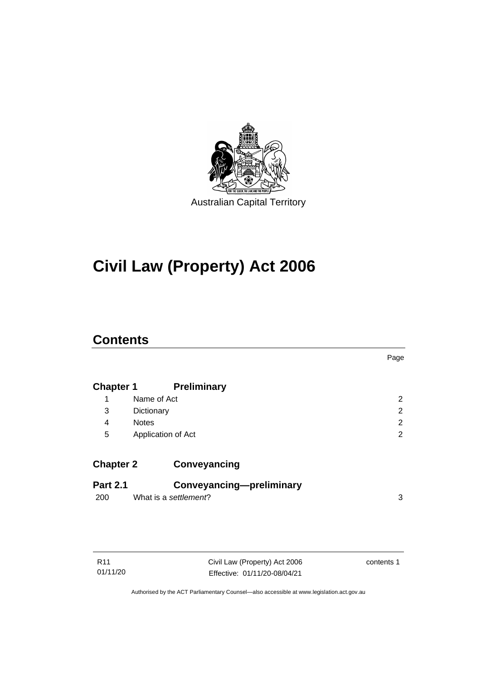

# **Civil Law (Property) Act 2006**

## **Contents**

|                  |                          | Page |
|------------------|--------------------------|------|
| <b>Chapter 1</b> | <b>Preliminary</b>       |      |
| 1                | Name of Act              | 2    |
| 3                | Dictionary               | 2    |
| 4                | <b>Notes</b>             | 2    |
| 5                | Application of Act       | 2    |
| <b>Chapter 2</b> | Conveyancing             |      |
| <b>Part 2.1</b>  | Conveyancing-preliminary |      |
| 200              | What is a settlement?    | 3    |
|                  |                          |      |

| R11      |  |
|----------|--|
| 01/11/20 |  |

Civil Law (Property) Act 2006 Effective: 01/11/20-08/04/21

contents 1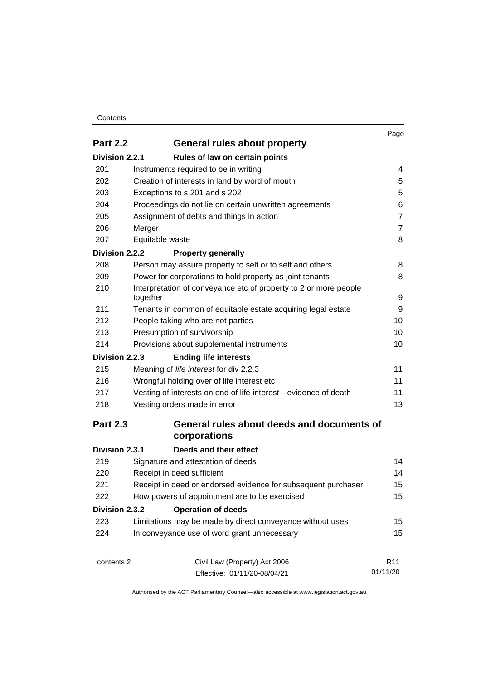#### **Contents**

|                 |                                                                              | Page            |
|-----------------|------------------------------------------------------------------------------|-----------------|
| <b>Part 2.2</b> | General rules about property                                                 |                 |
| Division 2.2.1  | Rules of law on certain points                                               |                 |
| 201             | Instruments required to be in writing                                        | 4               |
| 202             | Creation of interests in land by word of mouth                               | 5               |
| 203             | Exceptions to s 201 and s 202                                                | 5               |
| 204             | Proceedings do not lie on certain unwritten agreements                       | 6               |
| 205             | Assignment of debts and things in action                                     | $\overline{7}$  |
| 206             | Merger                                                                       | $\overline{7}$  |
| 207             | Equitable waste                                                              | 8               |
| Division 2.2.2  | <b>Property generally</b>                                                    |                 |
| 208             | Person may assure property to self or to self and others                     | 8               |
| 209             | Power for corporations to hold property as joint tenants                     | 8               |
| 210             | Interpretation of conveyance etc of property to 2 or more people<br>together | 9               |
| 211             | Tenants in common of equitable estate acquiring legal estate                 | 9               |
| 212             | People taking who are not parties                                            | 10              |
| 213             | Presumption of survivorship                                                  | 10              |
| 214             | Provisions about supplemental instruments                                    | 10              |
| Division 2.2.3  | <b>Ending life interests</b>                                                 |                 |
| 215             | Meaning of life interest for div 2.2.3                                       | 11              |
| 216             | Wrongful holding over of life interest etc                                   | 11              |
| 217             | Vesting of interests on end of life interest-evidence of death               | 11              |
| 218             | Vesting orders made in error                                                 | 13              |
| <b>Part 2.3</b> | General rules about deeds and documents of<br>corporations                   |                 |
| Division 2.3.1  | Deeds and their effect                                                       |                 |
| 219             | Signature and attestation of deeds                                           | 14              |
| 220             | Receipt in deed sufficient                                                   | 14              |
| 221             | Receipt in deed or endorsed evidence for subsequent purchaser                | 15              |
| 222             | How powers of appointment are to be exercised                                | 15              |
| Division 2.3.2  | <b>Operation of deeds</b>                                                    |                 |
| 223             | Limitations may be made by direct conveyance without uses                    | 15              |
| 224             | In conveyance use of word grant unnecessary                                  | 15              |
| contents 2      | Civil Law (Property) Act 2006                                                | R <sub>11</sub> |
|                 | Effective: 01/11/20-08/04/21                                                 | 01/11/20        |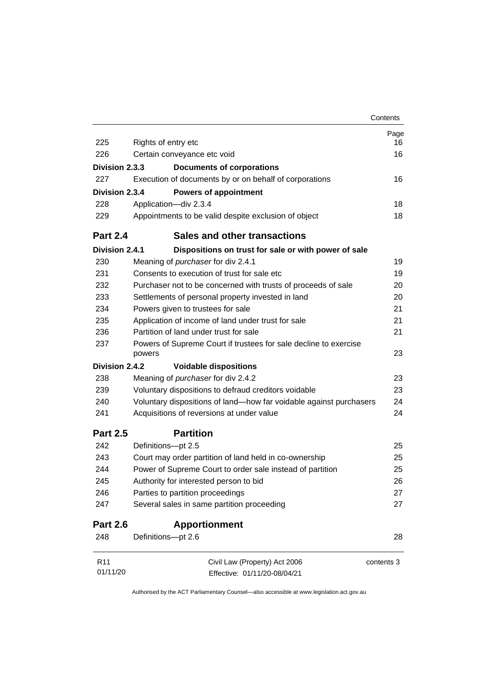|                 |                                                                            | Contents   |
|-----------------|----------------------------------------------------------------------------|------------|
|                 |                                                                            | Page       |
| 225             | Rights of entry etc                                                        | 16         |
| 226             | Certain conveyance etc void                                                | 16         |
| Division 2.3.3  | <b>Documents of corporations</b>                                           |            |
| 227             | Execution of documents by or on behalf of corporations                     | 16         |
| Division 2.3.4  | <b>Powers of appointment</b>                                               |            |
| 228             | Application-div 2.3.4                                                      | 18         |
| 229             | Appointments to be valid despite exclusion of object                       | 18         |
| <b>Part 2.4</b> | <b>Sales and other transactions</b>                                        |            |
| Division 2.4.1  | Dispositions on trust for sale or with power of sale                       |            |
| 230             | Meaning of <i>purchaser</i> for div 2.4.1                                  | 19         |
| 231             | Consents to execution of trust for sale etc                                | 19         |
| 232             | Purchaser not to be concerned with trusts of proceeds of sale              | 20         |
| 233             | Settlements of personal property invested in land                          | 20         |
| 234             | Powers given to trustees for sale                                          | 21         |
| 235             | Application of income of land under trust for sale                         | 21         |
| 236             | Partition of land under trust for sale                                     | 21         |
| 237             | Powers of Supreme Court if trustees for sale decline to exercise<br>powers | 23         |
| Division 2.4.2  | <b>Voidable dispositions</b>                                               |            |
| 238             | Meaning of <i>purchaser</i> for div 2.4.2                                  | 23         |
| 239             | Voluntary dispositions to defraud creditors voidable                       | 23         |
| 240             | Voluntary dispositions of land-how far voidable against purchasers         | 24         |
| 241             | Acquisitions of reversions at under value                                  | 24         |
| <b>Part 2.5</b> | <b>Partition</b>                                                           |            |
| 242             | Definitions-pt 2.5                                                         | 25         |
| 243             | Court may order partition of land held in co-ownership                     | 25         |
| 244             | Power of Supreme Court to order sale instead of partition                  | 25         |
| 245             | Authority for interested person to bid                                     | 26         |
| 246             | Parties to partition proceedings                                           | 27         |
| 247             | Several sales in same partition proceeding                                 | 27         |
| <b>Part 2.6</b> | <b>Apportionment</b>                                                       |            |
| 248             | Definitions-pt 2.6                                                         | 28         |
| R <sub>11</sub> | Civil Law (Property) Act 2006                                              | contents 3 |
| 01/11/20        | Effective: 01/11/20-08/04/21                                               |            |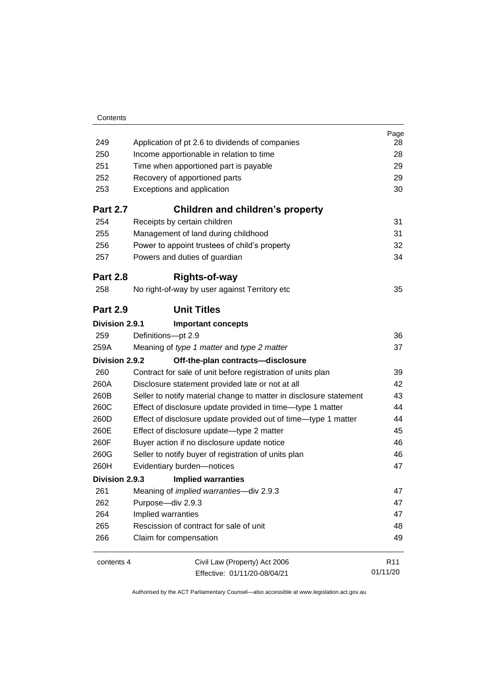| 249<br>250<br>251<br>252<br>253<br><b>Part 2.7</b><br>254 | Application of pt 2.6 to dividends of companies<br>Income apportionable in relation to time<br>Time when apportioned part is payable<br>Recovery of apportioned parts<br>Exceptions and application<br>Children and children's property<br>Receipts by certain children | Page<br>28<br>28<br>29<br>29<br>30<br>31 |
|-----------------------------------------------------------|-------------------------------------------------------------------------------------------------------------------------------------------------------------------------------------------------------------------------------------------------------------------------|------------------------------------------|
| 255                                                       | Management of land during childhood                                                                                                                                                                                                                                     | 31                                       |
| 256<br>257                                                | Power to appoint trustees of child's property<br>Powers and duties of guardian                                                                                                                                                                                          | 32<br>34                                 |
| <b>Part 2.8</b>                                           | <b>Rights-of-way</b>                                                                                                                                                                                                                                                    |                                          |
| 258                                                       | No right-of-way by user against Territory etc                                                                                                                                                                                                                           | 35                                       |
| <b>Part 2.9</b>                                           | <b>Unit Titles</b>                                                                                                                                                                                                                                                      |                                          |
| Division 2.9.1                                            | <b>Important concepts</b>                                                                                                                                                                                                                                               |                                          |
| 259                                                       | Definitions-pt 2.9                                                                                                                                                                                                                                                      | 36                                       |
| 259A                                                      | Meaning of type 1 matter and type 2 matter                                                                                                                                                                                                                              | 37                                       |
| Division 2.9.2                                            | Off-the-plan contracts-disclosure                                                                                                                                                                                                                                       |                                          |
| 260                                                       | Contract for sale of unit before registration of units plan                                                                                                                                                                                                             | 39                                       |
| 260A                                                      | Disclosure statement provided late or not at all                                                                                                                                                                                                                        | 42                                       |
| 260B                                                      | Seller to notify material change to matter in disclosure statement                                                                                                                                                                                                      | 43                                       |
| 260C                                                      | Effect of disclosure update provided in time-type 1 matter                                                                                                                                                                                                              | 44                                       |
| 260D                                                      | Effect of disclosure update provided out of time—type 1 matter                                                                                                                                                                                                          | 44                                       |
| 260E                                                      | Effect of disclosure update-type 2 matter                                                                                                                                                                                                                               | 45                                       |
| 260F                                                      | Buyer action if no disclosure update notice                                                                                                                                                                                                                             | 46                                       |
| 260G                                                      | Seller to notify buyer of registration of units plan                                                                                                                                                                                                                    | 46                                       |
| 260H                                                      | Evidentiary burden-notices                                                                                                                                                                                                                                              | 47                                       |
| Division 2.9.3                                            | <b>Implied warranties</b>                                                                                                                                                                                                                                               |                                          |
| 261                                                       | Meaning of <i>implied warranties</i> -div 2.9.3                                                                                                                                                                                                                         | 47                                       |
| 262                                                       | Purpose-div 2.9.3                                                                                                                                                                                                                                                       | 47                                       |
| 264                                                       | Implied warranties                                                                                                                                                                                                                                                      | 47                                       |
| 265                                                       | Rescission of contract for sale of unit                                                                                                                                                                                                                                 | 48                                       |
| 266                                                       | Claim for compensation                                                                                                                                                                                                                                                  | 49                                       |
| contents 4                                                | Civil Law (Property) Act 2006<br>Effective: 01/11/20-08/04/21                                                                                                                                                                                                           | R <sub>11</sub><br>01/11/20              |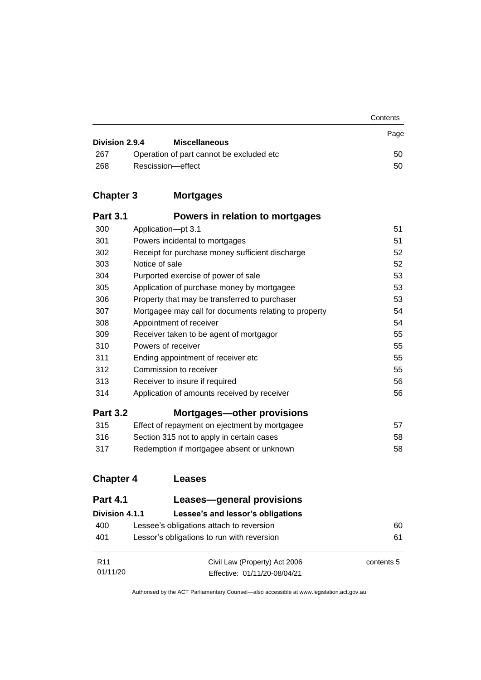|                |                                           | Contents |
|----------------|-------------------------------------------|----------|
| Division 2.9.4 | <b>Miscellaneous</b>                      | Page     |
| 267            | Operation of part cannot be excluded etc. | 50       |
| 268            | Rescission-effect                         | 50       |

# **Chapter 3 [Mortgages](#page-60-0)**

| <b>Part 3.1</b> | Powers in relation to mortgages                       |    |
|-----------------|-------------------------------------------------------|----|
| 300             | Application-pt 3.1                                    | 51 |
| 301             | Powers incidental to mortgages                        | 51 |
| 302             | Receipt for purchase money sufficient discharge       | 52 |
| 303             | Notice of sale                                        | 52 |
| 304             | Purported exercise of power of sale                   | 53 |
| 305             | Application of purchase money by mortgagee            | 53 |
| 306             | Property that may be transferred to purchaser         | 53 |
| 307             | Mortgagee may call for documents relating to property | 54 |
| 308             | Appointment of receiver                               | 54 |
| 309             | Receiver taken to be agent of mortgagor               | 55 |
| 310             | Powers of receiver                                    | 55 |
| 311             | Ending appointment of receiver etc                    | 55 |
| 312             | Commission to receiver                                | 55 |
| 313             | Receiver to insure if required                        | 56 |
| 314             | Application of amounts received by receiver           | 56 |
| <b>Part 3.2</b> | <b>Mortgages-other provisions</b>                     |    |
| 315             | Effect of repayment on ejectment by mortgagee         | 57 |
| 316             | Section 315 not to apply in certain cases             | 58 |
| 317             | Redemption if mortgagee absent or unknown             | 58 |

## **[Chapter 4](#page-69-0) Leases**

| <b>Part 4.1</b> | Leases-general provisions                  |            |
|-----------------|--------------------------------------------|------------|
| Division 4.1.1  | Lessee's and lessor's obligations          |            |
| 400             | Lessee's obligations attach to reversion   | 60         |
| 401             | Lessor's obligations to run with reversion | 61         |
|                 |                                            |            |
| R <sub>11</sub> | Civil Law (Property) Act 2006              | contents 5 |
| 01/11/20        | Effective: 01/11/20-08/04/21               |            |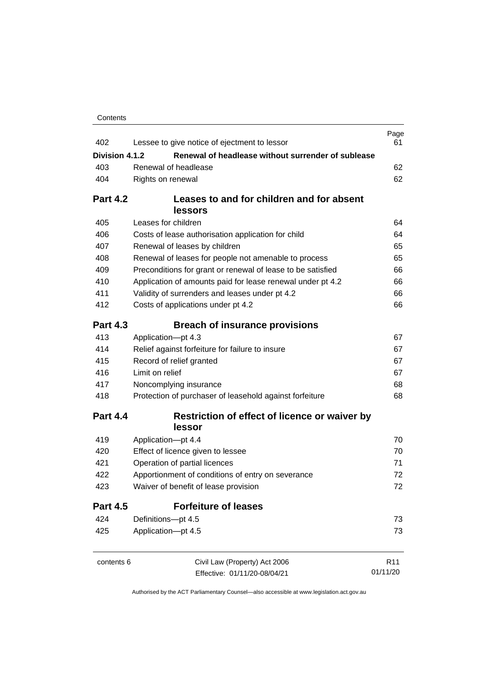| Contents |
|----------|
|----------|

| 402             | Lessee to give notice of ejectment to lessor                | Page<br>61      |
|-----------------|-------------------------------------------------------------|-----------------|
| Division 4.1.2  | Renewal of headlease without surrender of sublease          |                 |
| 403             | Renewal of headlease                                        | 62              |
| 404             | Rights on renewal                                           | 62              |
|                 |                                                             |                 |
| <b>Part 4.2</b> | Leases to and for children and for absent                   |                 |
|                 | <b>lessors</b>                                              |                 |
| 405             | Leases for children                                         | 64              |
| 406             | Costs of lease authorisation application for child          | 64              |
| 407             | Renewal of leases by children                               | 65              |
| 408             | Renewal of leases for people not amenable to process        | 65              |
| 409             | Preconditions for grant or renewal of lease to be satisfied | 66              |
| 410             | Application of amounts paid for lease renewal under pt 4.2  | 66              |
| 411             | Validity of surrenders and leases under pt 4.2              | 66              |
| 412             | Costs of applications under pt 4.2                          | 66              |
| <b>Part 4.3</b> | <b>Breach of insurance provisions</b>                       |                 |
| 413             | Application-pt 4.3                                          | 67              |
| 414             | Relief against forfeiture for failure to insure             | 67              |
| 415             | Record of relief granted                                    | 67              |
| 416             | Limit on relief                                             | 67              |
| 417             | Noncomplying insurance                                      | 68              |
| 418             | Protection of purchaser of leasehold against forfeiture     | 68              |
| <b>Part 4.4</b> | Restriction of effect of licence or waiver by<br>lessor     |                 |
| 419             | Application-pt 4.4                                          | 70              |
| 420             | Effect of licence given to lessee                           | 70              |
| 421             | Operation of partial licences                               | 71              |
| 422             | Apportionment of conditions of entry on severance           | 72              |
| 423             | Waiver of benefit of lease provision                        | 72              |
| <b>Part 4.5</b> | <b>Forfeiture of leases</b>                                 |                 |
| 424             | Definitions-pt 4.5                                          | 73              |
| 425             | Application-pt 4.5                                          | 73              |
| contents 6      | Civil Law (Property) Act 2006                               | R <sub>11</sub> |
|                 | Effective: 01/11/20-08/04/21                                | 01/11/20        |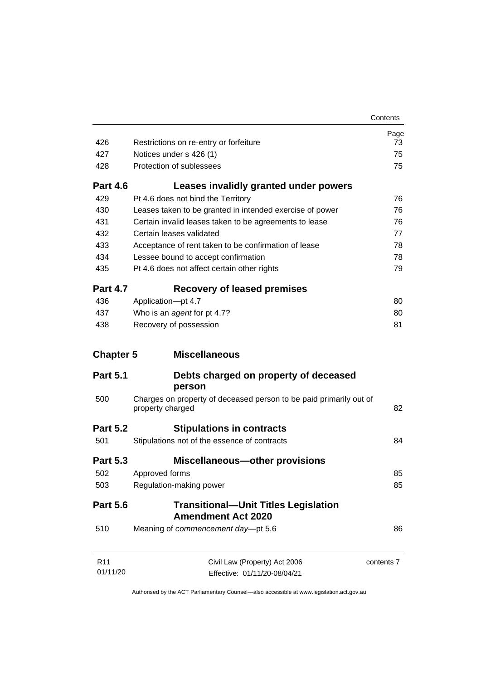|                             |                                                                                        | Contents   |
|-----------------------------|----------------------------------------------------------------------------------------|------------|
|                             |                                                                                        | Page       |
| 426                         | Restrictions on re-entry or forfeiture                                                 | 73         |
| 427                         | Notices under s 426 (1)                                                                | 75         |
| 428                         | Protection of sublessees                                                               | 75         |
| <b>Part 4.6</b>             | Leases invalidly granted under powers                                                  |            |
| 429                         | Pt 4.6 does not bind the Territory                                                     | 76         |
| 430                         | Leases taken to be granted in intended exercise of power                               | 76         |
| 431                         | Certain invalid leases taken to be agreements to lease                                 | 76         |
| 432                         | Certain leases validated                                                               | 77         |
| 433                         | Acceptance of rent taken to be confirmation of lease                                   | 78         |
| 434                         | Lessee bound to accept confirmation                                                    | 78         |
| 435                         | Pt 4.6 does not affect certain other rights                                            | 79         |
| <b>Part 4.7</b>             | <b>Recovery of leased premises</b>                                                     |            |
| 436                         | Application-pt 4.7                                                                     | 80         |
| 437                         | Who is an agent for pt 4.7?                                                            | 80         |
| 438                         | Recovery of possession                                                                 | 81         |
| <b>Chapter 5</b>            | <b>Miscellaneous</b>                                                                   |            |
| <b>Part 5.1</b>             | Debts charged on property of deceased                                                  |            |
|                             | person                                                                                 |            |
| 500                         | Charges on property of deceased person to be paid primarily out of<br>property charged | 82         |
| <b>Part 5.2</b>             | <b>Stipulations in contracts</b>                                                       |            |
| 501                         | Stipulations not of the essence of contracts                                           | 84         |
| <b>Part 5.3</b>             | <b>Miscellaneous-other provisions</b>                                                  |            |
| 502                         | Approved forms                                                                         | 85         |
| 503                         | Regulation-making power                                                                | 85         |
| <b>Part 5.6</b>             | <b>Transitional-Unit Titles Legislation</b><br><b>Amendment Act 2020</b>               |            |
| 510                         | Meaning of commencement day-pt 5.6                                                     | 86         |
| R <sub>11</sub><br>01/11/20 | Civil Law (Property) Act 2006                                                          | contents 7 |
|                             | Effective: 01/11/20-08/04/21                                                           |            |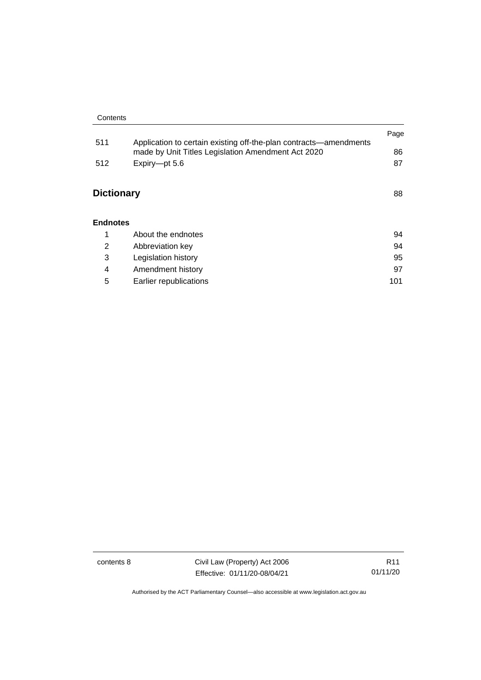|                   |                                                                                                                         | Page |
|-------------------|-------------------------------------------------------------------------------------------------------------------------|------|
| 511               | Application to certain existing off-the-plan contracts—amendments<br>made by Unit Titles Legislation Amendment Act 2020 | 86   |
| 512               | Expiry-pt 5.6                                                                                                           | 87   |
| <b>Dictionary</b> |                                                                                                                         | 88   |
| <b>Endnotes</b>   |                                                                                                                         |      |
| 1                 | About the endnotes                                                                                                      | 94   |
| 2                 | Abbreviation key                                                                                                        | 94   |
| 3                 | Legislation history                                                                                                     | 95   |
| 4                 | Amendment history                                                                                                       | 97   |

5 [Earlier republications](#page-110-0) 101

contents 8 Civil Law (Property) Act 2006 Effective: 01/11/20-08/04/21

R11 01/11/20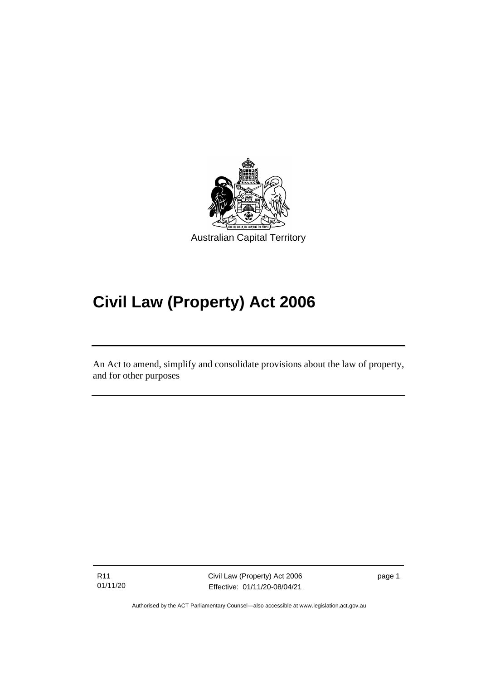

# **Civil Law (Property) Act 2006**

An Act to amend, simplify and consolidate provisions about the law of property, and for other purposes

R11 01/11/20

ׅ֖֖֚֚֡֡֬֝֬

Civil Law (Property) Act 2006 Effective: 01/11/20-08/04/21

page 1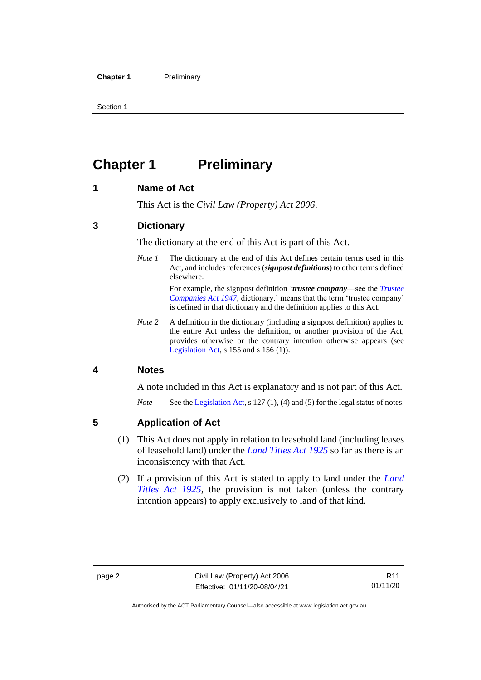# <span id="page-11-0"></span>**Chapter 1 Preliminary**

#### <span id="page-11-1"></span>**1 Name of Act**

This Act is the *Civil Law (Property) Act 2006*.

#### <span id="page-11-2"></span>**3 Dictionary**

The dictionary at the end of this Act is part of this Act.

*Note 1* The dictionary at the end of this Act defines certain terms used in this Act, and includes references (*signpost definitions*) to other terms defined elsewhere.

> For example, the signpost definition '*trustee company*—see the *[Trustee](http://www.legislation.act.gov.au/a/1947-15)  [Companies Act 1947](http://www.legislation.act.gov.au/a/1947-15)*, dictionary.' means that the term 'trustee company' is defined in that dictionary and the definition applies to this Act.

*Note 2* A definition in the dictionary (including a signpost definition) applies to the entire Act unless the definition, or another provision of the Act, provides otherwise or the contrary intention otherwise appears (see [Legislation Act,](http://www.legislation.act.gov.au/a/2001-14) s  $155$  and s  $156$  (1)).

#### <span id="page-11-3"></span>**4 Notes**

A note included in this Act is explanatory and is not part of this Act.

*Note* See the [Legislation Act,](http://www.legislation.act.gov.au/a/2001-14) s 127 (1), (4) and (5) for the legal status of notes.

#### <span id="page-11-4"></span>**5 Application of Act**

- (1) This Act does not apply in relation to leasehold land (including leases of leasehold land) under the *[Land Titles Act](http://www.legislation.act.gov.au/a/1925-1) 1925* so far as there is an inconsistency with that Act.
- (2) If a provision of this Act is stated to apply to land under the *[Land](http://www.legislation.act.gov.au/a/1925-1)  [Titles Act 1925](http://www.legislation.act.gov.au/a/1925-1)*, the provision is not taken (unless the contrary intention appears) to apply exclusively to land of that kind.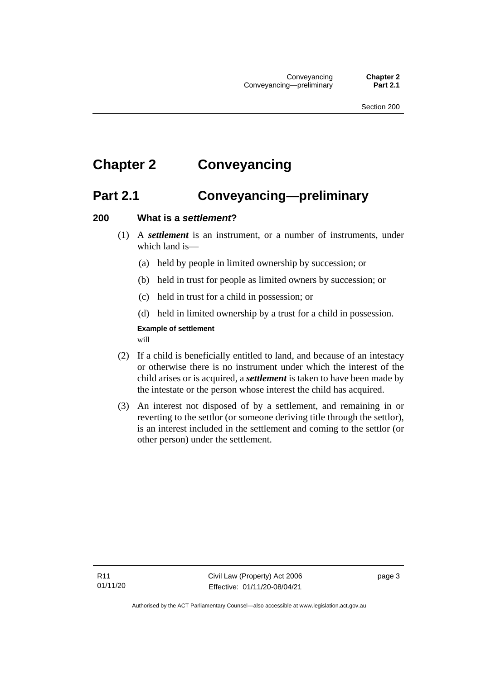# <span id="page-12-1"></span><span id="page-12-0"></span>**Chapter 2 Conveyancing**

## **Part 2.1 Conveyancing—preliminary**

#### <span id="page-12-2"></span>**200 What is a** *settlement***?**

- (1) A *settlement* is an instrument, or a number of instruments, under which land is—
	- (a) held by people in limited ownership by succession; or
	- (b) held in trust for people as limited owners by succession; or
	- (c) held in trust for a child in possession; or
	- (d) held in limited ownership by a trust for a child in possession.

## **Example of settlement**

will

- (2) If a child is beneficially entitled to land, and because of an intestacy or otherwise there is no instrument under which the interest of the child arises or is acquired, a *settlement* is taken to have been made by the intestate or the person whose interest the child has acquired.
- (3) An interest not disposed of by a settlement, and remaining in or reverting to the settlor (or someone deriving title through the settlor), is an interest included in the settlement and coming to the settlor (or other person) under the settlement.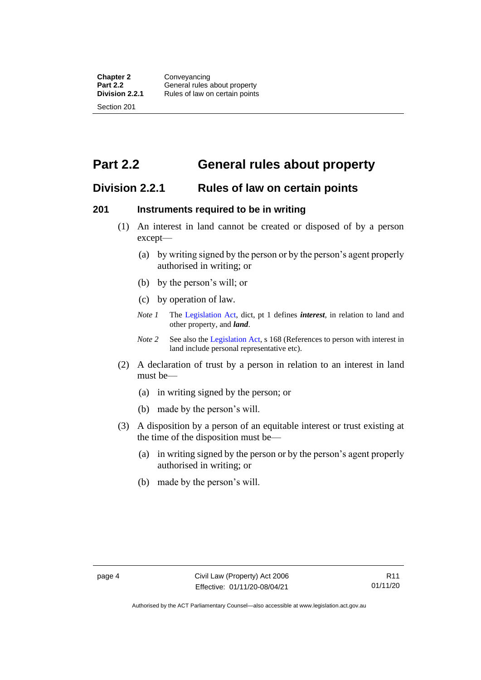<span id="page-13-0"></span>**Part 2.2 General rules about property**

## <span id="page-13-1"></span>**Division 2.2.1 Rules of law on certain points**

#### <span id="page-13-2"></span>**201 Instruments required to be in writing**

- (1) An interest in land cannot be created or disposed of by a person except—
	- (a) by writing signed by the person or by the person's agent properly authorised in writing; or
	- (b) by the person's will; or
	- (c) by operation of law.
	- *Note 1* The [Legislation Act,](http://www.legislation.act.gov.au/a/2001-14) dict, pt 1 defines *interest*, in relation to land and other property, and *land*.
	- *Note 2* See also the [Legislation Act,](http://www.legislation.act.gov.au/a/2001-14) s 168 (References to person with interest in land include personal representative etc).
- (2) A declaration of trust by a person in relation to an interest in land must be—
	- (a) in writing signed by the person; or
	- (b) made by the person's will.
- (3) A disposition by a person of an equitable interest or trust existing at the time of the disposition must be—
	- (a) in writing signed by the person or by the person's agent properly authorised in writing; or
	- (b) made by the person's will.

Authorised by the ACT Parliamentary Counsel—also accessible at www.legislation.act.gov.au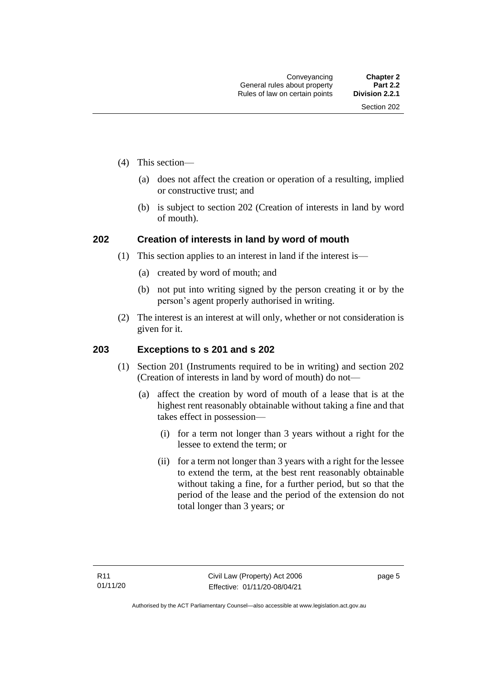- (4) This section—
	- (a) does not affect the creation or operation of a resulting, implied or constructive trust; and
	- (b) is subject to section 202 (Creation of interests in land by word of mouth).

#### <span id="page-14-0"></span>**202 Creation of interests in land by word of mouth**

- (1) This section applies to an interest in land if the interest is—
	- (a) created by word of mouth; and
	- (b) not put into writing signed by the person creating it or by the person's agent properly authorised in writing.
- (2) The interest is an interest at will only, whether or not consideration is given for it.

#### <span id="page-14-1"></span>**203 Exceptions to s 201 and s 202**

- (1) Section 201 (Instruments required to be in writing) and section 202 (Creation of interests in land by word of mouth) do not—
	- (a) affect the creation by word of mouth of a lease that is at the highest rent reasonably obtainable without taking a fine and that takes effect in possession—
		- (i) for a term not longer than 3 years without a right for the lessee to extend the term; or
		- (ii) for a term not longer than 3 years with a right for the lessee to extend the term, at the best rent reasonably obtainable without taking a fine, for a further period, but so that the period of the lease and the period of the extension do not total longer than 3 years; or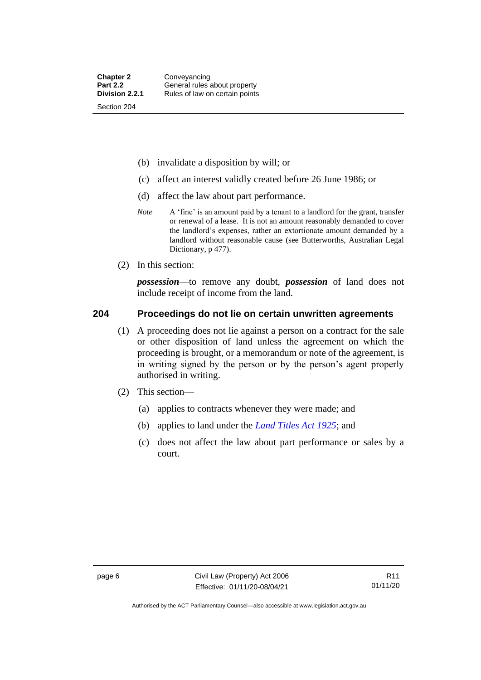- (b) invalidate a disposition by will; or
- (c) affect an interest validly created before 26 June 1986; or
- (d) affect the law about part performance.
- *Note* A 'fine' is an amount paid by a tenant to a landlord for the grant, transfer or renewal of a lease. It is not an amount reasonably demanded to cover the landlord's expenses, rather an extortionate amount demanded by a landlord without reasonable cause (see Butterworths, Australian Legal Dictionary, p 477).
- (2) In this section:

*possession*—to remove any doubt, *possession* of land does not include receipt of income from the land.

#### <span id="page-15-0"></span>**204 Proceedings do not lie on certain unwritten agreements**

- (1) A proceeding does not lie against a person on a contract for the sale or other disposition of land unless the agreement on which the proceeding is brought, or a memorandum or note of the agreement, is in writing signed by the person or by the person's agent properly authorised in writing.
- (2) This section—
	- (a) applies to contracts whenever they were made; and
	- (b) applies to land under the *[Land Titles Act 1925](http://www.legislation.act.gov.au/a/1925-1)*; and
	- (c) does not affect the law about part performance or sales by a court.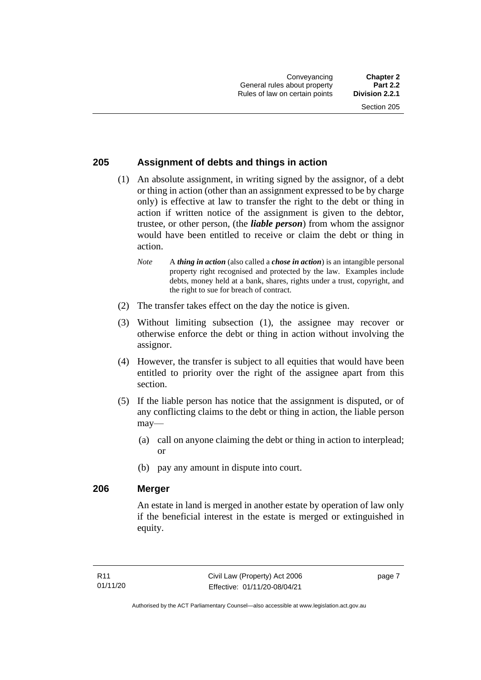#### <span id="page-16-0"></span>**205 Assignment of debts and things in action**

- (1) An absolute assignment, in writing signed by the assignor, of a debt or thing in action (other than an assignment expressed to be by charge only) is effective at law to transfer the right to the debt or thing in action if written notice of the assignment is given to the debtor, trustee, or other person, (the *liable person*) from whom the assignor would have been entitled to receive or claim the debt or thing in action.
	- *Note* A *thing in action* (also called a *chose in action*) is an intangible personal property right recognised and protected by the law. Examples include debts, money held at a bank, shares, rights under a trust, copyright, and the right to sue for breach of contract.
- (2) The transfer takes effect on the day the notice is given.
- (3) Without limiting subsection (1), the assignee may recover or otherwise enforce the debt or thing in action without involving the assignor.
- (4) However, the transfer is subject to all equities that would have been entitled to priority over the right of the assignee apart from this section.
- (5) If the liable person has notice that the assignment is disputed, or of any conflicting claims to the debt or thing in action, the liable person may—
	- (a) call on anyone claiming the debt or thing in action to interplead; or
	- (b) pay any amount in dispute into court.

#### <span id="page-16-1"></span>**206 Merger**

An estate in land is merged in another estate by operation of law only if the beneficial interest in the estate is merged or extinguished in equity.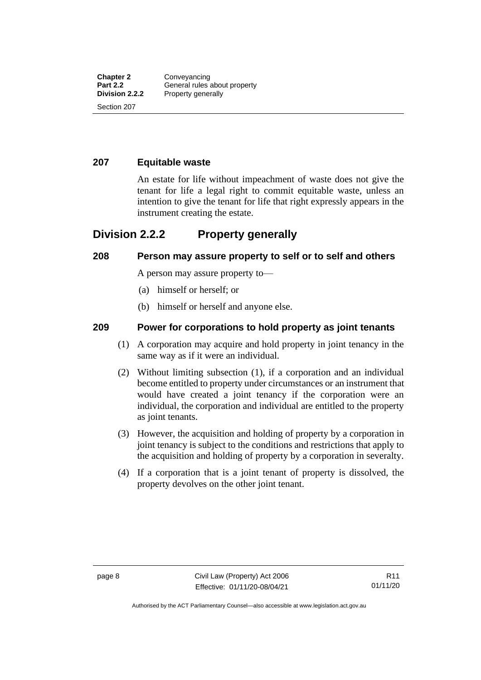#### <span id="page-17-0"></span>**207 Equitable waste**

An estate for life without impeachment of waste does not give the tenant for life a legal right to commit equitable waste, unless an intention to give the tenant for life that right expressly appears in the instrument creating the estate.

## <span id="page-17-1"></span>**Division 2.2.2 Property generally**

#### <span id="page-17-2"></span>**208 Person may assure property to self or to self and others**

A person may assure property to—

- (a) himself or herself; or
- (b) himself or herself and anyone else.

#### <span id="page-17-3"></span>**209 Power for corporations to hold property as joint tenants**

- (1) A corporation may acquire and hold property in joint tenancy in the same way as if it were an individual.
- (2) Without limiting subsection (1), if a corporation and an individual become entitled to property under circumstances or an instrument that would have created a joint tenancy if the corporation were an individual, the corporation and individual are entitled to the property as joint tenants.
- (3) However, the acquisition and holding of property by a corporation in joint tenancy is subject to the conditions and restrictions that apply to the acquisition and holding of property by a corporation in severalty.
- (4) If a corporation that is a joint tenant of property is dissolved, the property devolves on the other joint tenant.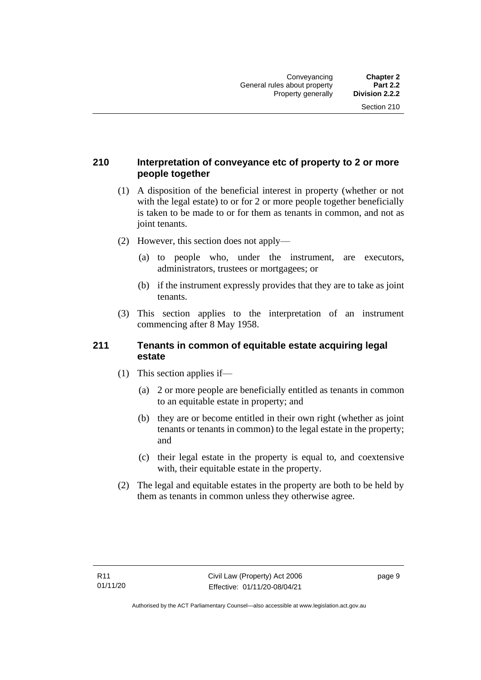#### <span id="page-18-0"></span>**210 Interpretation of conveyance etc of property to 2 or more people together**

- (1) A disposition of the beneficial interest in property (whether or not with the legal estate) to or for 2 or more people together beneficially is taken to be made to or for them as tenants in common, and not as joint tenants.
- (2) However, this section does not apply—
	- (a) to people who, under the instrument, are executors, administrators, trustees or mortgagees; or
	- (b) if the instrument expressly provides that they are to take as joint tenants.
- (3) This section applies to the interpretation of an instrument commencing after 8 May 1958.

#### <span id="page-18-1"></span>**211 Tenants in common of equitable estate acquiring legal estate**

- (1) This section applies if—
	- (a) 2 or more people are beneficially entitled as tenants in common to an equitable estate in property; and
	- (b) they are or become entitled in their own right (whether as joint tenants or tenants in common) to the legal estate in the property; and
	- (c) their legal estate in the property is equal to, and coextensive with, their equitable estate in the property.
- (2) The legal and equitable estates in the property are both to be held by them as tenants in common unless they otherwise agree.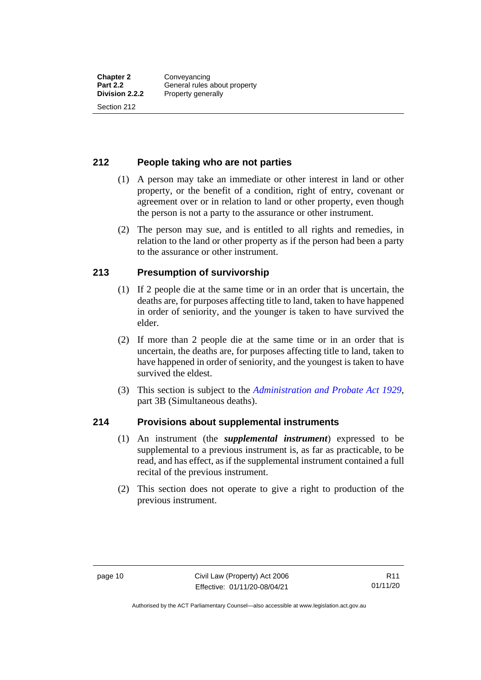#### <span id="page-19-0"></span>**212 People taking who are not parties**

- (1) A person may take an immediate or other interest in land or other property, or the benefit of a condition, right of entry, covenant or agreement over or in relation to land or other property, even though the person is not a party to the assurance or other instrument.
- (2) The person may sue, and is entitled to all rights and remedies, in relation to the land or other property as if the person had been a party to the assurance or other instrument.

#### <span id="page-19-1"></span>**213 Presumption of survivorship**

- (1) If 2 people die at the same time or in an order that is uncertain, the deaths are, for purposes affecting title to land, taken to have happened in order of seniority, and the younger is taken to have survived the elder.
- (2) If more than 2 people die at the same time or in an order that is uncertain, the deaths are, for purposes affecting title to land, taken to have happened in order of seniority, and the youngest is taken to have survived the eldest.
- (3) This section is subject to the *[Administration and Probate Act 1929](http://www.legislation.act.gov.au/a/1929-18)*, part 3B (Simultaneous deaths).

#### <span id="page-19-2"></span>**214 Provisions about supplemental instruments**

- (1) An instrument (the *supplemental instrument*) expressed to be supplemental to a previous instrument is, as far as practicable, to be read, and has effect, as if the supplemental instrument contained a full recital of the previous instrument.
- (2) This section does not operate to give a right to production of the previous instrument.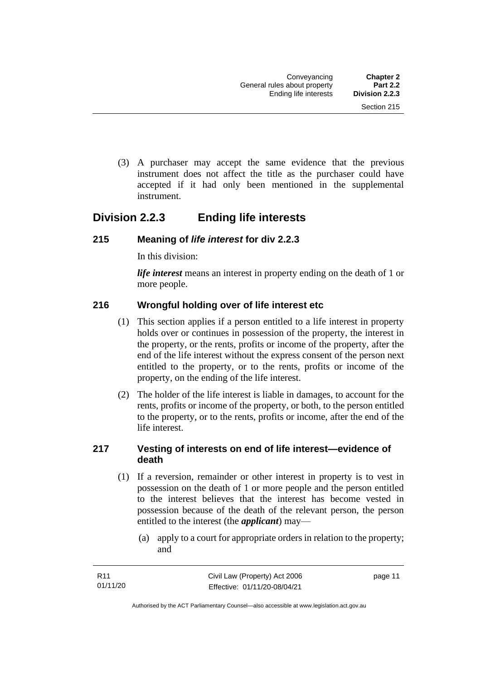(3) A purchaser may accept the same evidence that the previous instrument does not affect the title as the purchaser could have accepted if it had only been mentioned in the supplemental instrument.

## <span id="page-20-0"></span>**Division 2.2.3 Ending life interests**

#### <span id="page-20-1"></span>**215 Meaning of** *life interest* **for div 2.2.3**

In this division:

*life interest* means an interest in property ending on the death of 1 or more people.

#### <span id="page-20-2"></span>**216 Wrongful holding over of life interest etc**

- (1) This section applies if a person entitled to a life interest in property holds over or continues in possession of the property, the interest in the property, or the rents, profits or income of the property, after the end of the life interest without the express consent of the person next entitled to the property, or to the rents, profits or income of the property, on the ending of the life interest.
- (2) The holder of the life interest is liable in damages, to account for the rents, profits or income of the property, or both, to the person entitled to the property, or to the rents, profits or income, after the end of the life interest.

#### <span id="page-20-3"></span>**217 Vesting of interests on end of life interest—evidence of death**

- (1) If a reversion, remainder or other interest in property is to vest in possession on the death of 1 or more people and the person entitled to the interest believes that the interest has become vested in possession because of the death of the relevant person, the person entitled to the interest (the *applicant*) may—
	- (a) apply to a court for appropriate orders in relation to the property; and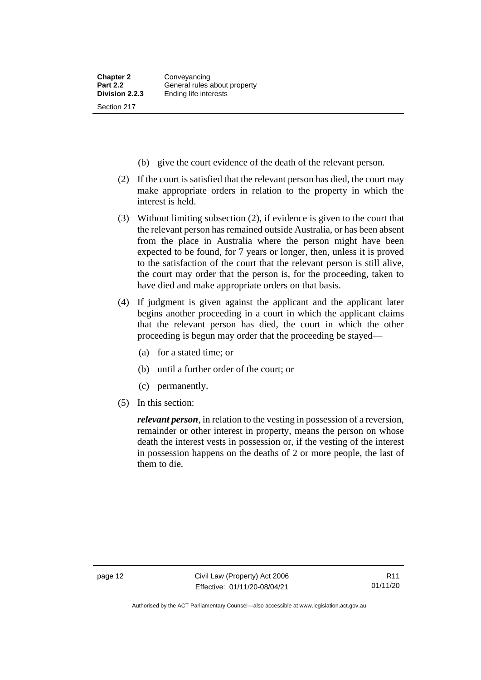- (b) give the court evidence of the death of the relevant person.
- (2) If the court is satisfied that the relevant person has died, the court may make appropriate orders in relation to the property in which the interest is held.
- (3) Without limiting subsection (2), if evidence is given to the court that the relevant person has remained outside Australia, or has been absent from the place in Australia where the person might have been expected to be found, for 7 years or longer, then, unless it is proved to the satisfaction of the court that the relevant person is still alive, the court may order that the person is, for the proceeding, taken to have died and make appropriate orders on that basis.
- (4) If judgment is given against the applicant and the applicant later begins another proceeding in a court in which the applicant claims that the relevant person has died, the court in which the other proceeding is begun may order that the proceeding be stayed—
	- (a) for a stated time; or
	- (b) until a further order of the court; or
	- (c) permanently.
- (5) In this section:

*relevant person*, in relation to the vesting in possession of a reversion, remainder or other interest in property, means the person on whose death the interest vests in possession or, if the vesting of the interest in possession happens on the deaths of 2 or more people, the last of them to die.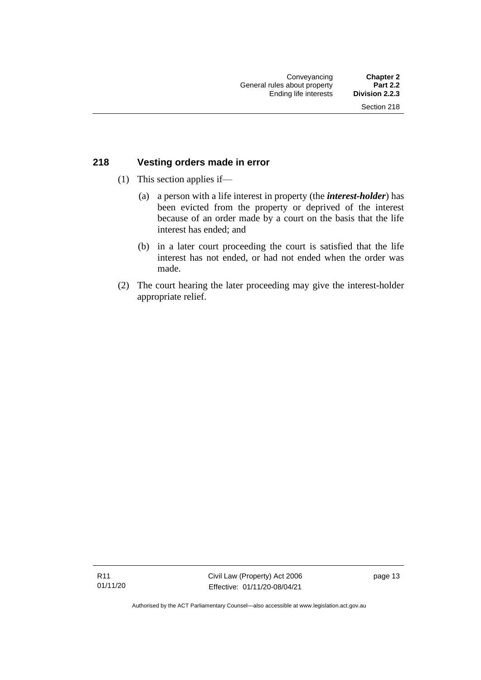#### <span id="page-22-0"></span>**218 Vesting orders made in error**

- (1) This section applies if—
	- (a) a person with a life interest in property (the *interest-holder*) has been evicted from the property or deprived of the interest because of an order made by a court on the basis that the life interest has ended; and
	- (b) in a later court proceeding the court is satisfied that the life interest has not ended, or had not ended when the order was made.
- (2) The court hearing the later proceeding may give the interest-holder appropriate relief.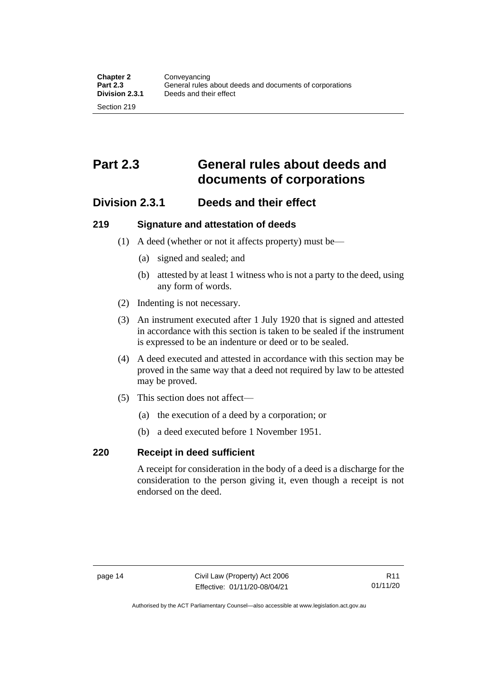# <span id="page-23-0"></span>**Part 2.3 General rules about deeds and documents of corporations**

## <span id="page-23-1"></span>**Division 2.3.1 Deeds and their effect**

#### <span id="page-23-2"></span>**219 Signature and attestation of deeds**

- (1) A deed (whether or not it affects property) must be—
	- (a) signed and sealed; and
	- (b) attested by at least 1 witness who is not a party to the deed, using any form of words.
- (2) Indenting is not necessary.
- (3) An instrument executed after 1 July 1920 that is signed and attested in accordance with this section is taken to be sealed if the instrument is expressed to be an indenture or deed or to be sealed.
- (4) A deed executed and attested in accordance with this section may be proved in the same way that a deed not required by law to be attested may be proved.
- (5) This section does not affect—
	- (a) the execution of a deed by a corporation; or
	- (b) a deed executed before 1 November 1951.

#### <span id="page-23-3"></span>**220 Receipt in deed sufficient**

A receipt for consideration in the body of a deed is a discharge for the consideration to the person giving it, even though a receipt is not endorsed on the deed.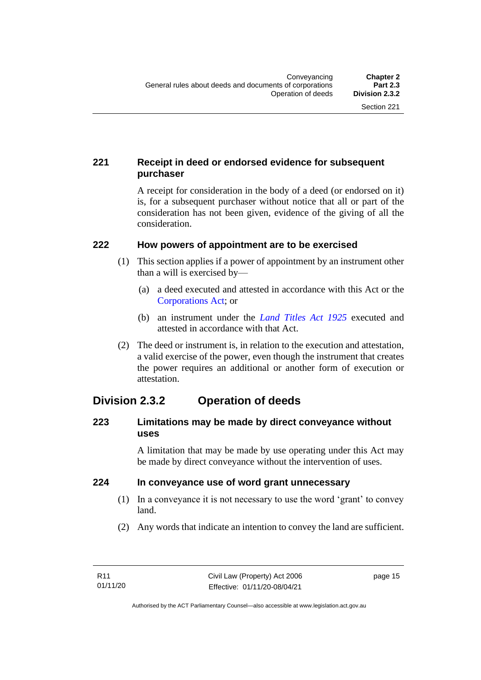### <span id="page-24-0"></span>**221 Receipt in deed or endorsed evidence for subsequent purchaser**

A receipt for consideration in the body of a deed (or endorsed on it) is, for a subsequent purchaser without notice that all or part of the consideration has not been given, evidence of the giving of all the consideration.

#### <span id="page-24-1"></span>**222 How powers of appointment are to be exercised**

- (1) This section applies if a power of appointment by an instrument other than a will is exercised by—
	- (a) a deed executed and attested in accordance with this Act or the [Corporations Act;](http://www.comlaw.gov.au/Series/C2004A00818) or
	- (b) an instrument under the *[Land Titles Act 1925](http://www.legislation.act.gov.au/a/1925-1)* executed and attested in accordance with that Act.
- (2) The deed or instrument is, in relation to the execution and attestation, a valid exercise of the power, even though the instrument that creates the power requires an additional or another form of execution or attestation.

## <span id="page-24-2"></span>**Division 2.3.2 Operation of deeds**

#### <span id="page-24-3"></span>**223 Limitations may be made by direct conveyance without uses**

A limitation that may be made by use operating under this Act may be made by direct conveyance without the intervention of uses.

#### <span id="page-24-4"></span>**224 In conveyance use of word grant unnecessary**

- (1) In a conveyance it is not necessary to use the word 'grant' to convey land.
- (2) Any words that indicate an intention to convey the land are sufficient.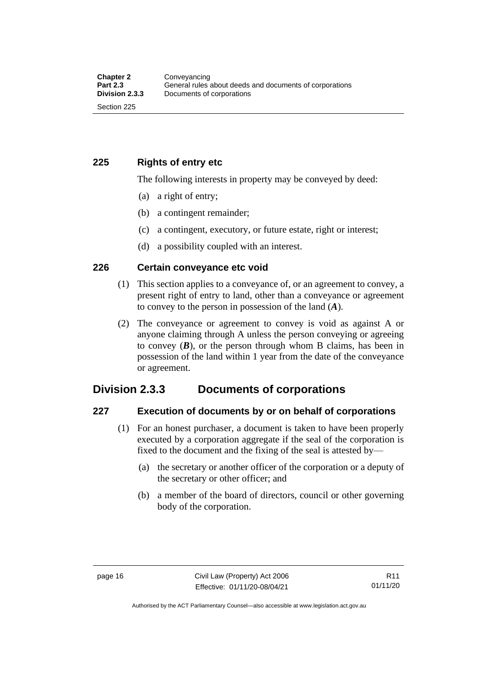<span id="page-25-0"></span>**225 Rights of entry etc**

The following interests in property may be conveyed by deed:

- (a) a right of entry;
- (b) a contingent remainder;
- (c) a contingent, executory, or future estate, right or interest;
- (d) a possibility coupled with an interest.

#### <span id="page-25-1"></span>**226 Certain conveyance etc void**

- (1) This section applies to a conveyance of, or an agreement to convey, a present right of entry to land, other than a conveyance or agreement to convey to the person in possession of the land (*A*).
- (2) The conveyance or agreement to convey is void as against A or anyone claiming through A unless the person conveying or agreeing to convey  $(B)$ , or the person through whom B claims, has been in possession of the land within 1 year from the date of the conveyance or agreement.

## <span id="page-25-2"></span>**Division 2.3.3 Documents of corporations**

#### <span id="page-25-3"></span>**227 Execution of documents by or on behalf of corporations**

- (1) For an honest purchaser, a document is taken to have been properly executed by a corporation aggregate if the seal of the corporation is fixed to the document and the fixing of the seal is attested by—
	- (a) the secretary or another officer of the corporation or a deputy of the secretary or other officer; and
	- (b) a member of the board of directors, council or other governing body of the corporation.

Authorised by the ACT Parliamentary Counsel—also accessible at www.legislation.act.gov.au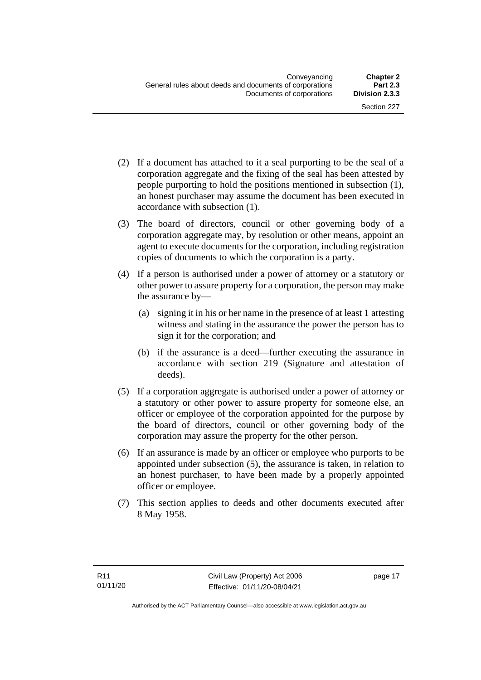- (2) If a document has attached to it a seal purporting to be the seal of a corporation aggregate and the fixing of the seal has been attested by people purporting to hold the positions mentioned in subsection (1), an honest purchaser may assume the document has been executed in accordance with subsection (1).
- (3) The board of directors, council or other governing body of a corporation aggregate may, by resolution or other means, appoint an agent to execute documents for the corporation, including registration copies of documents to which the corporation is a party.
- (4) If a person is authorised under a power of attorney or a statutory or other power to assure property for a corporation, the person may make the assurance by—
	- (a) signing it in his or her name in the presence of at least 1 attesting witness and stating in the assurance the power the person has to sign it for the corporation; and
	- (b) if the assurance is a deed—further executing the assurance in accordance with section 219 (Signature and attestation of deeds).
- (5) If a corporation aggregate is authorised under a power of attorney or a statutory or other power to assure property for someone else, an officer or employee of the corporation appointed for the purpose by the board of directors, council or other governing body of the corporation may assure the property for the other person.
- (6) If an assurance is made by an officer or employee who purports to be appointed under subsection (5), the assurance is taken, in relation to an honest purchaser, to have been made by a properly appointed officer or employee.
- (7) This section applies to deeds and other documents executed after 8 May 1958.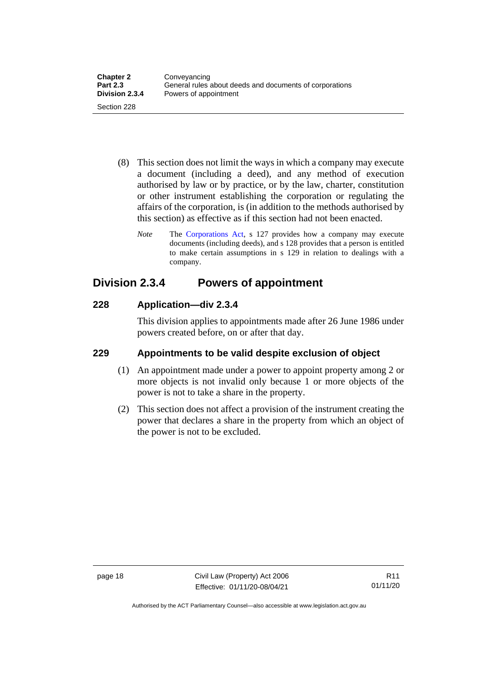- (8) This section does not limit the ways in which a company may execute a document (including a deed), and any method of execution authorised by law or by practice, or by the law, charter, constitution or other instrument establishing the corporation or regulating the affairs of the corporation, is (in addition to the methods authorised by this section) as effective as if this section had not been enacted.
	- *Note* The [Corporations Act,](http://www.comlaw.gov.au/Series/C2004A00818) s 127 provides how a company may execute documents (including deeds), and s 128 provides that a person is entitled to make certain assumptions in s 129 in relation to dealings with a company.

## <span id="page-27-0"></span>**Division 2.3.4 Powers of appointment**

#### <span id="page-27-1"></span>**228 Application—div 2.3.4**

This division applies to appointments made after 26 June 1986 under powers created before, on or after that day.

## <span id="page-27-2"></span>**229 Appointments to be valid despite exclusion of object**

- (1) An appointment made under a power to appoint property among 2 or more objects is not invalid only because 1 or more objects of the power is not to take a share in the property.
- (2) This section does not affect a provision of the instrument creating the power that declares a share in the property from which an object of the power is not to be excluded.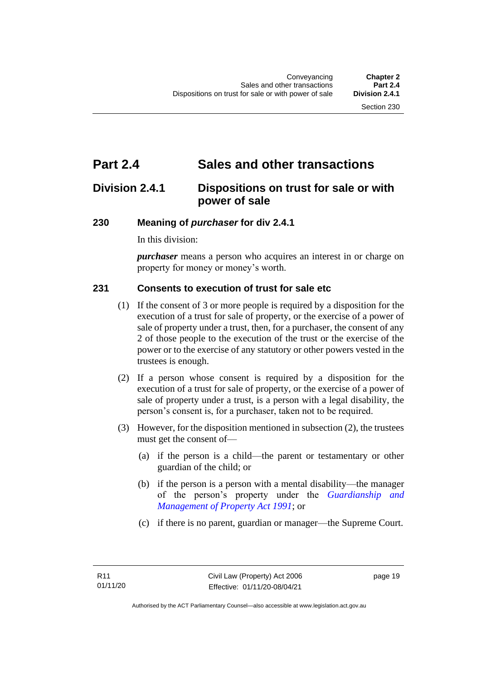# <span id="page-28-0"></span>**Part 2.4 Sales and other transactions**

## <span id="page-28-1"></span>**Division 2.4.1 Dispositions on trust for sale or with power of sale**

#### <span id="page-28-2"></span>**230 Meaning of** *purchaser* **for div 2.4.1**

In this division:

*purchaser* means a person who acquires an interest in or charge on property for money or money's worth.

#### <span id="page-28-3"></span>**231 Consents to execution of trust for sale etc**

- (1) If the consent of 3 or more people is required by a disposition for the execution of a trust for sale of property, or the exercise of a power of sale of property under a trust, then, for a purchaser, the consent of any 2 of those people to the execution of the trust or the exercise of the power or to the exercise of any statutory or other powers vested in the trustees is enough.
- (2) If a person whose consent is required by a disposition for the execution of a trust for sale of property, or the exercise of a power of sale of property under a trust, is a person with a legal disability, the person's consent is, for a purchaser, taken not to be required.
- (3) However, for the disposition mentioned in subsection (2), the trustees must get the consent of—
	- (a) if the person is a child—the parent or testamentary or other guardian of the child; or
	- (b) if the person is a person with a mental disability—the manager of the person's property under the *[Guardianship and](http://www.legislation.act.gov.au/a/1991-62)  [Management of Property Act 1991](http://www.legislation.act.gov.au/a/1991-62)*; or
	- (c) if there is no parent, guardian or manager—the Supreme Court.

page 19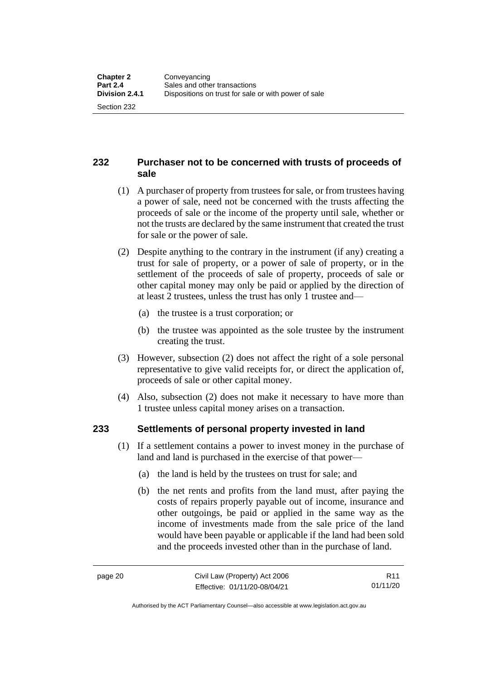#### <span id="page-29-0"></span>**232 Purchaser not to be concerned with trusts of proceeds of sale**

- (1) A purchaser of property from trustees for sale, or from trustees having a power of sale, need not be concerned with the trusts affecting the proceeds of sale or the income of the property until sale, whether or not the trusts are declared by the same instrument that created the trust for sale or the power of sale.
- (2) Despite anything to the contrary in the instrument (if any) creating a trust for sale of property, or a power of sale of property, or in the settlement of the proceeds of sale of property, proceeds of sale or other capital money may only be paid or applied by the direction of at least 2 trustees, unless the trust has only 1 trustee and—
	- (a) the trustee is a trust corporation; or
	- (b) the trustee was appointed as the sole trustee by the instrument creating the trust.
- (3) However, subsection (2) does not affect the right of a sole personal representative to give valid receipts for, or direct the application of, proceeds of sale or other capital money.
- (4) Also, subsection (2) does not make it necessary to have more than 1 trustee unless capital money arises on a transaction.

## <span id="page-29-1"></span>**233 Settlements of personal property invested in land**

- (1) If a settlement contains a power to invest money in the purchase of land and land is purchased in the exercise of that power—
	- (a) the land is held by the trustees on trust for sale; and
	- (b) the net rents and profits from the land must, after paying the costs of repairs properly payable out of income, insurance and other outgoings, be paid or applied in the same way as the income of investments made from the sale price of the land would have been payable or applicable if the land had been sold and the proceeds invested other than in the purchase of land.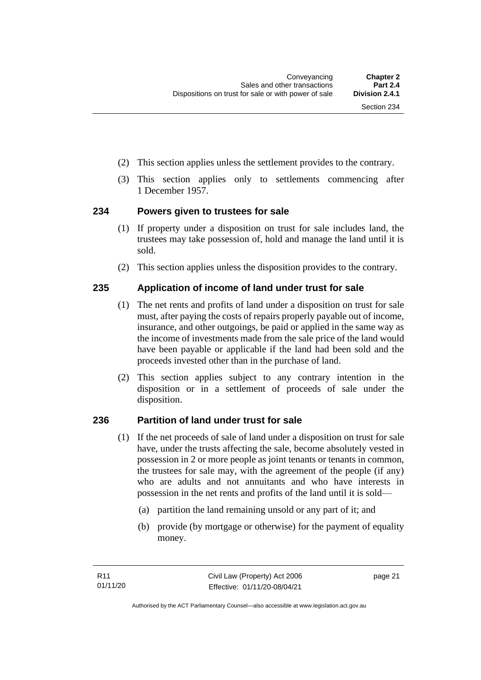- (2) This section applies unless the settlement provides to the contrary.
- (3) This section applies only to settlements commencing after 1 December 1957.

#### <span id="page-30-0"></span>**234 Powers given to trustees for sale**

- (1) If property under a disposition on trust for sale includes land, the trustees may take possession of, hold and manage the land until it is sold.
- (2) This section applies unless the disposition provides to the contrary.

#### <span id="page-30-1"></span>**235 Application of income of land under trust for sale**

- (1) The net rents and profits of land under a disposition on trust for sale must, after paying the costs of repairs properly payable out of income, insurance, and other outgoings, be paid or applied in the same way as the income of investments made from the sale price of the land would have been payable or applicable if the land had been sold and the proceeds invested other than in the purchase of land.
- (2) This section applies subject to any contrary intention in the disposition or in a settlement of proceeds of sale under the disposition.

#### <span id="page-30-2"></span>**236 Partition of land under trust for sale**

- (1) If the net proceeds of sale of land under a disposition on trust for sale have, under the trusts affecting the sale, become absolutely vested in possession in 2 or more people as joint tenants or tenants in common, the trustees for sale may, with the agreement of the people (if any) who are adults and not annuitants and who have interests in possession in the net rents and profits of the land until it is sold—
	- (a) partition the land remaining unsold or any part of it; and
	- (b) provide (by mortgage or otherwise) for the payment of equality money.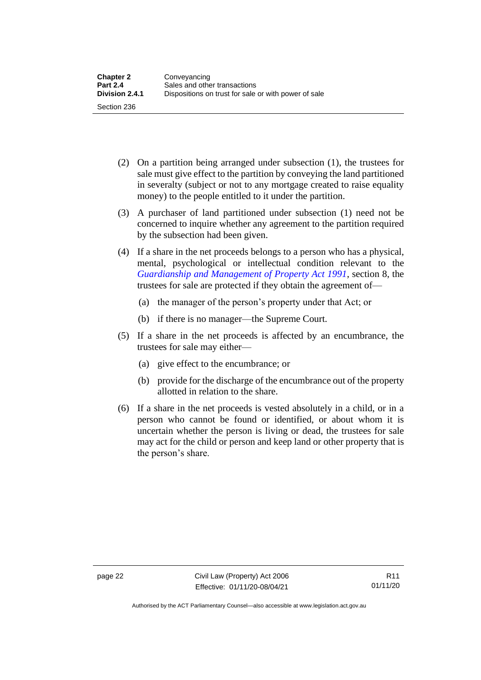- (2) On a partition being arranged under subsection (1), the trustees for sale must give effect to the partition by conveying the land partitioned in severalty (subject or not to any mortgage created to raise equality money) to the people entitled to it under the partition.
- (3) A purchaser of land partitioned under subsection (1) need not be concerned to inquire whether any agreement to the partition required by the subsection had been given.
- (4) If a share in the net proceeds belongs to a person who has a physical, mental, psychological or intellectual condition relevant to the *[Guardianship and Management of Property Act 1991](http://www.legislation.act.gov.au/a/1991-62)*, section 8, the trustees for sale are protected if they obtain the agreement of—
	- (a) the manager of the person's property under that Act; or
	- (b) if there is no manager—the Supreme Court.
- (5) If a share in the net proceeds is affected by an encumbrance, the trustees for sale may either—
	- (a) give effect to the encumbrance; or
	- (b) provide for the discharge of the encumbrance out of the property allotted in relation to the share.
- (6) If a share in the net proceeds is vested absolutely in a child, or in a person who cannot be found or identified, or about whom it is uncertain whether the person is living or dead, the trustees for sale may act for the child or person and keep land or other property that is the person's share.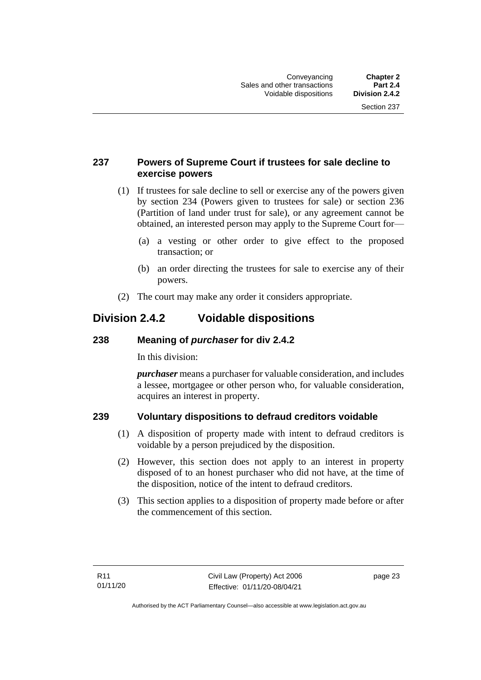#### <span id="page-32-0"></span>**237 Powers of Supreme Court if trustees for sale decline to exercise powers**

- (1) If trustees for sale decline to sell or exercise any of the powers given by section 234 (Powers given to trustees for sale) or section 236 (Partition of land under trust for sale), or any agreement cannot be obtained, an interested person may apply to the Supreme Court for—
	- (a) a vesting or other order to give effect to the proposed transaction; or
	- (b) an order directing the trustees for sale to exercise any of their powers.
- (2) The court may make any order it considers appropriate.

## <span id="page-32-1"></span>**Division 2.4.2 Voidable dispositions**

#### <span id="page-32-2"></span>**238 Meaning of** *purchaser* **for div 2.4.2**

In this division:

*purchaser* means a purchaser for valuable consideration, and includes a lessee, mortgagee or other person who, for valuable consideration, acquires an interest in property.

## <span id="page-32-3"></span>**239 Voluntary dispositions to defraud creditors voidable**

- (1) A disposition of property made with intent to defraud creditors is voidable by a person prejudiced by the disposition.
- (2) However, this section does not apply to an interest in property disposed of to an honest purchaser who did not have, at the time of the disposition, notice of the intent to defraud creditors.
- (3) This section applies to a disposition of property made before or after the commencement of this section.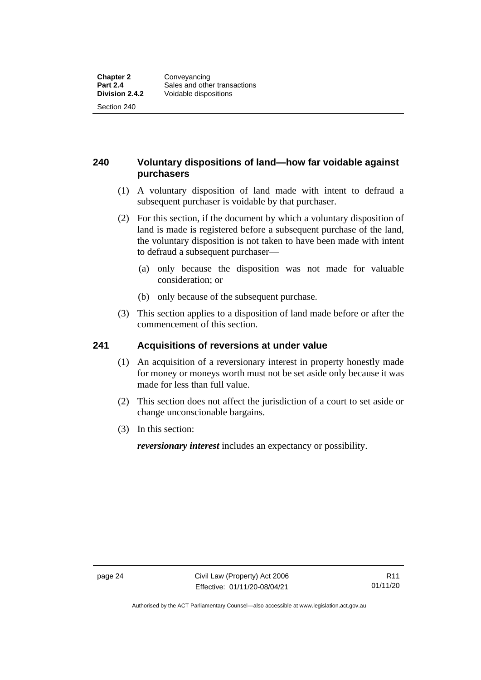### <span id="page-33-0"></span>**240 Voluntary dispositions of land—how far voidable against purchasers**

- (1) A voluntary disposition of land made with intent to defraud a subsequent purchaser is voidable by that purchaser.
- (2) For this section, if the document by which a voluntary disposition of land is made is registered before a subsequent purchase of the land, the voluntary disposition is not taken to have been made with intent to defraud a subsequent purchaser—
	- (a) only because the disposition was not made for valuable consideration; or
	- (b) only because of the subsequent purchase.
- (3) This section applies to a disposition of land made before or after the commencement of this section.

#### <span id="page-33-1"></span>**241 Acquisitions of reversions at under value**

- (1) An acquisition of a reversionary interest in property honestly made for money or moneys worth must not be set aside only because it was made for less than full value.
- (2) This section does not affect the jurisdiction of a court to set aside or change unconscionable bargains.
- (3) In this section:

*reversionary interest* includes an expectancy or possibility.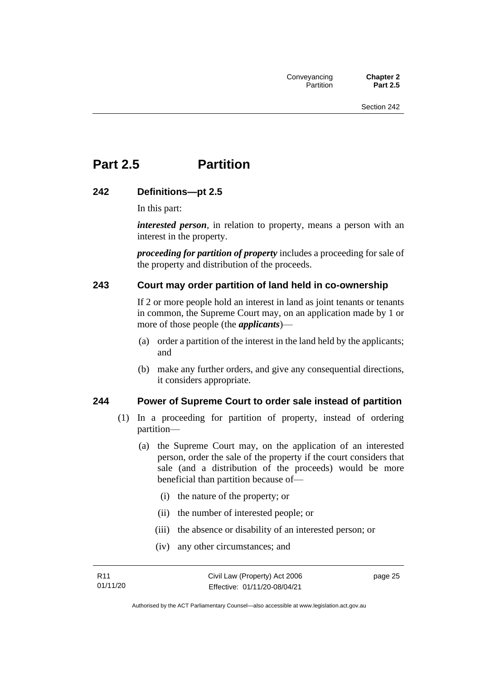# <span id="page-34-0"></span>**Part 2.5 Partition**

#### <span id="page-34-1"></span>**242 Definitions—pt 2.5**

In this part:

*interested person*, in relation to property, means a person with an interest in the property.

*proceeding for partition of property* includes a proceeding for sale of the property and distribution of the proceeds.

#### <span id="page-34-2"></span>**243 Court may order partition of land held in co-ownership**

If 2 or more people hold an interest in land as joint tenants or tenants in common, the Supreme Court may, on an application made by 1 or more of those people (the *applicants*)—

- (a) order a partition of the interest in the land held by the applicants; and
- (b) make any further orders, and give any consequential directions, it considers appropriate.

#### <span id="page-34-3"></span>**244 Power of Supreme Court to order sale instead of partition**

- (1) In a proceeding for partition of property, instead of ordering partition—
	- (a) the Supreme Court may, on the application of an interested person, order the sale of the property if the court considers that sale (and a distribution of the proceeds) would be more beneficial than partition because of—
		- (i) the nature of the property; or
		- (ii) the number of interested people; or
		- (iii) the absence or disability of an interested person; or
		- (iv) any other circumstances; and

page 25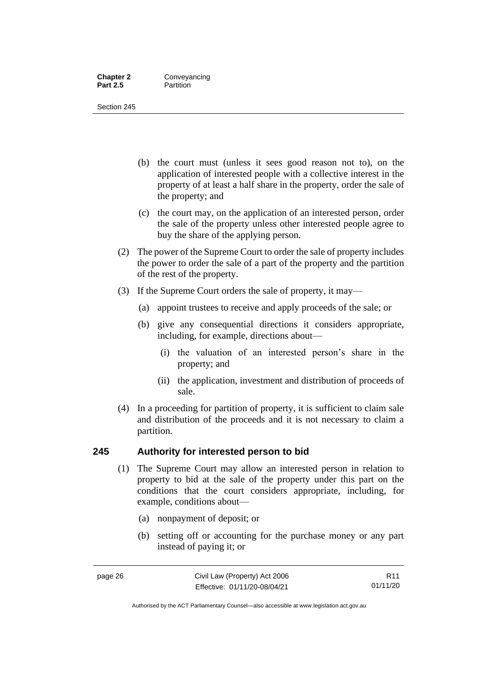#### **Chapter 2 Conveyancing**<br>**Part 2.5 Partition Partition**

Section 245

- (b) the court must (unless it sees good reason not to), on the application of interested people with a collective interest in the property of at least a half share in the property, order the sale of the property; and
- (c) the court may, on the application of an interested person, order the sale of the property unless other interested people agree to buy the share of the applying person.
- (2) The power of the Supreme Court to order the sale of property includes the power to order the sale of a part of the property and the partition of the rest of the property.
- (3) If the Supreme Court orders the sale of property, it may—
	- (a) appoint trustees to receive and apply proceeds of the sale; or
	- (b) give any consequential directions it considers appropriate, including, for example, directions about—
		- (i) the valuation of an interested person's share in the property; and
		- (ii) the application, investment and distribution of proceeds of sale.
- (4) In a proceeding for partition of property, it is sufficient to claim sale and distribution of the proceeds and it is not necessary to claim a partition.

#### <span id="page-35-0"></span>**245 Authority for interested person to bid**

- (1) The Supreme Court may allow an interested person in relation to property to bid at the sale of the property under this part on the conditions that the court considers appropriate, including, for example, conditions about—
	- (a) nonpayment of deposit; or
	- (b) setting off or accounting for the purchase money or any part instead of paying it; or

Authorised by the ACT Parliamentary Counsel—also accessible at www.legislation.act.gov.au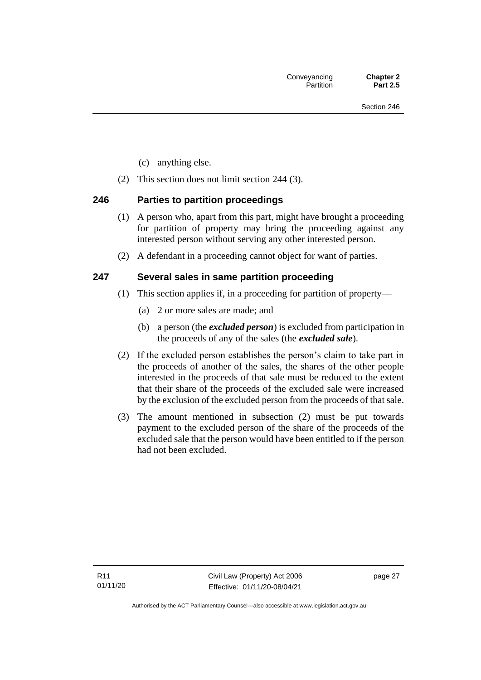- (c) anything else.
- (2) This section does not limit section 244 (3).

## **246 Parties to partition proceedings**

- (1) A person who, apart from this part, might have brought a proceeding for partition of property may bring the proceeding against any interested person without serving any other interested person.
- (2) A defendant in a proceeding cannot object for want of parties.

## **247 Several sales in same partition proceeding**

- (1) This section applies if, in a proceeding for partition of property—
	- (a) 2 or more sales are made; and
	- (b) a person (the *excluded person*) is excluded from participation in the proceeds of any of the sales (the *excluded sale*).
- (2) If the excluded person establishes the person's claim to take part in the proceeds of another of the sales, the shares of the other people interested in the proceeds of that sale must be reduced to the extent that their share of the proceeds of the excluded sale were increased by the exclusion of the excluded person from the proceeds of that sale.
- (3) The amount mentioned in subsection (2) must be put towards payment to the excluded person of the share of the proceeds of the excluded sale that the person would have been entitled to if the person had not been excluded.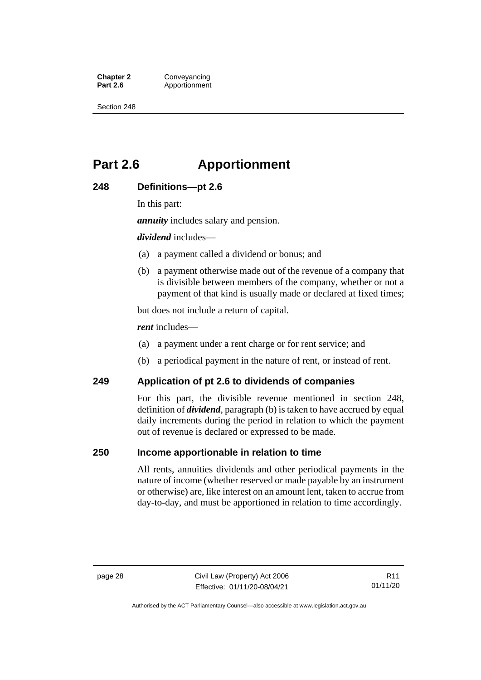**Chapter 2 Conveyancing**<br>**Part 2.6 Apportionment** Apportionment

Section 248

# **Part 2.6 Apportionment**

### **248 Definitions—pt 2.6**

In this part:

*annuity* includes salary and pension.

*dividend* includes—

- (a) a payment called a dividend or bonus; and
- (b) a payment otherwise made out of the revenue of a company that is divisible between members of the company, whether or not a payment of that kind is usually made or declared at fixed times;

but does not include a return of capital.

*rent* includes—

- (a) a payment under a rent charge or for rent service; and
- (b) a periodical payment in the nature of rent, or instead of rent.

#### **249 Application of pt 2.6 to dividends of companies**

For this part, the divisible revenue mentioned in section 248, definition of *dividend*, paragraph (b) is taken to have accrued by equal daily increments during the period in relation to which the payment out of revenue is declared or expressed to be made.

#### **250 Income apportionable in relation to time**

All rents, annuities dividends and other periodical payments in the nature of income (whether reserved or made payable by an instrument or otherwise) are, like interest on an amount lent, taken to accrue from day-to-day, and must be apportioned in relation to time accordingly.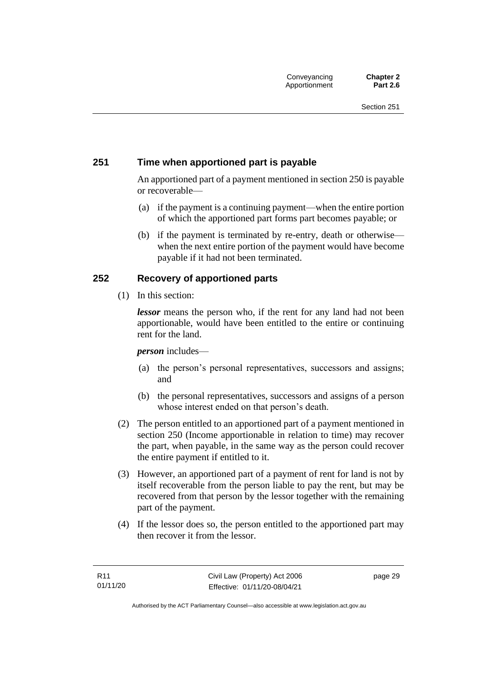## **251 Time when apportioned part is payable**

An apportioned part of a payment mentioned in section 250 is payable or recoverable—

- (a) if the payment is a continuing payment—when the entire portion of which the apportioned part forms part becomes payable; or
- (b) if the payment is terminated by re-entry, death or otherwise when the next entire portion of the payment would have become payable if it had not been terminated.

## **252 Recovery of apportioned parts**

(1) In this section:

*lessor* means the person who, if the rent for any land had not been apportionable, would have been entitled to the entire or continuing rent for the land.

#### *person* includes—

- (a) the person's personal representatives, successors and assigns; and
- (b) the personal representatives, successors and assigns of a person whose interest ended on that person's death.
- (2) The person entitled to an apportioned part of a payment mentioned in section 250 (Income apportionable in relation to time) may recover the part, when payable, in the same way as the person could recover the entire payment if entitled to it.
- (3) However, an apportioned part of a payment of rent for land is not by itself recoverable from the person liable to pay the rent, but may be recovered from that person by the lessor together with the remaining part of the payment.
- (4) If the lessor does so, the person entitled to the apportioned part may then recover it from the lessor.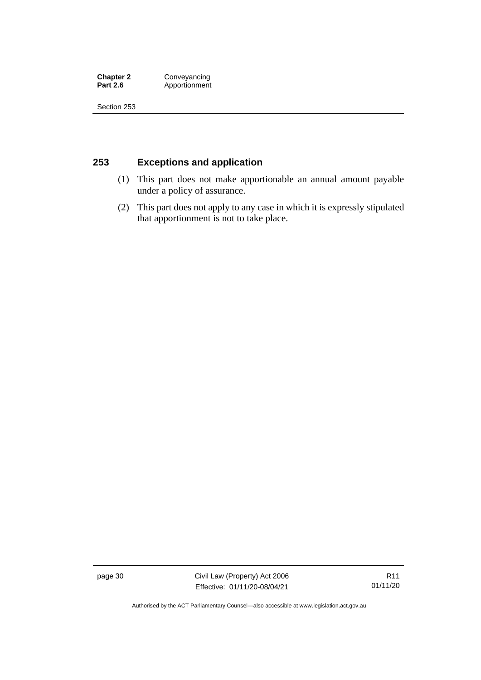**Chapter 2 Conveyancing**<br>**Part 2.6 Apportionment Part 2.6** Apportionment

Section 253

## **253 Exceptions and application**

- (1) This part does not make apportionable an annual amount payable under a policy of assurance.
- (2) This part does not apply to any case in which it is expressly stipulated that apportionment is not to take place.

page 30 Civil Law (Property) Act 2006 Effective: 01/11/20-08/04/21

R11 01/11/20

Authorised by the ACT Parliamentary Counsel—also accessible at www.legislation.act.gov.au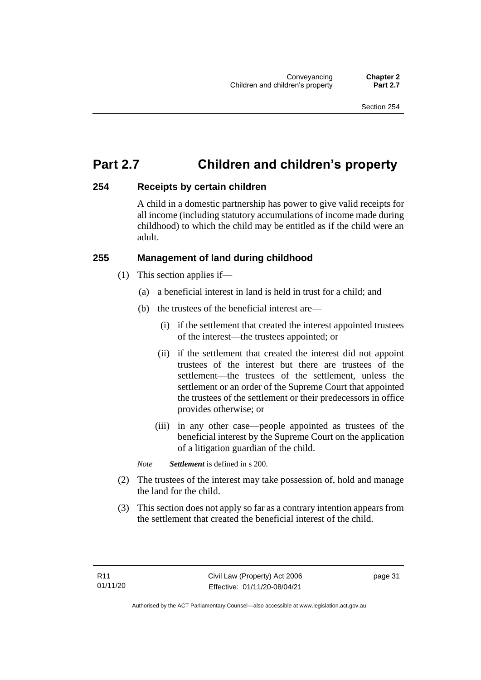# **Part 2.7 Children and children's property**

## **254 Receipts by certain children**

A child in a domestic partnership has power to give valid receipts for all income (including statutory accumulations of income made during childhood) to which the child may be entitled as if the child were an adult.

## **255 Management of land during childhood**

- (1) This section applies if—
	- (a) a beneficial interest in land is held in trust for a child; and
	- (b) the trustees of the beneficial interest are—
		- (i) if the settlement that created the interest appointed trustees of the interest—the trustees appointed; or
		- (ii) if the settlement that created the interest did not appoint trustees of the interest but there are trustees of the settlement—the trustees of the settlement, unless the settlement or an order of the Supreme Court that appointed the trustees of the settlement or their predecessors in office provides otherwise; or
		- (iii) in any other case—people appointed as trustees of the beneficial interest by the Supreme Court on the application of a litigation guardian of the child.

*Note Settlement* is defined in s 200.

- (2) The trustees of the interest may take possession of, hold and manage the land for the child.
- (3) This section does not apply so far as a contrary intention appears from the settlement that created the beneficial interest of the child.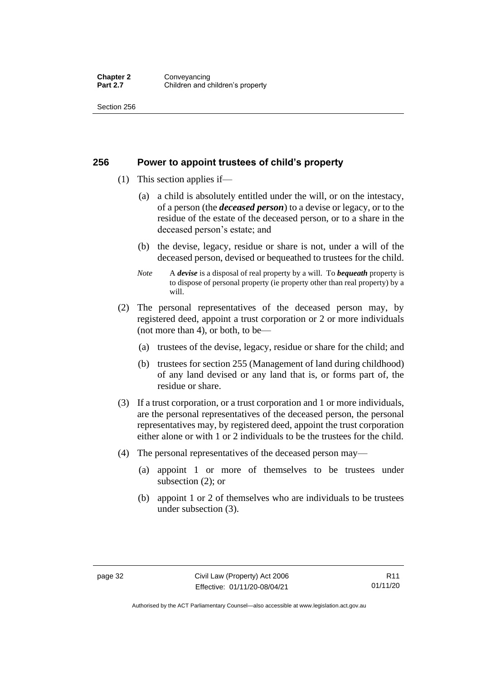#### **256 Power to appoint trustees of child's property**

- (1) This section applies if—
	- (a) a child is absolutely entitled under the will, or on the intestacy, of a person (the *deceased person*) to a devise or legacy, or to the residue of the estate of the deceased person, or to a share in the deceased person's estate; and
	- (b) the devise, legacy, residue or share is not, under a will of the deceased person, devised or bequeathed to trustees for the child.
	- *Note* A *devise* is a disposal of real property by a will. To *bequeath* property is to dispose of personal property (ie property other than real property) by a will.
- (2) The personal representatives of the deceased person may, by registered deed, appoint a trust corporation or 2 or more individuals (not more than 4), or both, to be—
	- (a) trustees of the devise, legacy, residue or share for the child; and
	- (b) trustees for section 255 (Management of land during childhood) of any land devised or any land that is, or forms part of, the residue or share.
- (3) If a trust corporation, or a trust corporation and 1 or more individuals, are the personal representatives of the deceased person, the personal representatives may, by registered deed, appoint the trust corporation either alone or with 1 or 2 individuals to be the trustees for the child.
- (4) The personal representatives of the deceased person may—
	- (a) appoint 1 or more of themselves to be trustees under subsection (2); or
	- (b) appoint 1 or 2 of themselves who are individuals to be trustees under subsection (3).

Authorised by the ACT Parliamentary Counsel—also accessible at www.legislation.act.gov.au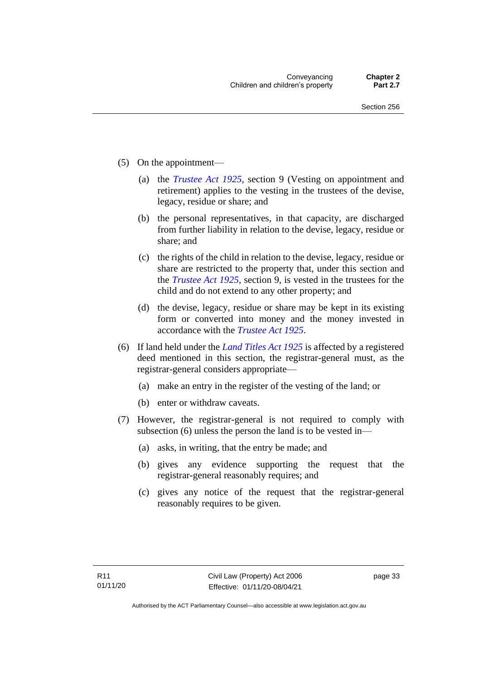- (5) On the appointment—
	- (a) the *[Trustee Act 1925](http://www.legislation.act.gov.au/a/1925-14)*, section 9 (Vesting on appointment and retirement) applies to the vesting in the trustees of the devise, legacy, residue or share; and
	- (b) the personal representatives, in that capacity, are discharged from further liability in relation to the devise, legacy, residue or share; and
	- (c) the rights of the child in relation to the devise, legacy, residue or share are restricted to the property that, under this section and the *[Trustee Act 1925](http://www.legislation.act.gov.au/a/1925-14)*, section 9, is vested in the trustees for the child and do not extend to any other property; and
	- (d) the devise, legacy, residue or share may be kept in its existing form or converted into money and the money invested in accordance with the *[Trustee Act 1925](http://www.legislation.act.gov.au/a/1925-14)*.
- (6) If land held under the *[Land Titles Act 1925](http://www.legislation.act.gov.au/a/1925-1)* is affected by a registered deed mentioned in this section, the registrar-general must, as the registrar-general considers appropriate—
	- (a) make an entry in the register of the vesting of the land; or
	- (b) enter or withdraw caveats.
- (7) However, the registrar-general is not required to comply with subsection (6) unless the person the land is to be vested in—
	- (a) asks, in writing, that the entry be made; and
	- (b) gives any evidence supporting the request that the registrar-general reasonably requires; and
	- (c) gives any notice of the request that the registrar-general reasonably requires to be given.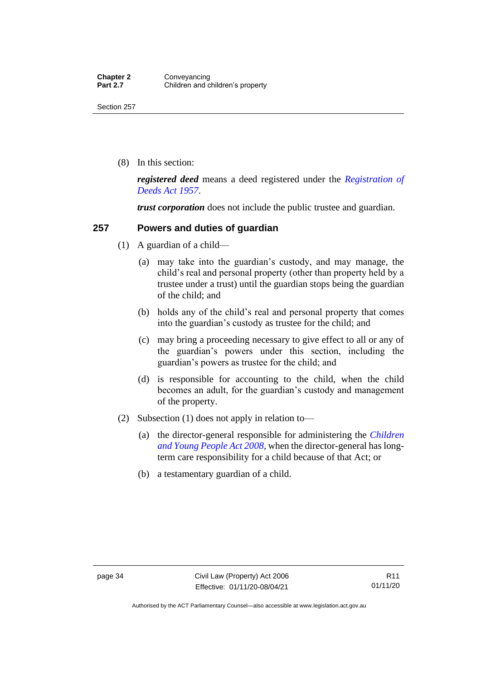(8) In this section:

*registered deed* means a deed registered under the *[Registration of](http://www.legislation.act.gov.au/a/1957-13)  [Deeds Act 1957](http://www.legislation.act.gov.au/a/1957-13)*.

*trust corporation* does not include the public trustee and guardian.

#### **257 Powers and duties of guardian**

- (1) A guardian of a child—
	- (a) may take into the guardian's custody, and may manage, the child's real and personal property (other than property held by a trustee under a trust) until the guardian stops being the guardian of the child; and
	- (b) holds any of the child's real and personal property that comes into the guardian's custody as trustee for the child; and
	- (c) may bring a proceeding necessary to give effect to all or any of the guardian's powers under this section, including the guardian's powers as trustee for the child; and
	- (d) is responsible for accounting to the child, when the child becomes an adult, for the guardian's custody and management of the property.
- (2) Subsection (1) does not apply in relation to—
	- (a) the director-general responsible for administering the *[Children](http://www.legislation.act.gov.au/a/2008-19)  [and Young People Act 2008](http://www.legislation.act.gov.au/a/2008-19)*, when the director-general has longterm care responsibility for a child because of that Act; or
	- (b) a testamentary guardian of a child.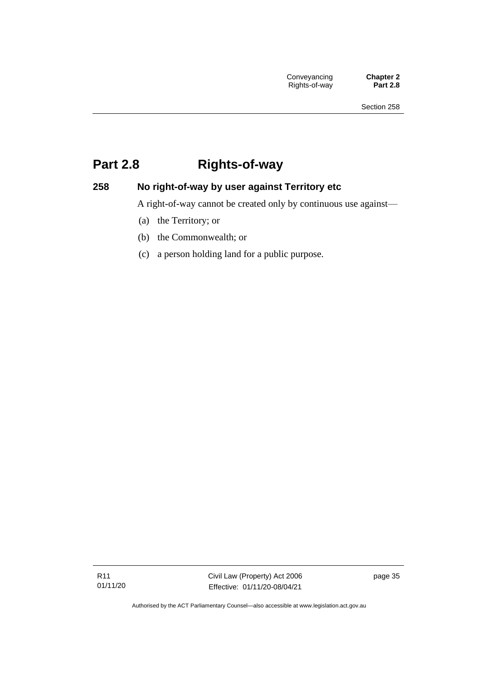# **Part 2.8 Rights-of-way**

## **258 No right-of-way by user against Territory etc**

A right-of-way cannot be created only by continuous use against—

- (a) the Territory; or
- (b) the Commonwealth; or
- (c) a person holding land for a public purpose.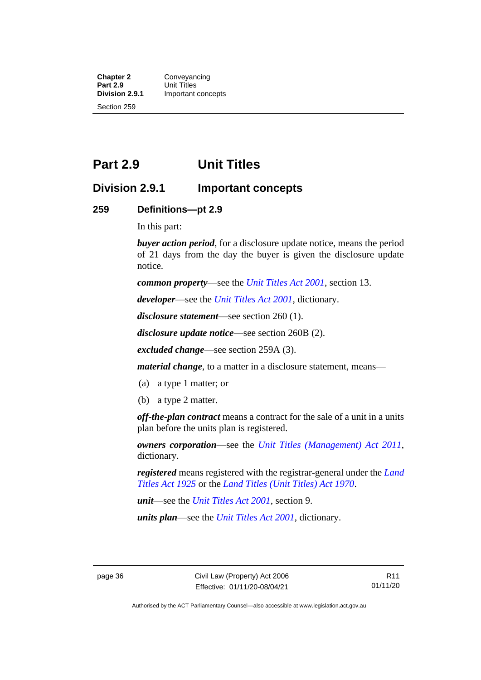**Chapter 2 Conveyancing**<br>**Part 2.9 Unit Titles Part 2.9** Unit Titles<br> **Division 2.9.1** Important **Division 2.9.1** Important concepts Section 259

## **Part 2.9 Unit Titles**

## **Division 2.9.1 Important concepts**

#### **259 Definitions—pt 2.9**

In this part:

*buyer action period*, for a disclosure update notice, means the period of 21 days from the day the buyer is given the disclosure update notice.

*common property*—see the *[Unit Titles Act 2001](http://www.legislation.act.gov.au/a/2001-16)*, section 13.

*developer*—see the *[Unit Titles Act 2001](http://www.legislation.act.gov.au/a/2001-16)*, dictionary.

*disclosure statement*—see section 260 (1).

*disclosure update notice*—see section 260B (2).

*excluded change*—see section 259A (3).

*material change*, to a matter in a disclosure statement, means—

- (a) a type 1 matter; or
- (b) a type 2 matter.

*off-the-plan contract* means a contract for the sale of a unit in a units plan before the units plan is registered.

*owners corporation*—see the *[Unit Titles \(Management\) Act 2011](http://www.legislation.act.gov.au/a/2011-41)*, dictionary.

*registered* means registered with the registrar-general under the *[Land](http://www.legislation.act.gov.au/a/1925-1)  [Titles Act 1925](http://www.legislation.act.gov.au/a/1925-1)* or the *[Land Titles \(Unit Titles\) Act 1970](http://www.legislation.act.gov.au/a/1970-32)*.

*unit*—see the *[Unit Titles Act 2001](http://www.legislation.act.gov.au/a/2001-16)*, section 9.

*units plan*—see the *[Unit Titles Act 2001](http://www.legislation.act.gov.au/a/2001-16)*, dictionary.

Authorised by the ACT Parliamentary Counsel—also accessible at www.legislation.act.gov.au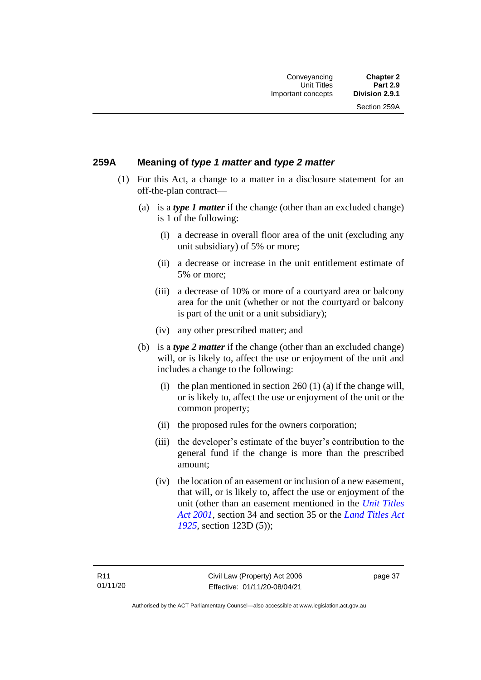Section 259A

## **259A Meaning of** *type 1 matter* **and** *type 2 matter*

- (1) For this Act, a change to a matter in a disclosure statement for an off-the-plan contract—
	- (a) is a *type 1 matter* if the change (other than an excluded change) is 1 of the following:
		- (i) a decrease in overall floor area of the unit (excluding any unit subsidiary) of 5% or more;
		- (ii) a decrease or increase in the unit entitlement estimate of 5% or more;
		- (iii) a decrease of 10% or more of a courtyard area or balcony area for the unit (whether or not the courtyard or balcony is part of the unit or a unit subsidiary);
		- (iv) any other prescribed matter; and
	- (b) is a *type 2 matter* if the change (other than an excluded change) will, or is likely to, affect the use or enjoyment of the unit and includes a change to the following:
		- (i) the plan mentioned in section  $260(1)(a)$  if the change will, or is likely to, affect the use or enjoyment of the unit or the common property;
		- (ii) the proposed rules for the owners corporation;
		- (iii) the developer's estimate of the buyer's contribution to the general fund if the change is more than the prescribed amount;
		- (iv) the location of an easement or inclusion of a new easement, that will, or is likely to, affect the use or enjoyment of the unit (other than an easement mentioned in the *[Unit Titles](http://www.legislation.act.gov.au/a/2001-16)  Act [2001](http://www.legislation.act.gov.au/a/2001-16)*, section 34 and section 35 or the *[Land Titles Act](http://www.legislation.act.gov.au/a/1925-1)  [1925](http://www.legislation.act.gov.au/a/1925-1)*, section 123D (5));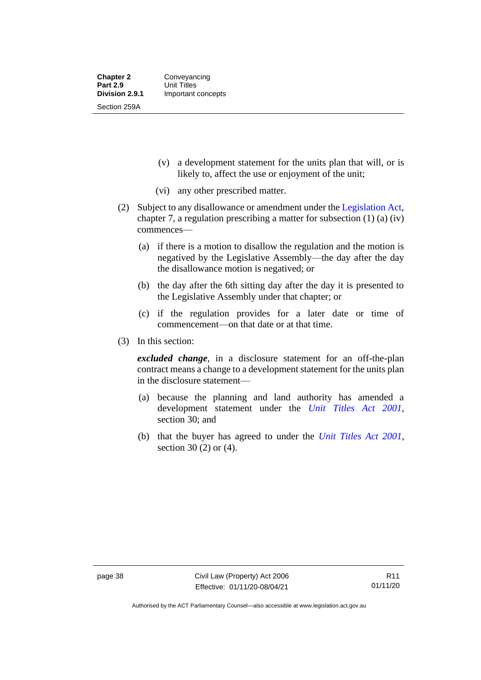- (v) a development statement for the units plan that will, or is likely to, affect the use or enjoyment of the unit;
- (vi) any other prescribed matter.
- (2) Subject to any disallowance or amendment under the [Legislation Act,](http://www.legislation.act.gov.au/a/2001-14) chapter 7, a regulation prescribing a matter for subsection (1) (a) (iv) commences—
	- (a) if there is a motion to disallow the regulation and the motion is negatived by the Legislative Assembly—the day after the day the disallowance motion is negatived; or
	- (b) the day after the 6th sitting day after the day it is presented to the Legislative Assembly under that chapter; or
	- (c) if the regulation provides for a later date or time of commencement—on that date or at that time.
- (3) In this section:

*excluded change*, in a disclosure statement for an off-the-plan contract means a change to a development statement for the units plan in the disclosure statement—

- (a) because the planning and land authority has amended a development statement under the *[Unit Titles Act 2001](http://www.legislation.act.gov.au/a/2001-16)*, section 30; and
- (b) that the buyer has agreed to under the *[Unit Titles Act 2001](http://www.legislation.act.gov.au/a/2001-16)*, section 30 (2) or (4).

Authorised by the ACT Parliamentary Counsel—also accessible at www.legislation.act.gov.au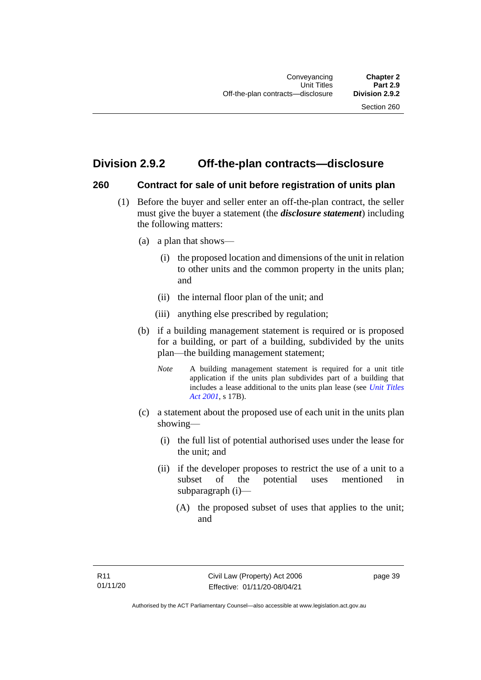## **Division 2.9.2 Off-the-plan contracts—disclosure**

#### **260 Contract for sale of unit before registration of units plan**

- (1) Before the buyer and seller enter an off-the-plan contract, the seller must give the buyer a statement (the *disclosure statement*) including the following matters:
	- (a) a plan that shows—
		- (i) the proposed location and dimensions of the unit in relation to other units and the common property in the units plan; and
		- (ii) the internal floor plan of the unit; and
		- (iii) anything else prescribed by regulation;
	- (b) if a building management statement is required or is proposed for a building, or part of a building, subdivided by the units plan—the building management statement;
		- *Note* A building management statement is required for a unit title application if the units plan subdivides part of a building that includes a lease additional to the units plan lease (see *[Unit Titles](http://www.legislation.act.gov.au/a/2001-16)  [Act 2001](http://www.legislation.act.gov.au/a/2001-16)*, s 17B).
	- (c) a statement about the proposed use of each unit in the units plan showing—
		- (i) the full list of potential authorised uses under the lease for the unit; and
		- (ii) if the developer proposes to restrict the use of a unit to a subset of the potential uses mentioned in subparagraph (i)—
			- (A) the proposed subset of uses that applies to the unit; and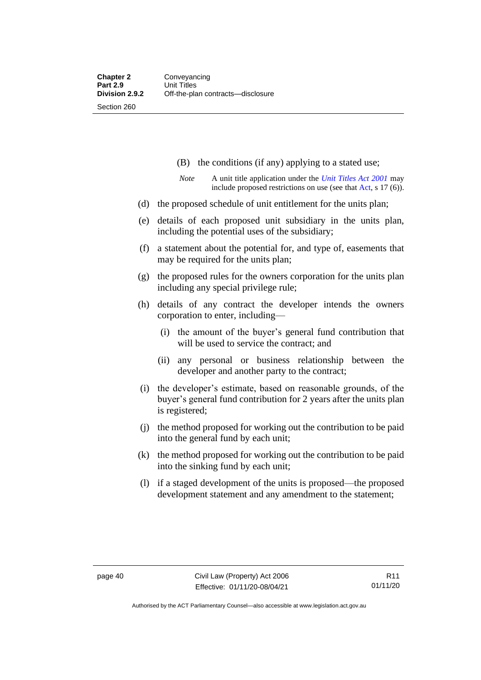- (B) the conditions (if any) applying to a stated use;
- *Note* A unit title application under the *[Unit Titles Act 2001](http://www.legislation.act.gov.au/a/2001-16)* may include proposed restrictions on use (see tha[t Act,](https://www.legislation.act.gov.au/a/2001-16/) s 17 (6)).
- (d) the proposed schedule of unit entitlement for the units plan;
- (e) details of each proposed unit subsidiary in the units plan, including the potential uses of the subsidiary;
- (f) a statement about the potential for, and type of, easements that may be required for the units plan;
- (g) the proposed rules for the owners corporation for the units plan including any special privilege rule;
- (h) details of any contract the developer intends the owners corporation to enter, including—
	- (i) the amount of the buyer's general fund contribution that will be used to service the contract; and
	- (ii) any personal or business relationship between the developer and another party to the contract;
- (i) the developer's estimate, based on reasonable grounds, of the buyer's general fund contribution for 2 years after the units plan is registered;
- (j) the method proposed for working out the contribution to be paid into the general fund by each unit;
- (k) the method proposed for working out the contribution to be paid into the sinking fund by each unit;
- (l) if a staged development of the units is proposed—the proposed development statement and any amendment to the statement;

Authorised by the ACT Parliamentary Counsel—also accessible at www.legislation.act.gov.au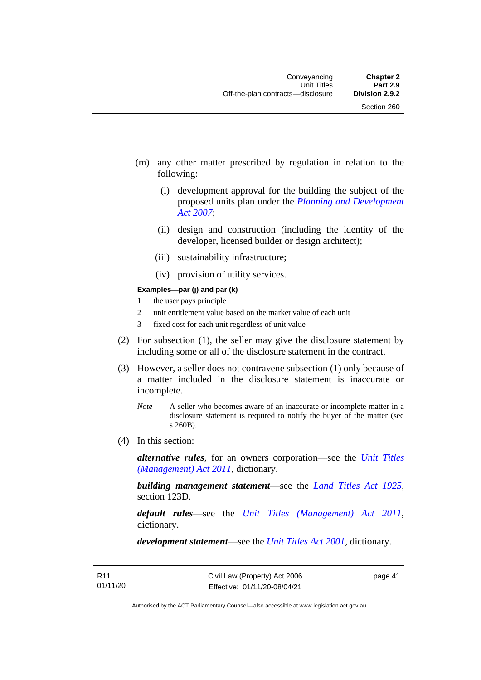- (m) any other matter prescribed by regulation in relation to the following:
	- (i) development approval for the building the subject of the proposed units plan under the *[Planning and Development](http://www.legislation.act.gov.au/a/2007-24)  [Act 2007](http://www.legislation.act.gov.au/a/2007-24)*;
	- (ii) design and construction (including the identity of the developer, licensed builder or design architect);
	- (iii) sustainability infrastructure;
	- (iv) provision of utility services.

#### **Examples—par (j) and par (k)**

- 1 the user pays principle
- 2 unit entitlement value based on the market value of each unit
- 3 fixed cost for each unit regardless of unit value
- (2) For subsection (1), the seller may give the disclosure statement by including some or all of the disclosure statement in the contract.
- (3) However, a seller does not contravene subsection (1) only because of a matter included in the disclosure statement is inaccurate or incomplete.
	- *Note* A seller who becomes aware of an inaccurate or incomplete matter in a disclosure statement is required to notify the buyer of the matter (see s 260B).
- (4) In this section:

*alternative rules*, for an owners corporation—see the *[Unit Titles](http://www.legislation.act.gov.au/a/2011-41)  [\(Management\) Act 2011](http://www.legislation.act.gov.au/a/2011-41)*, dictionary.

*building management statement*—see the *[Land Titles Act 1925](http://www.legislation.act.gov.au/a/1925-1)*, section 123D.

*default rules*—see the *[Unit Titles \(Management\) Act 2011](http://www.legislation.act.gov.au/a/2011-41)*, dictionary.

*development statement*—see the *[Unit Titles Act 2001](http://www.legislation.act.gov.au/a/2001-16)*, dictionary.

page 41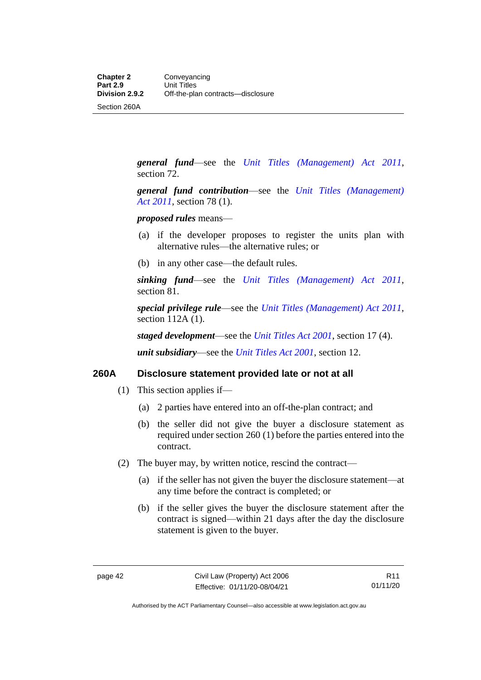Section 260A

*general fund*—see the *[Unit Titles \(Management\) Act 2011](http://www.legislation.act.gov.au/a/2011-41)*, section 72.

*general fund contribution*—see the *[Unit Titles \(Management\)](http://www.legislation.act.gov.au/a/2011-41)  Act [2011](http://www.legislation.act.gov.au/a/2011-41)*, section 78 (1).

*proposed rules* means—

- (a) if the developer proposes to register the units plan with alternative rules—the alternative rules; or
- (b) in any other case—the default rules.

*sinking fund*—see the *[Unit Titles \(Management\) Act 2011](http://www.legislation.act.gov.au/a/2011-41)*, section 81.

*special privilege rule*—see the *[Unit Titles \(Management\) Act 2011](http://www.legislation.act.gov.au/a/2011-41)*, section 112A (1).

*staged development*—see the *[Unit Titles Act 2001](http://www.legislation.act.gov.au/a/2001-16)*, section 17 (4).

*unit subsidiary*—see the *[Unit Titles Act 2001](http://www.legislation.act.gov.au/a/2001-16)*, section 12.

#### **260A Disclosure statement provided late or not at all**

- (1) This section applies if—
	- (a) 2 parties have entered into an off-the-plan contract; and
	- (b) the seller did not give the buyer a disclosure statement as required under section 260 (1) before the parties entered into the contract.
- (2) The buyer may, by written notice, rescind the contract—
	- (a) if the seller has not given the buyer the disclosure statement—at any time before the contract is completed; or
	- (b) if the seller gives the buyer the disclosure statement after the contract is signed—within 21 days after the day the disclosure statement is given to the buyer.

Authorised by the ACT Parliamentary Counsel—also accessible at www.legislation.act.gov.au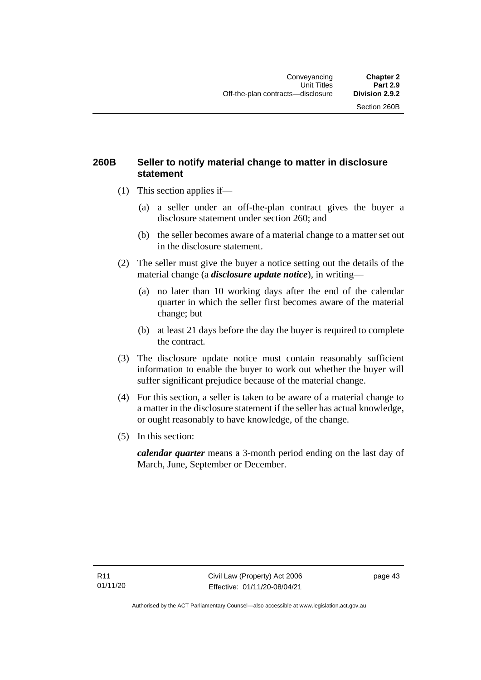## **260B Seller to notify material change to matter in disclosure statement**

- (1) This section applies if—
	- (a) a seller under an off-the-plan contract gives the buyer a disclosure statement under section 260; and
	- (b) the seller becomes aware of a material change to a matter set out in the disclosure statement.
- (2) The seller must give the buyer a notice setting out the details of the material change (a *disclosure update notice*), in writing—
	- (a) no later than 10 working days after the end of the calendar quarter in which the seller first becomes aware of the material change; but
	- (b) at least 21 days before the day the buyer is required to complete the contract.
- (3) The disclosure update notice must contain reasonably sufficient information to enable the buyer to work out whether the buyer will suffer significant prejudice because of the material change.
- (4) For this section, a seller is taken to be aware of a material change to a matter in the disclosure statement if the seller has actual knowledge, or ought reasonably to have knowledge, of the change.
- (5) In this section:

*calendar quarter* means a 3-month period ending on the last day of March, June, September or December.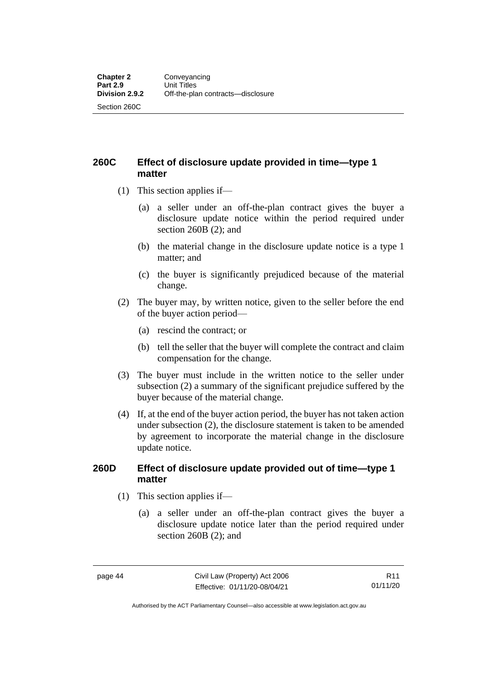**260C Effect of disclosure update provided in time—type 1 matter**

- (1) This section applies if—
	- (a) a seller under an off-the-plan contract gives the buyer a disclosure update notice within the period required under section 260B (2); and
	- (b) the material change in the disclosure update notice is a type 1 matter; and
	- (c) the buyer is significantly prejudiced because of the material change.
- (2) The buyer may, by written notice, given to the seller before the end of the buyer action period—
	- (a) rescind the contract; or
	- (b) tell the seller that the buyer will complete the contract and claim compensation for the change.
- (3) The buyer must include in the written notice to the seller under subsection (2) a summary of the significant prejudice suffered by the buyer because of the material change.
- (4) If, at the end of the buyer action period, the buyer has not taken action under subsection (2), the disclosure statement is taken to be amended by agreement to incorporate the material change in the disclosure update notice.

#### **260D Effect of disclosure update provided out of time—type 1 matter**

- (1) This section applies if—
	- (a) a seller under an off-the-plan contract gives the buyer a disclosure update notice later than the period required under section 260B (2); and

R11 01/11/20

Authorised by the ACT Parliamentary Counsel—also accessible at www.legislation.act.gov.au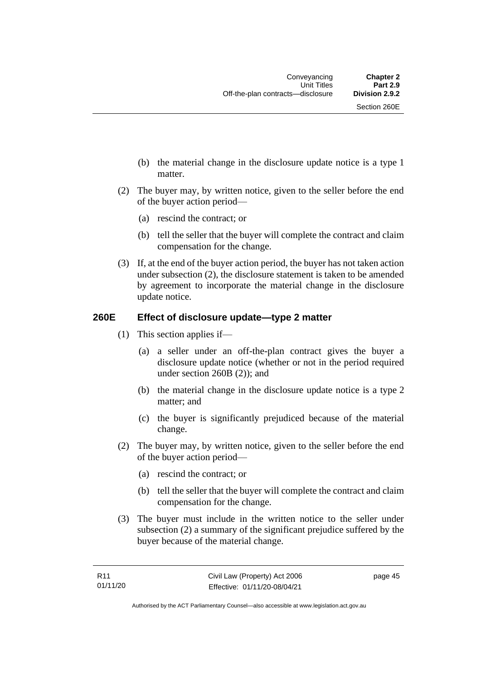- (b) the material change in the disclosure update notice is a type 1 matter.
- (2) The buyer may, by written notice, given to the seller before the end of the buyer action period—
	- (a) rescind the contract; or
	- (b) tell the seller that the buyer will complete the contract and claim compensation for the change.
- (3) If, at the end of the buyer action period, the buyer has not taken action under subsection (2), the disclosure statement is taken to be amended by agreement to incorporate the material change in the disclosure update notice.

## **260E Effect of disclosure update—type 2 matter**

- (1) This section applies if—
	- (a) a seller under an off-the-plan contract gives the buyer a disclosure update notice (whether or not in the period required under section 260B (2)); and
	- (b) the material change in the disclosure update notice is a type 2 matter; and
	- (c) the buyer is significantly prejudiced because of the material change.
- (2) The buyer may, by written notice, given to the seller before the end of the buyer action period—
	- (a) rescind the contract; or
	- (b) tell the seller that the buyer will complete the contract and claim compensation for the change.
- (3) The buyer must include in the written notice to the seller under subsection (2) a summary of the significant prejudice suffered by the buyer because of the material change.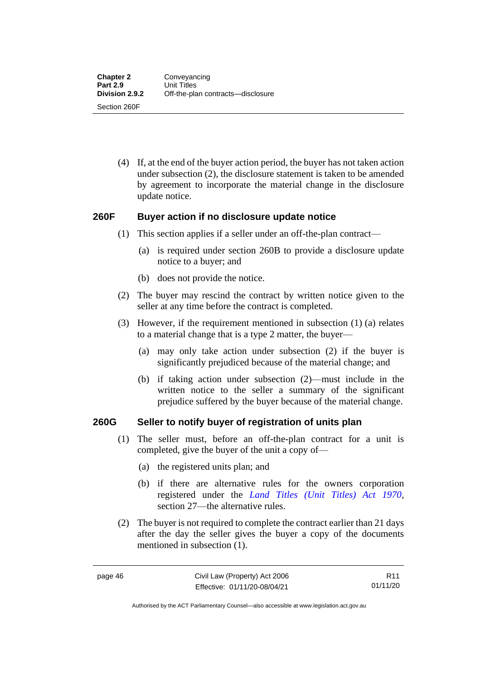(4) If, at the end of the buyer action period, the buyer has not taken action under subsection (2), the disclosure statement is taken to be amended by agreement to incorporate the material change in the disclosure update notice.

### **260F Buyer action if no disclosure update notice**

- (1) This section applies if a seller under an off-the-plan contract—
	- (a) is required under section 260B to provide a disclosure update notice to a buyer; and
	- (b) does not provide the notice.
- (2) The buyer may rescind the contract by written notice given to the seller at any time before the contract is completed.
- (3) However, if the requirement mentioned in subsection (1) (a) relates to a material change that is a type 2 matter, the buyer—
	- (a) may only take action under subsection (2) if the buyer is significantly prejudiced because of the material change; and
	- (b) if taking action under subsection (2)—must include in the written notice to the seller a summary of the significant prejudice suffered by the buyer because of the material change.

#### **260G Seller to notify buyer of registration of units plan**

- (1) The seller must, before an off-the-plan contract for a unit is completed, give the buyer of the unit a copy of—
	- (a) the registered units plan; and
	- (b) if there are alternative rules for the owners corporation registered under the *[Land Titles \(Unit Titles\) Act 1970](http://www.legislation.act.gov.au/a/1970-32)*, section 27—the alternative rules.
- (2) The buyer is not required to complete the contract earlier than 21 days after the day the seller gives the buyer a copy of the documents mentioned in subsection (1).

R11 01/11/20

Authorised by the ACT Parliamentary Counsel—also accessible at www.legislation.act.gov.au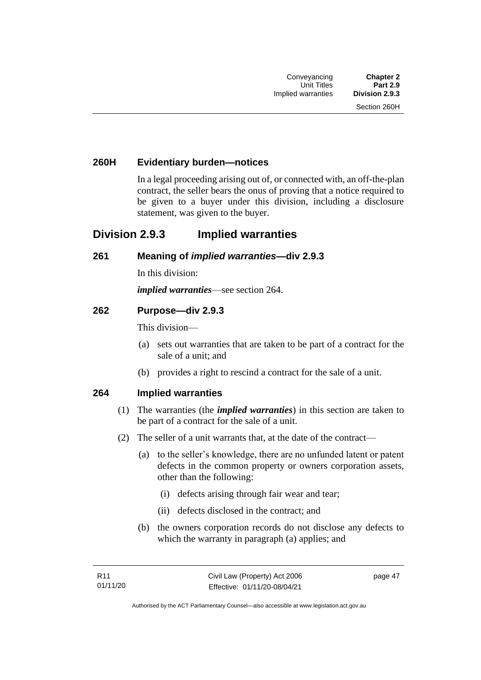## **260H Evidentiary burden—notices**

In a legal proceeding arising out of, or connected with, an off-the-plan contract, the seller bears the onus of proving that a notice required to be given to a buyer under this division, including a disclosure statement, was given to the buyer.

## **Division 2.9.3 Implied warranties**

#### **261 Meaning of** *implied warranties***—div 2.9.3**

In this division:

*implied warranties*—see section 264.

#### **262 Purpose—div 2.9.3**

This division—

- (a) sets out warranties that are taken to be part of a contract for the sale of a unit; and
- (b) provides a right to rescind a contract for the sale of a unit.

#### **264 Implied warranties**

- (1) The warranties (the *implied warranties*) in this section are taken to be part of a contract for the sale of a unit.
- (2) The seller of a unit warrants that, at the date of the contract—
	- (a) to the seller's knowledge, there are no unfunded latent or patent defects in the common property or owners corporation assets, other than the following:
		- (i) defects arising through fair wear and tear;
		- (ii) defects disclosed in the contract; and
	- (b) the owners corporation records do not disclose any defects to which the warranty in paragraph (a) applies; and

page 47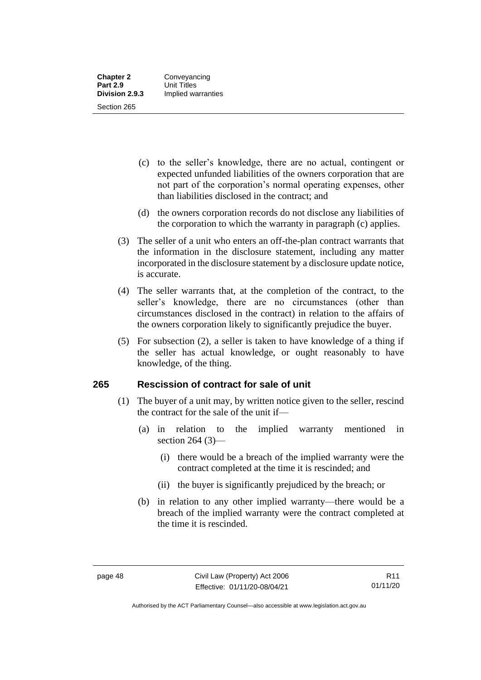- (c) to the seller's knowledge, there are no actual, contingent or expected unfunded liabilities of the owners corporation that are not part of the corporation's normal operating expenses, other than liabilities disclosed in the contract; and
- (d) the owners corporation records do not disclose any liabilities of the corporation to which the warranty in paragraph (c) applies.
- (3) The seller of a unit who enters an off-the-plan contract warrants that the information in the disclosure statement, including any matter incorporated in the disclosure statement by a disclosure update notice, is accurate.
- (4) The seller warrants that, at the completion of the contract, to the seller's knowledge, there are no circumstances (other than circumstances disclosed in the contract) in relation to the affairs of the owners corporation likely to significantly prejudice the buyer.
- (5) For subsection (2), a seller is taken to have knowledge of a thing if the seller has actual knowledge, or ought reasonably to have knowledge, of the thing.

## **265 Rescission of contract for sale of unit**

- (1) The buyer of a unit may, by written notice given to the seller, rescind the contract for the sale of the unit if—
	- (a) in relation to the implied warranty mentioned in section 264 (3)—
		- (i) there would be a breach of the implied warranty were the contract completed at the time it is rescinded; and
		- (ii) the buyer is significantly prejudiced by the breach; or
	- (b) in relation to any other implied warranty—there would be a breach of the implied warranty were the contract completed at the time it is rescinded.

Authorised by the ACT Parliamentary Counsel—also accessible at www.legislation.act.gov.au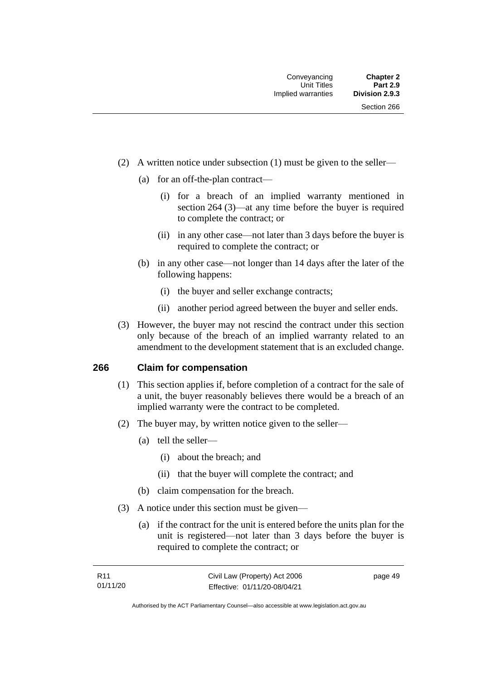- (2) A written notice under subsection (1) must be given to the seller—
	- (a) for an off-the-plan contract—
		- (i) for a breach of an implied warranty mentioned in section 264 (3)—at any time before the buyer is required to complete the contract; or
		- (ii) in any other case—not later than 3 days before the buyer is required to complete the contract; or
	- (b) in any other case—not longer than 14 days after the later of the following happens:
		- (i) the buyer and seller exchange contracts;
		- (ii) another period agreed between the buyer and seller ends.
- (3) However, the buyer may not rescind the contract under this section only because of the breach of an implied warranty related to an amendment to the development statement that is an excluded change.

#### **266 Claim for compensation**

- (1) This section applies if, before completion of a contract for the sale of a unit, the buyer reasonably believes there would be a breach of an implied warranty were the contract to be completed.
- (2) The buyer may, by written notice given to the seller—
	- (a) tell the seller—
		- (i) about the breach; and
		- (ii) that the buyer will complete the contract; and
	- (b) claim compensation for the breach.
- (3) A notice under this section must be given—
	- (a) if the contract for the unit is entered before the units plan for the unit is registered—not later than 3 days before the buyer is required to complete the contract; or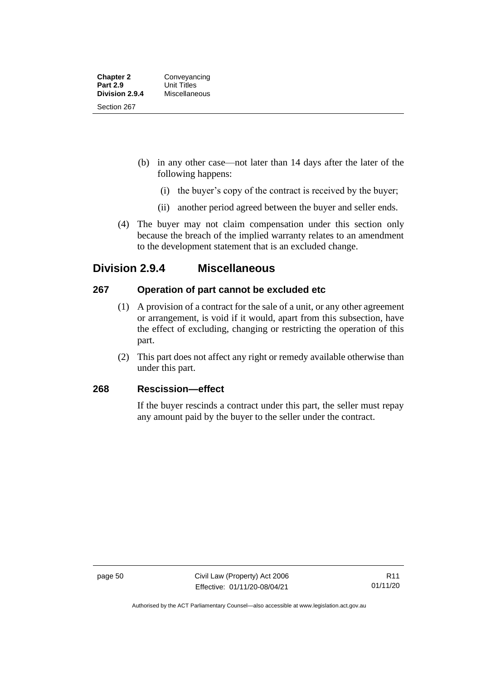- (b) in any other case—not later than 14 days after the later of the following happens:
	- (i) the buyer's copy of the contract is received by the buyer;
	- (ii) another period agreed between the buyer and seller ends.
- (4) The buyer may not claim compensation under this section only because the breach of the implied warranty relates to an amendment to the development statement that is an excluded change.

## **Division 2.9.4 Miscellaneous**

## **267 Operation of part cannot be excluded etc**

- (1) A provision of a contract for the sale of a unit, or any other agreement or arrangement, is void if it would, apart from this subsection, have the effect of excluding, changing or restricting the operation of this part.
- (2) This part does not affect any right or remedy available otherwise than under this part.

## **268 Rescission—effect**

If the buyer rescinds a contract under this part, the seller must repay any amount paid by the buyer to the seller under the contract.

Authorised by the ACT Parliamentary Counsel—also accessible at www.legislation.act.gov.au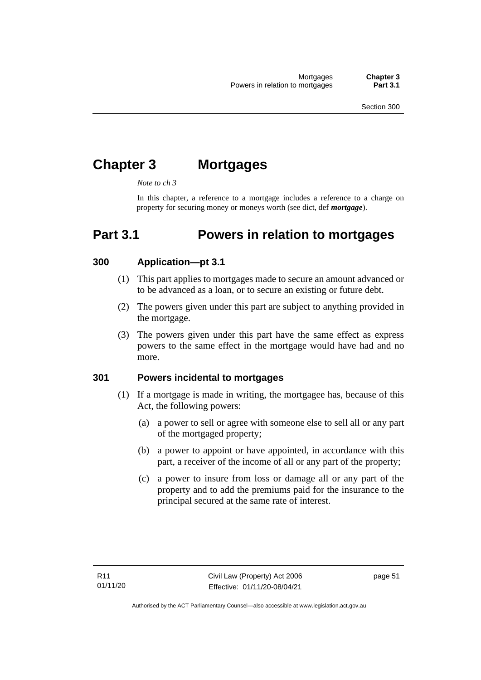# **Chapter 3 Mortgages**

*Note to ch 3*

In this chapter, a reference to a mortgage includes a reference to a charge on property for securing money or moneys worth (see dict, def *mortgage*).

# **Part 3.1 Powers in relation to mortgages**

## **300 Application—pt 3.1**

- (1) This part applies to mortgages made to secure an amount advanced or to be advanced as a loan, or to secure an existing or future debt.
- (2) The powers given under this part are subject to anything provided in the mortgage.
- (3) The powers given under this part have the same effect as express powers to the same effect in the mortgage would have had and no more.

### **301 Powers incidental to mortgages**

- (1) If a mortgage is made in writing, the mortgagee has, because of this Act, the following powers:
	- (a) a power to sell or agree with someone else to sell all or any part of the mortgaged property;
	- (b) a power to appoint or have appointed, in accordance with this part, a receiver of the income of all or any part of the property;
	- (c) a power to insure from loss or damage all or any part of the property and to add the premiums paid for the insurance to the principal secured at the same rate of interest.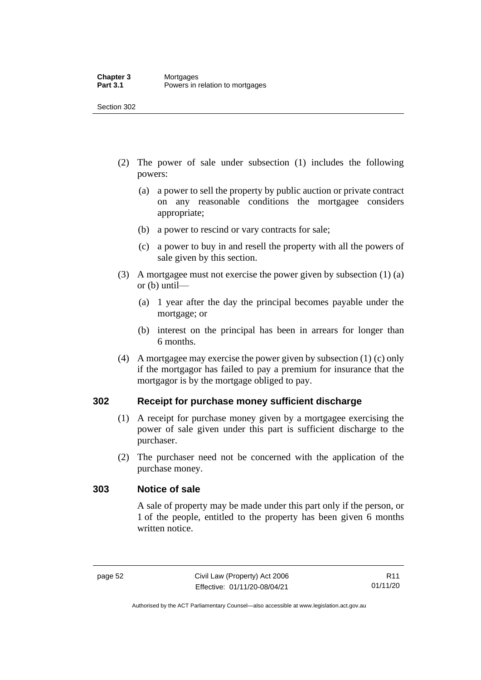- (2) The power of sale under subsection (1) includes the following powers:
	- (a) a power to sell the property by public auction or private contract on any reasonable conditions the mortgagee considers appropriate;
	- (b) a power to rescind or vary contracts for sale;
	- (c) a power to buy in and resell the property with all the powers of sale given by this section.
- (3) A mortgagee must not exercise the power given by subsection (1) (a) or (b) until—
	- (a) 1 year after the day the principal becomes payable under the mortgage; or
	- (b) interest on the principal has been in arrears for longer than 6 months.
- (4) A mortgagee may exercise the power given by subsection (1) (c) only if the mortgagor has failed to pay a premium for insurance that the mortgagor is by the mortgage obliged to pay.

## **302 Receipt for purchase money sufficient discharge**

- (1) A receipt for purchase money given by a mortgagee exercising the power of sale given under this part is sufficient discharge to the purchaser.
- (2) The purchaser need not be concerned with the application of the purchase money.

#### **303 Notice of sale**

A sale of property may be made under this part only if the person, or 1 of the people, entitled to the property has been given 6 months written notice.

Authorised by the ACT Parliamentary Counsel—also accessible at www.legislation.act.gov.au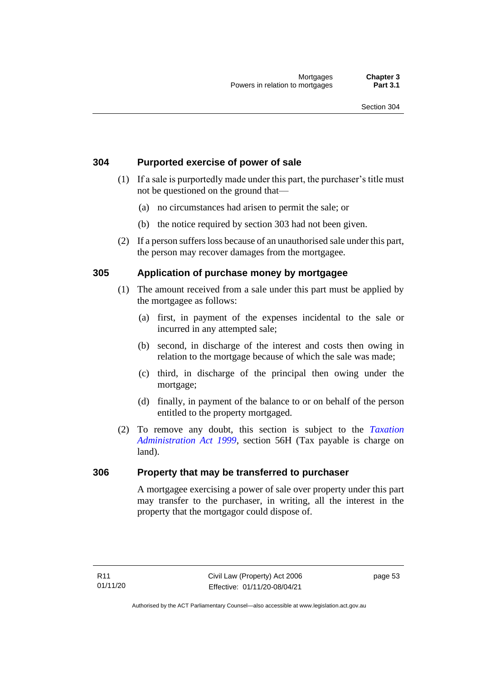## **304 Purported exercise of power of sale**

- (1) If a sale is purportedly made under this part, the purchaser's title must not be questioned on the ground that—
	- (a) no circumstances had arisen to permit the sale; or
	- (b) the notice required by section 303 had not been given.
- (2) If a person suffers loss because of an unauthorised sale under this part, the person may recover damages from the mortgagee.

## **305 Application of purchase money by mortgagee**

- (1) The amount received from a sale under this part must be applied by the mortgagee as follows:
	- (a) first, in payment of the expenses incidental to the sale or incurred in any attempted sale;
	- (b) second, in discharge of the interest and costs then owing in relation to the mortgage because of which the sale was made;
	- (c) third, in discharge of the principal then owing under the mortgage;
	- (d) finally, in payment of the balance to or on behalf of the person entitled to the property mortgaged.
- (2) To remove any doubt, this section is subject to the *[Taxation](http://www.legislation.act.gov.au/a/1999-4)  [Administration Act 1999](http://www.legislation.act.gov.au/a/1999-4)*, section 56H (Tax payable is charge on land).

#### **306 Property that may be transferred to purchaser**

A mortgagee exercising a power of sale over property under this part may transfer to the purchaser, in writing, all the interest in the property that the mortgagor could dispose of.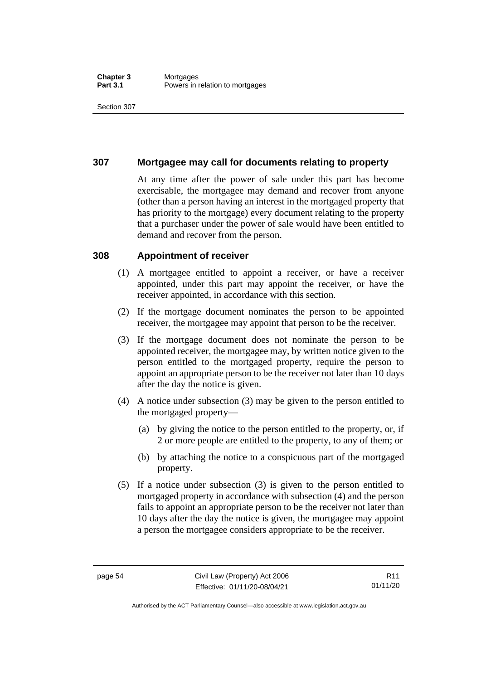## **307 Mortgagee may call for documents relating to property**

At any time after the power of sale under this part has become exercisable, the mortgagee may demand and recover from anyone (other than a person having an interest in the mortgaged property that has priority to the mortgage) every document relating to the property that a purchaser under the power of sale would have been entitled to demand and recover from the person.

#### **308 Appointment of receiver**

- (1) A mortgagee entitled to appoint a receiver, or have a receiver appointed, under this part may appoint the receiver, or have the receiver appointed, in accordance with this section.
- (2) If the mortgage document nominates the person to be appointed receiver, the mortgagee may appoint that person to be the receiver.
- (3) If the mortgage document does not nominate the person to be appointed receiver, the mortgagee may, by written notice given to the person entitled to the mortgaged property, require the person to appoint an appropriate person to be the receiver not later than 10 days after the day the notice is given.
- (4) A notice under subsection (3) may be given to the person entitled to the mortgaged property—
	- (a) by giving the notice to the person entitled to the property, or, if 2 or more people are entitled to the property, to any of them; or
	- (b) by attaching the notice to a conspicuous part of the mortgaged property.
- (5) If a notice under subsection (3) is given to the person entitled to mortgaged property in accordance with subsection (4) and the person fails to appoint an appropriate person to be the receiver not later than 10 days after the day the notice is given, the mortgagee may appoint a person the mortgagee considers appropriate to be the receiver.

Authorised by the ACT Parliamentary Counsel—also accessible at www.legislation.act.gov.au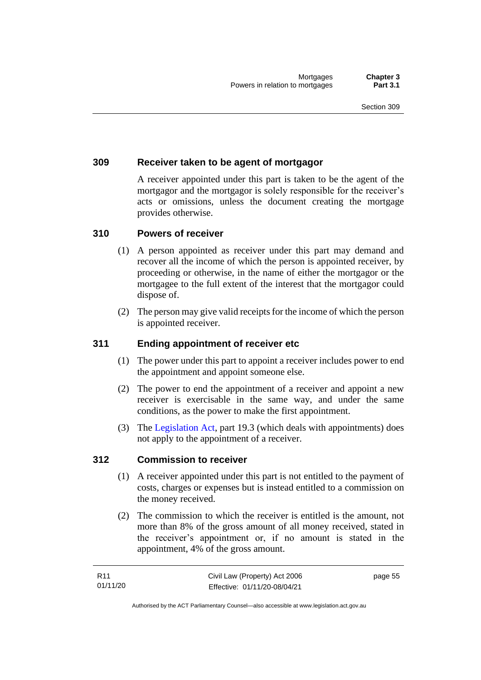## **309 Receiver taken to be agent of mortgagor**

A receiver appointed under this part is taken to be the agent of the mortgagor and the mortgagor is solely responsible for the receiver's acts or omissions, unless the document creating the mortgage provides otherwise.

## **310 Powers of receiver**

- (1) A person appointed as receiver under this part may demand and recover all the income of which the person is appointed receiver, by proceeding or otherwise, in the name of either the mortgagor or the mortgagee to the full extent of the interest that the mortgagor could dispose of.
- (2) The person may give valid receipts for the income of which the person is appointed receiver.

### **311 Ending appointment of receiver etc**

- (1) The power under this part to appoint a receiver includes power to end the appointment and appoint someone else.
- (2) The power to end the appointment of a receiver and appoint a new receiver is exercisable in the same way, and under the same conditions, as the power to make the first appointment.
- (3) The [Legislation Act,](http://www.legislation.act.gov.au/a/2001-14) part 19.3 (which deals with appointments) does not apply to the appointment of a receiver.

#### **312 Commission to receiver**

- (1) A receiver appointed under this part is not entitled to the payment of costs, charges or expenses but is instead entitled to a commission on the money received.
- (2) The commission to which the receiver is entitled is the amount, not more than 8% of the gross amount of all money received, stated in the receiver's appointment or, if no amount is stated in the appointment, 4% of the gross amount.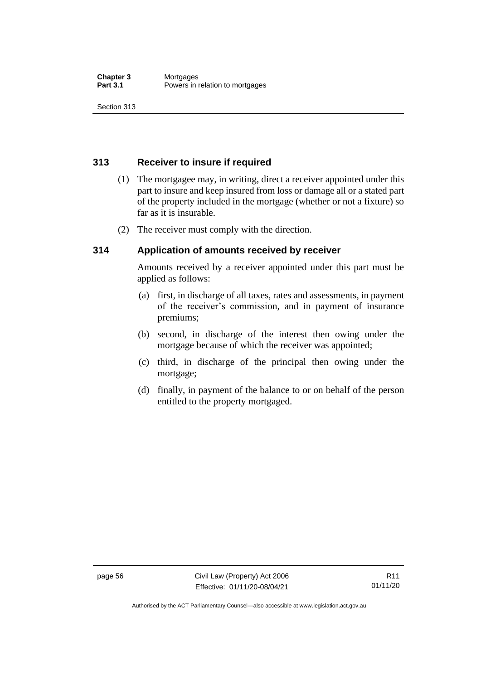## **313 Receiver to insure if required**

- (1) The mortgagee may, in writing, direct a receiver appointed under this part to insure and keep insured from loss or damage all or a stated part of the property included in the mortgage (whether or not a fixture) so far as it is insurable.
- (2) The receiver must comply with the direction.

## **314 Application of amounts received by receiver**

Amounts received by a receiver appointed under this part must be applied as follows:

- (a) first, in discharge of all taxes, rates and assessments, in payment of the receiver's commission, and in payment of insurance premiums;
- (b) second, in discharge of the interest then owing under the mortgage because of which the receiver was appointed;
- (c) third, in discharge of the principal then owing under the mortgage;
- (d) finally, in payment of the balance to or on behalf of the person entitled to the property mortgaged.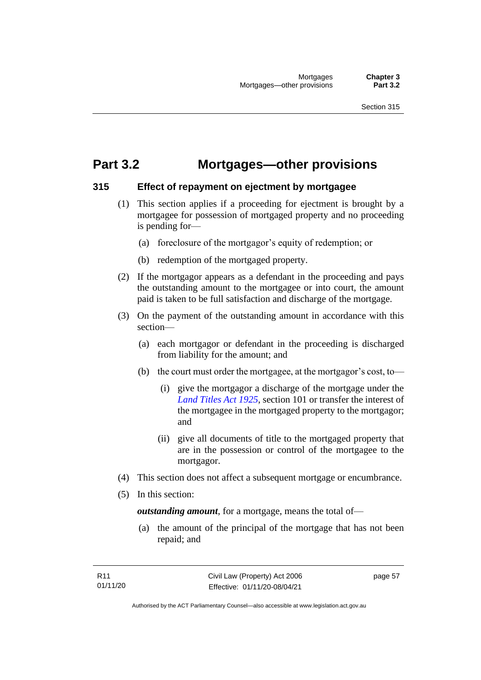## **Part 3.2 Mortgages—other provisions**

## **315 Effect of repayment on ejectment by mortgagee**

- (1) This section applies if a proceeding for ejectment is brought by a mortgagee for possession of mortgaged property and no proceeding is pending for—
	- (a) foreclosure of the mortgagor's equity of redemption; or
	- (b) redemption of the mortgaged property.
- (2) If the mortgagor appears as a defendant in the proceeding and pays the outstanding amount to the mortgagee or into court, the amount paid is taken to be full satisfaction and discharge of the mortgage.
- (3) On the payment of the outstanding amount in accordance with this section—
	- (a) each mortgagor or defendant in the proceeding is discharged from liability for the amount; and
	- (b) the court must order the mortgagee, at the mortgagor's cost, to—
		- (i) give the mortgagor a discharge of the mortgage under the *[Land Titles Act 1925](http://www.legislation.act.gov.au/a/1925-1)*, section 101 or transfer the interest of the mortgagee in the mortgaged property to the mortgagor; and
		- (ii) give all documents of title to the mortgaged property that are in the possession or control of the mortgagee to the mortgagor.
- (4) This section does not affect a subsequent mortgage or encumbrance.
- (5) In this section:

*outstanding amount*, for a mortgage, means the total of—

(a) the amount of the principal of the mortgage that has not been repaid; and

page 57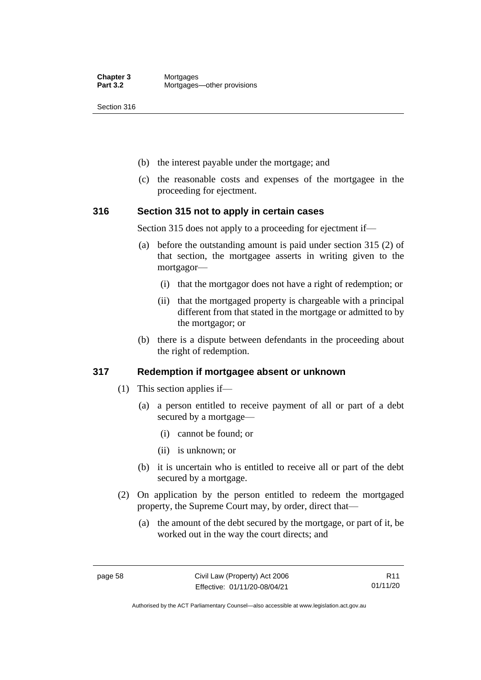- (b) the interest payable under the mortgage; and
- (c) the reasonable costs and expenses of the mortgagee in the proceeding for ejectment.

#### **316 Section 315 not to apply in certain cases**

Section 315 does not apply to a proceeding for ejectment if—

- (a) before the outstanding amount is paid under section 315 (2) of that section, the mortgagee asserts in writing given to the mortgagor—
	- (i) that the mortgagor does not have a right of redemption; or
	- (ii) that the mortgaged property is chargeable with a principal different from that stated in the mortgage or admitted to by the mortgagor; or
- (b) there is a dispute between defendants in the proceeding about the right of redemption.

#### **317 Redemption if mortgagee absent or unknown**

- (1) This section applies if—
	- (a) a person entitled to receive payment of all or part of a debt secured by a mortgage—
		- (i) cannot be found; or
		- (ii) is unknown; or
	- (b) it is uncertain who is entitled to receive all or part of the debt secured by a mortgage.
- (2) On application by the person entitled to redeem the mortgaged property, the Supreme Court may, by order, direct that—
	- (a) the amount of the debt secured by the mortgage, or part of it, be worked out in the way the court directs; and

R11 01/11/20

Authorised by the ACT Parliamentary Counsel—also accessible at www.legislation.act.gov.au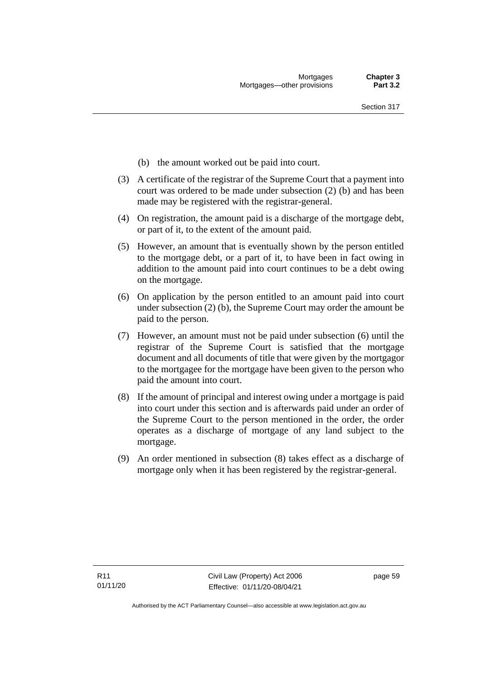- (b) the amount worked out be paid into court.
- (3) A certificate of the registrar of the Supreme Court that a payment into court was ordered to be made under subsection (2) (b) and has been made may be registered with the registrar-general.
- (4) On registration, the amount paid is a discharge of the mortgage debt, or part of it, to the extent of the amount paid.
- (5) However, an amount that is eventually shown by the person entitled to the mortgage debt, or a part of it, to have been in fact owing in addition to the amount paid into court continues to be a debt owing on the mortgage.
- (6) On application by the person entitled to an amount paid into court under subsection (2) (b), the Supreme Court may order the amount be paid to the person.
- (7) However, an amount must not be paid under subsection (6) until the registrar of the Supreme Court is satisfied that the mortgage document and all documents of title that were given by the mortgagor to the mortgagee for the mortgage have been given to the person who paid the amount into court.
- (8) If the amount of principal and interest owing under a mortgage is paid into court under this section and is afterwards paid under an order of the Supreme Court to the person mentioned in the order, the order operates as a discharge of mortgage of any land subject to the mortgage.
- (9) An order mentioned in subsection (8) takes effect as a discharge of mortgage only when it has been registered by the registrar-general.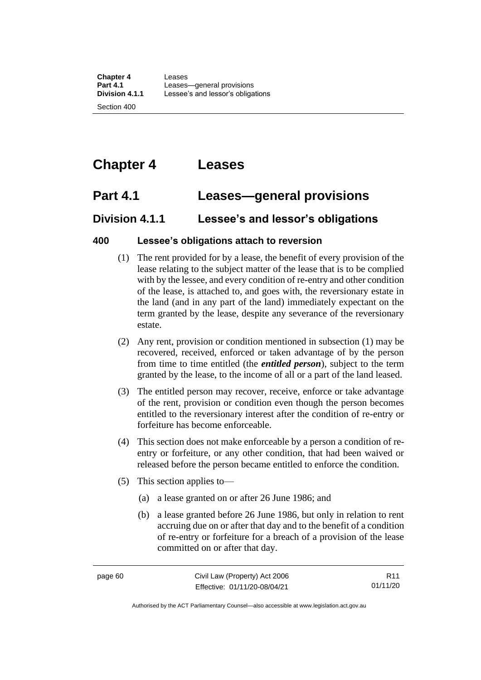# **Chapter 4 Leases**

# **Part 4.1 Leases—general provisions**

## **Division 4.1.1 Lessee's and lessor's obligations**

## **400 Lessee's obligations attach to reversion**

- (1) The rent provided for by a lease, the benefit of every provision of the lease relating to the subject matter of the lease that is to be complied with by the lessee, and every condition of re-entry and other condition of the lease, is attached to, and goes with, the reversionary estate in the land (and in any part of the land) immediately expectant on the term granted by the lease, despite any severance of the reversionary estate.
- (2) Any rent, provision or condition mentioned in subsection (1) may be recovered, received, enforced or taken advantage of by the person from time to time entitled (the *entitled person*), subject to the term granted by the lease, to the income of all or a part of the land leased.
- (3) The entitled person may recover, receive, enforce or take advantage of the rent, provision or condition even though the person becomes entitled to the reversionary interest after the condition of re-entry or forfeiture has become enforceable.
- (4) This section does not make enforceable by a person a condition of reentry or forfeiture, or any other condition, that had been waived or released before the person became entitled to enforce the condition.
- (5) This section applies to—
	- (a) a lease granted on or after 26 June 1986; and
	- (b) a lease granted before 26 June 1986, but only in relation to rent accruing due on or after that day and to the benefit of a condition of re-entry or forfeiture for a breach of a provision of the lease committed on or after that day.

R11 01/11/20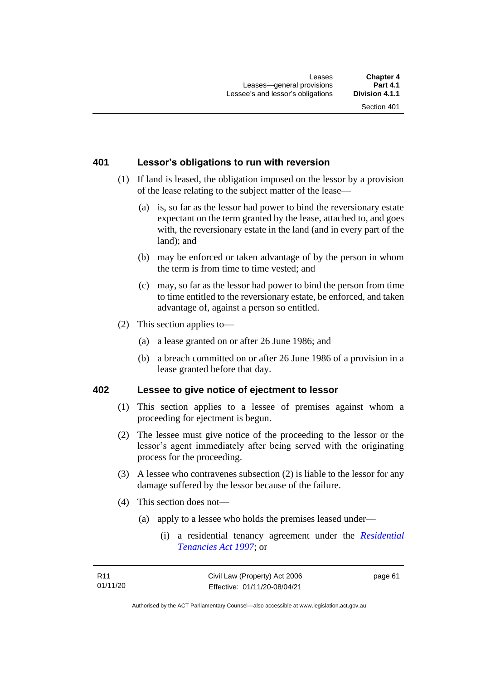## **401 Lessor's obligations to run with reversion**

- (1) If land is leased, the obligation imposed on the lessor by a provision of the lease relating to the subject matter of the lease—
	- (a) is, so far as the lessor had power to bind the reversionary estate expectant on the term granted by the lease, attached to, and goes with, the reversionary estate in the land (and in every part of the land); and
	- (b) may be enforced or taken advantage of by the person in whom the term is from time to time vested; and
	- (c) may, so far as the lessor had power to bind the person from time to time entitled to the reversionary estate, be enforced, and taken advantage of, against a person so entitled.
- (2) This section applies to—
	- (a) a lease granted on or after 26 June 1986; and
	- (b) a breach committed on or after 26 June 1986 of a provision in a lease granted before that day.

#### **402 Lessee to give notice of ejectment to lessor**

- (1) This section applies to a lessee of premises against whom a proceeding for ejectment is begun.
- (2) The lessee must give notice of the proceeding to the lessor or the lessor's agent immediately after being served with the originating process for the proceeding.
- (3) A lessee who contravenes subsection (2) is liable to the lessor for any damage suffered by the lessor because of the failure.
- (4) This section does not—
	- (a) apply to a lessee who holds the premises leased under—
		- (i) a residential tenancy agreement under the *[Residential](http://www.legislation.act.gov.au/a/1997-84)  [Tenancies Act 1997](http://www.legislation.act.gov.au/a/1997-84)*; or

page 61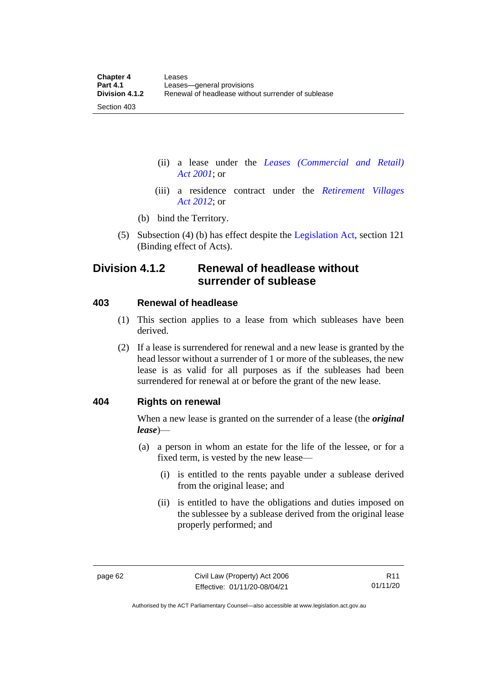(ii) a lease under the *[Leases \(Commercial and Retail\)](http://www.legislation.act.gov.au/a/2001-18)  Act [2001](http://www.legislation.act.gov.au/a/2001-18)*; or

- (iii) a residence contract under the *[Retirement Villages](http://www.legislation.act.gov.au/a/2012-38)  Act [2012](http://www.legislation.act.gov.au/a/2012-38)*; or
- (b) bind the Territory.
- (5) Subsection (4) (b) has effect despite the [Legislation Act,](http://www.legislation.act.gov.au/a/2001-14) section 121 (Binding effect of Acts).

## **Division 4.1.2 Renewal of headlease without surrender of sublease**

#### **403 Renewal of headlease**

Section 403

- (1) This section applies to a lease from which subleases have been derived.
- (2) If a lease is surrendered for renewal and a new lease is granted by the head lessor without a surrender of 1 or more of the subleases, the new lease is as valid for all purposes as if the subleases had been surrendered for renewal at or before the grant of the new lease.

### **404 Rights on renewal**

When a new lease is granted on the surrender of a lease (the *original lease*)—

- (a) a person in whom an estate for the life of the lessee, or for a fixed term, is vested by the new lease—
	- (i) is entitled to the rents payable under a sublease derived from the original lease; and
	- (ii) is entitled to have the obligations and duties imposed on the sublessee by a sublease derived from the original lease properly performed; and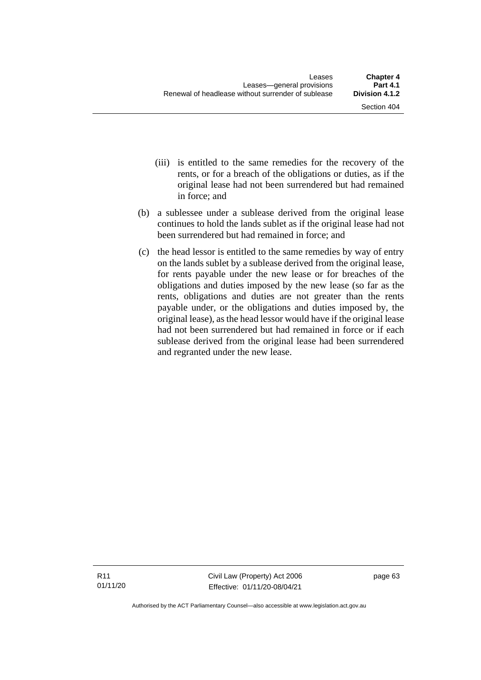- (iii) is entitled to the same remedies for the recovery of the rents, or for a breach of the obligations or duties, as if the original lease had not been surrendered but had remained in force; and
- (b) a sublessee under a sublease derived from the original lease continues to hold the lands sublet as if the original lease had not been surrendered but had remained in force; and
- (c) the head lessor is entitled to the same remedies by way of entry on the lands sublet by a sublease derived from the original lease, for rents payable under the new lease or for breaches of the obligations and duties imposed by the new lease (so far as the rents, obligations and duties are not greater than the rents payable under, or the obligations and duties imposed by, the original lease), as the head lessor would have if the original lease had not been surrendered but had remained in force or if each sublease derived from the original lease had been surrendered and regranted under the new lease.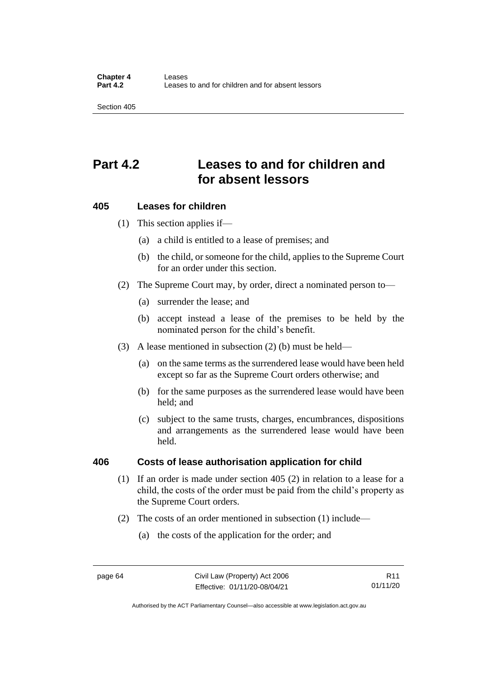## **Part 4.2 Leases to and for children and for absent lessors**

#### **405 Leases for children**

(1) This section applies if—

- (a) a child is entitled to a lease of premises; and
- (b) the child, or someone for the child, applies to the Supreme Court for an order under this section.
- (2) The Supreme Court may, by order, direct a nominated person to—
	- (a) surrender the lease; and
	- (b) accept instead a lease of the premises to be held by the nominated person for the child's benefit.
- (3) A lease mentioned in subsection (2) (b) must be held—
	- (a) on the same terms as the surrendered lease would have been held except so far as the Supreme Court orders otherwise; and
	- (b) for the same purposes as the surrendered lease would have been held; and
	- (c) subject to the same trusts, charges, encumbrances, dispositions and arrangements as the surrendered lease would have been held.

#### **406 Costs of lease authorisation application for child**

- (1) If an order is made under section 405 (2) in relation to a lease for a child, the costs of the order must be paid from the child's property as the Supreme Court orders.
- (2) The costs of an order mentioned in subsection (1) include—
	- (a) the costs of the application for the order; and

Authorised by the ACT Parliamentary Counsel—also accessible at www.legislation.act.gov.au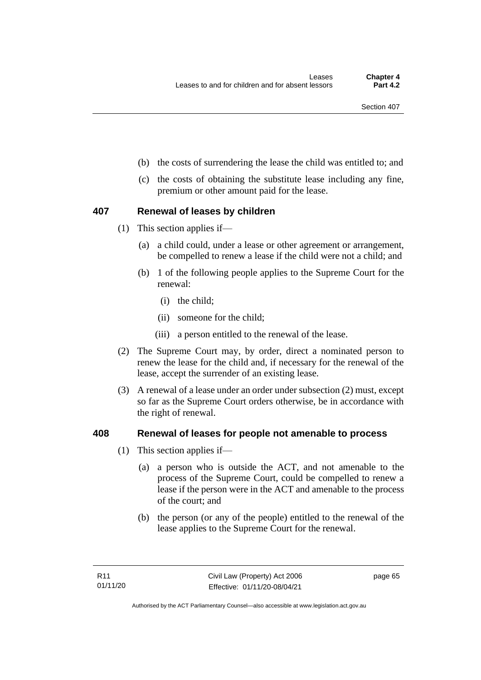- (b) the costs of surrendering the lease the child was entitled to; and
- (c) the costs of obtaining the substitute lease including any fine, premium or other amount paid for the lease.

#### **407 Renewal of leases by children**

- (1) This section applies if—
	- (a) a child could, under a lease or other agreement or arrangement, be compelled to renew a lease if the child were not a child; and
	- (b) 1 of the following people applies to the Supreme Court for the renewal:
		- (i) the child;
		- (ii) someone for the child;
		- (iii) a person entitled to the renewal of the lease.
- (2) The Supreme Court may, by order, direct a nominated person to renew the lease for the child and, if necessary for the renewal of the lease, accept the surrender of an existing lease.
- (3) A renewal of a lease under an order under subsection (2) must, except so far as the Supreme Court orders otherwise, be in accordance with the right of renewal.

#### **408 Renewal of leases for people not amenable to process**

- (1) This section applies if—
	- (a) a person who is outside the ACT, and not amenable to the process of the Supreme Court, could be compelled to renew a lease if the person were in the ACT and amenable to the process of the court; and
	- (b) the person (or any of the people) entitled to the renewal of the lease applies to the Supreme Court for the renewal.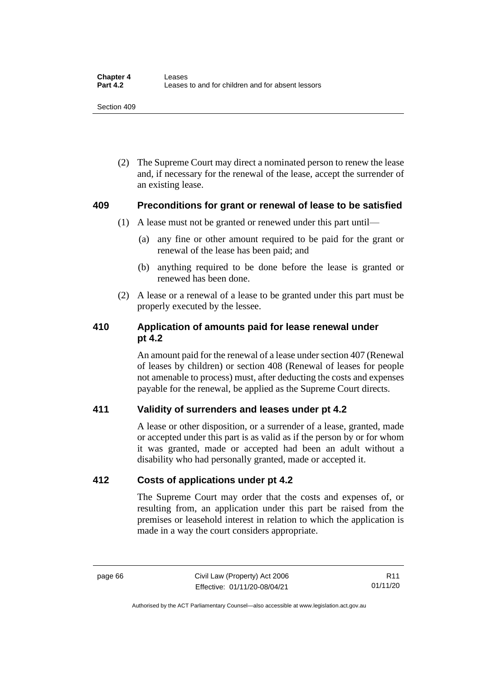(2) The Supreme Court may direct a nominated person to renew the lease and, if necessary for the renewal of the lease, accept the surrender of an existing lease.

#### **409 Preconditions for grant or renewal of lease to be satisfied**

- (1) A lease must not be granted or renewed under this part until—
	- (a) any fine or other amount required to be paid for the grant or renewal of the lease has been paid; and
	- (b) anything required to be done before the lease is granted or renewed has been done.
- (2) A lease or a renewal of a lease to be granted under this part must be properly executed by the lessee.

## **410 Application of amounts paid for lease renewal under pt 4.2**

An amount paid for the renewal of a lease under section 407 (Renewal of leases by children) or section 408 (Renewal of leases for people not amenable to process) must, after deducting the costs and expenses payable for the renewal, be applied as the Supreme Court directs.

## **411 Validity of surrenders and leases under pt 4.2**

A lease or other disposition, or a surrender of a lease, granted, made or accepted under this part is as valid as if the person by or for whom it was granted, made or accepted had been an adult without a disability who had personally granted, made or accepted it.

## **412 Costs of applications under pt 4.2**

The Supreme Court may order that the costs and expenses of, or resulting from, an application under this part be raised from the premises or leasehold interest in relation to which the application is made in a way the court considers appropriate.

page 66 Civil Law (Property) Act 2006 Effective: 01/11/20-08/04/21

R11 01/11/20

Authorised by the ACT Parliamentary Counsel—also accessible at www.legislation.act.gov.au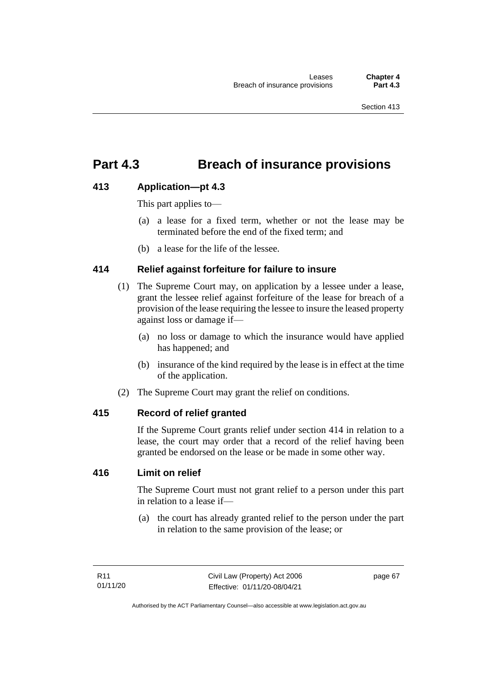## **Part 4.3 Breach of insurance provisions**

## **413 Application—pt 4.3**

This part applies to—

- (a) a lease for a fixed term, whether or not the lease may be terminated before the end of the fixed term; and
- (b) a lease for the life of the lessee.

## **414 Relief against forfeiture for failure to insure**

- (1) The Supreme Court may, on application by a lessee under a lease, grant the lessee relief against forfeiture of the lease for breach of a provision of the lease requiring the lessee to insure the leased property against loss or damage if—
	- (a) no loss or damage to which the insurance would have applied has happened; and
	- (b) insurance of the kind required by the lease is in effect at the time of the application.
- (2) The Supreme Court may grant the relief on conditions.

## **415 Record of relief granted**

If the Supreme Court grants relief under section 414 in relation to a lease, the court may order that a record of the relief having been granted be endorsed on the lease or be made in some other way.

### **416 Limit on relief**

The Supreme Court must not grant relief to a person under this part in relation to a lease if—

(a) the court has already granted relief to the person under the part in relation to the same provision of the lease; or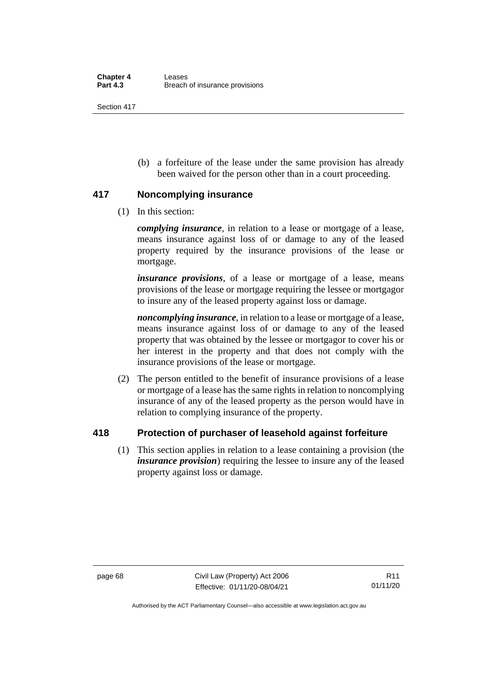(b) a forfeiture of the lease under the same provision has already been waived for the person other than in a court proceeding.

## **417 Noncomplying insurance**

(1) In this section:

*complying insurance*, in relation to a lease or mortgage of a lease, means insurance against loss of or damage to any of the leased property required by the insurance provisions of the lease or mortgage.

*insurance provisions*, of a lease or mortgage of a lease, means provisions of the lease or mortgage requiring the lessee or mortgagor to insure any of the leased property against loss or damage.

*noncomplying insurance*, in relation to a lease or mortgage of a lease, means insurance against loss of or damage to any of the leased property that was obtained by the lessee or mortgagor to cover his or her interest in the property and that does not comply with the insurance provisions of the lease or mortgage.

(2) The person entitled to the benefit of insurance provisions of a lease or mortgage of a lease has the same rights in relation to noncomplying insurance of any of the leased property as the person would have in relation to complying insurance of the property.

## **418 Protection of purchaser of leasehold against forfeiture**

(1) This section applies in relation to a lease containing a provision (the *insurance provision*) requiring the lessee to insure any of the leased property against loss or damage.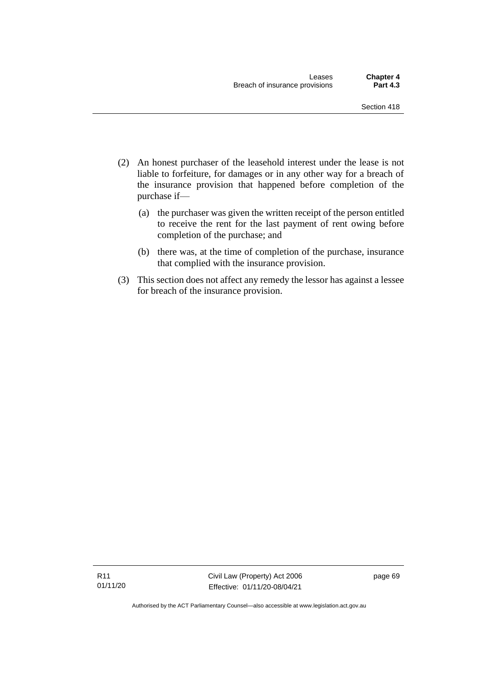- (2) An honest purchaser of the leasehold interest under the lease is not liable to forfeiture, for damages or in any other way for a breach of the insurance provision that happened before completion of the purchase if—
	- (a) the purchaser was given the written receipt of the person entitled to receive the rent for the last payment of rent owing before completion of the purchase; and
	- (b) there was, at the time of completion of the purchase, insurance that complied with the insurance provision.
- (3) This section does not affect any remedy the lessor has against a lessee for breach of the insurance provision.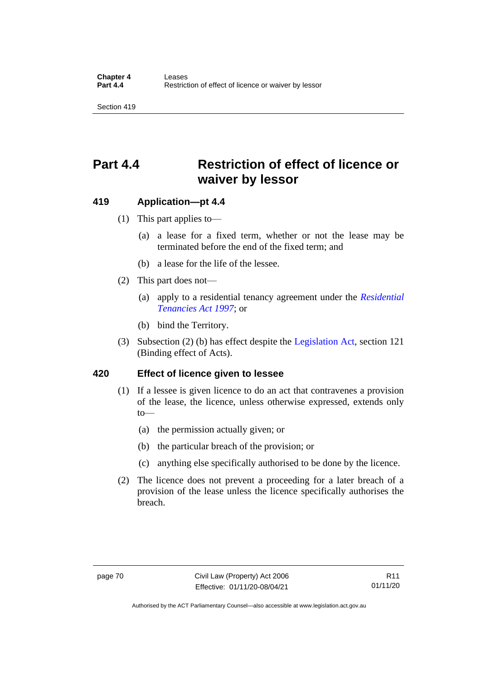## **Part 4.4 Restriction of effect of licence or waiver by lessor**

#### **419 Application—pt 4.4**

- (1) This part applies to—
	- (a) a lease for a fixed term, whether or not the lease may be terminated before the end of the fixed term; and
	- (b) a lease for the life of the lessee.
- (2) This part does not—
	- (a) apply to a residential tenancy agreement under the *[Residential](http://www.legislation.act.gov.au/a/1997-84)  [Tenancies Act 1997](http://www.legislation.act.gov.au/a/1997-84)*; or
	- (b) bind the Territory.
- (3) Subsection (2) (b) has effect despite the [Legislation Act,](http://www.legislation.act.gov.au/a/2001-14) section 121 (Binding effect of Acts).

#### **420 Effect of licence given to lessee**

- (1) If a lessee is given licence to do an act that contravenes a provision of the lease, the licence, unless otherwise expressed, extends only  $to$ —
	- (a) the permission actually given; or
	- (b) the particular breach of the provision; or
	- (c) anything else specifically authorised to be done by the licence.
- (2) The licence does not prevent a proceeding for a later breach of a provision of the lease unless the licence specifically authorises the breach.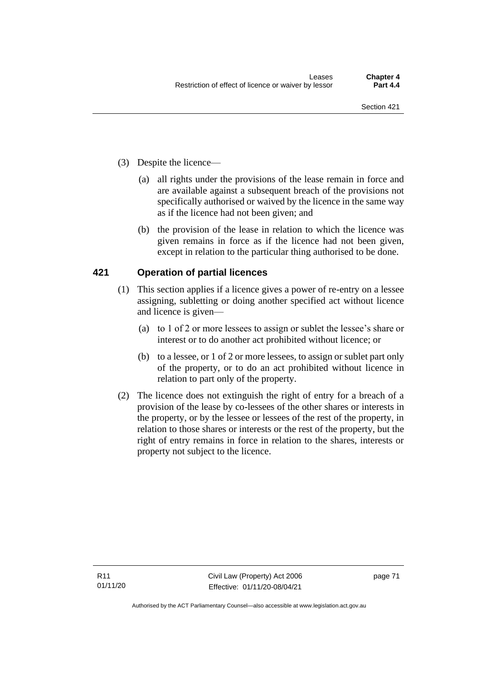- (3) Despite the licence—
	- (a) all rights under the provisions of the lease remain in force and are available against a subsequent breach of the provisions not specifically authorised or waived by the licence in the same way as if the licence had not been given; and
	- (b) the provision of the lease in relation to which the licence was given remains in force as if the licence had not been given, except in relation to the particular thing authorised to be done.

### **421 Operation of partial licences**

- (1) This section applies if a licence gives a power of re-entry on a lessee assigning, subletting or doing another specified act without licence and licence is given—
	- (a) to 1 of 2 or more lessees to assign or sublet the lessee's share or interest or to do another act prohibited without licence; or
	- (b) to a lessee, or 1 of 2 or more lessees, to assign or sublet part only of the property, or to do an act prohibited without licence in relation to part only of the property.
- (2) The licence does not extinguish the right of entry for a breach of a provision of the lease by co-lessees of the other shares or interests in the property, or by the lessee or lessees of the rest of the property, in relation to those shares or interests or the rest of the property, but the right of entry remains in force in relation to the shares, interests or property not subject to the licence.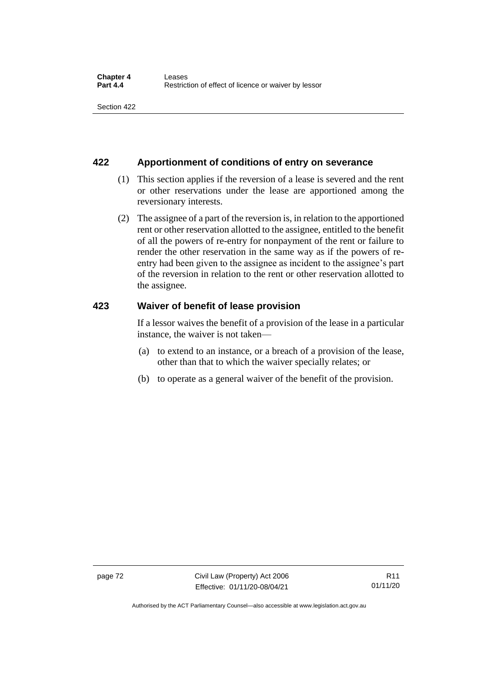### **422 Apportionment of conditions of entry on severance**

- (1) This section applies if the reversion of a lease is severed and the rent or other reservations under the lease are apportioned among the reversionary interests.
- (2) The assignee of a part of the reversion is, in relation to the apportioned rent or other reservation allotted to the assignee, entitled to the benefit of all the powers of re-entry for nonpayment of the rent or failure to render the other reservation in the same way as if the powers of reentry had been given to the assignee as incident to the assignee's part of the reversion in relation to the rent or other reservation allotted to the assignee.

### **423 Waiver of benefit of lease provision**

If a lessor waives the benefit of a provision of the lease in a particular instance, the waiver is not taken—

- (a) to extend to an instance, or a breach of a provision of the lease, other than that to which the waiver specially relates; or
- (b) to operate as a general waiver of the benefit of the provision.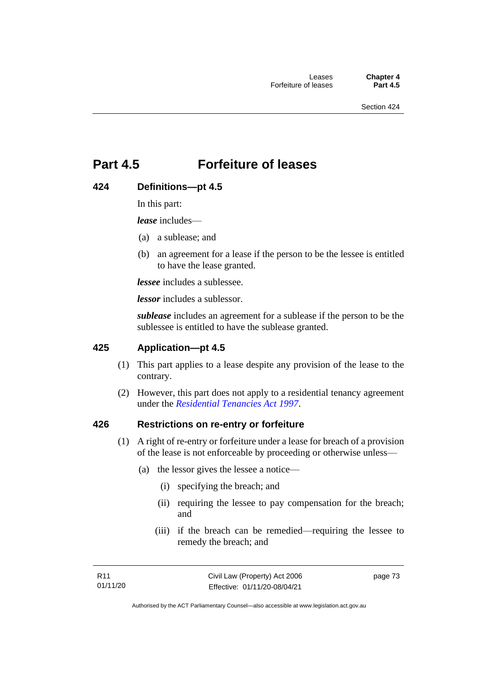## **Part 4.5 Forfeiture of leases**

## **424 Definitions—pt 4.5**

In this part:

*lease* includes—

- (a) a sublease; and
- (b) an agreement for a lease if the person to be the lessee is entitled to have the lease granted.

*lessee* includes a sublessee.

*lessor* includes a sublessor.

*sublease* includes an agreement for a sublease if the person to be the sublessee is entitled to have the sublease granted.

## **425 Application—pt 4.5**

- (1) This part applies to a lease despite any provision of the lease to the contrary.
- (2) However, this part does not apply to a residential tenancy agreement under the *[Residential Tenancies Act 1997](http://www.legislation.act.gov.au/a/1997-84)*.

#### **426 Restrictions on re-entry or forfeiture**

- (1) A right of re-entry or forfeiture under a lease for breach of a provision of the lease is not enforceable by proceeding or otherwise unless—
	- (a) the lessor gives the lessee a notice—
		- (i) specifying the breach; and
		- (ii) requiring the lessee to pay compensation for the breach; and
		- (iii) if the breach can be remedied—requiring the lessee to remedy the breach; and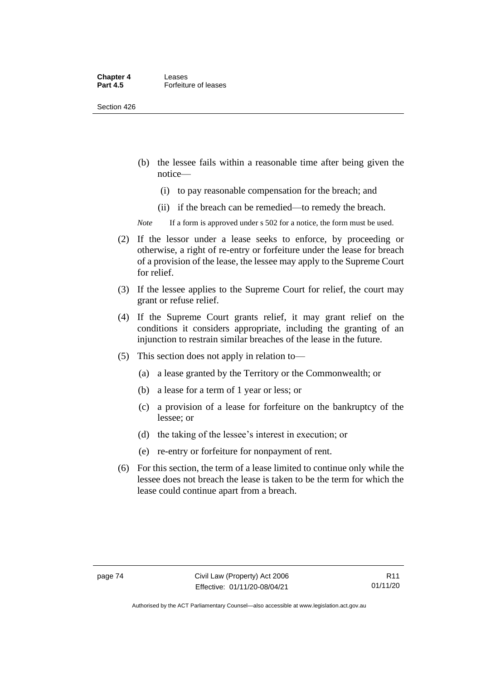#### **Chapter 4 Leases**<br>**Part 4.5 Forfeitu Forfeiture of leases**

Section 426

- (b) the lessee fails within a reasonable time after being given the notice—
	- (i) to pay reasonable compensation for the breach; and
	- (ii) if the breach can be remedied—to remedy the breach.

*Note* If a form is approved under s 502 for a notice, the form must be used.

- (2) If the lessor under a lease seeks to enforce, by proceeding or otherwise, a right of re-entry or forfeiture under the lease for breach of a provision of the lease, the lessee may apply to the Supreme Court for relief.
- (3) If the lessee applies to the Supreme Court for relief, the court may grant or refuse relief.
- (4) If the Supreme Court grants relief, it may grant relief on the conditions it considers appropriate, including the granting of an injunction to restrain similar breaches of the lease in the future.
- (5) This section does not apply in relation to—
	- (a) a lease granted by the Territory or the Commonwealth; or
	- (b) a lease for a term of 1 year or less; or
	- (c) a provision of a lease for forfeiture on the bankruptcy of the lessee; or
	- (d) the taking of the lessee's interest in execution; or
	- (e) re-entry or forfeiture for nonpayment of rent.
- (6) For this section, the term of a lease limited to continue only while the lessee does not breach the lease is taken to be the term for which the lease could continue apart from a breach.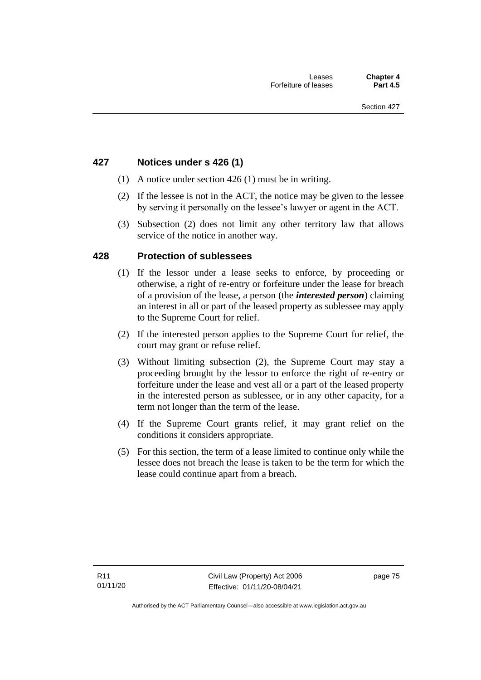### **427 Notices under s 426 (1)**

- (1) A notice under section 426 (1) must be in writing.
- (2) If the lessee is not in the ACT, the notice may be given to the lessee by serving it personally on the lessee's lawyer or agent in the ACT.
- (3) Subsection (2) does not limit any other territory law that allows service of the notice in another way.

#### **428 Protection of sublessees**

- (1) If the lessor under a lease seeks to enforce, by proceeding or otherwise, a right of re-entry or forfeiture under the lease for breach of a provision of the lease, a person (the *interested person*) claiming an interest in all or part of the leased property as sublessee may apply to the Supreme Court for relief.
- (2) If the interested person applies to the Supreme Court for relief, the court may grant or refuse relief.
- (3) Without limiting subsection (2), the Supreme Court may stay a proceeding brought by the lessor to enforce the right of re-entry or forfeiture under the lease and vest all or a part of the leased property in the interested person as sublessee, or in any other capacity, for a term not longer than the term of the lease.
- (4) If the Supreme Court grants relief, it may grant relief on the conditions it considers appropriate.
- (5) For this section, the term of a lease limited to continue only while the lessee does not breach the lease is taken to be the term for which the lease could continue apart from a breach.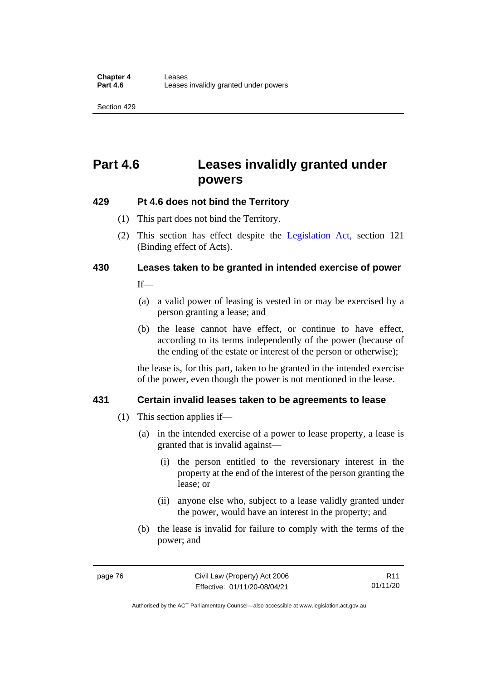## **Part 4.6 Leases invalidly granted under powers**

## **429 Pt 4.6 does not bind the Territory**

- (1) This part does not bind the Territory.
- (2) This section has effect despite the [Legislation Act](http://www.legislation.act.gov.au/a/2001-14)*,* section 121 (Binding effect of Acts).

# **430 Leases taken to be granted in intended exercise of power**

 $If$ <sub>—</sub>

- (a) a valid power of leasing is vested in or may be exercised by a person granting a lease; and
- (b) the lease cannot have effect, or continue to have effect, according to its terms independently of the power (because of the ending of the estate or interest of the person or otherwise);

the lease is, for this part, taken to be granted in the intended exercise of the power, even though the power is not mentioned in the lease.

## **431 Certain invalid leases taken to be agreements to lease**

- (1) This section applies if—
	- (a) in the intended exercise of a power to lease property, a lease is granted that is invalid against—
		- (i) the person entitled to the reversionary interest in the property at the end of the interest of the person granting the lease; or
		- (ii) anyone else who, subject to a lease validly granted under the power, would have an interest in the property; and
	- (b) the lease is invalid for failure to comply with the terms of the power; and

Authorised by the ACT Parliamentary Counsel—also accessible at www.legislation.act.gov.au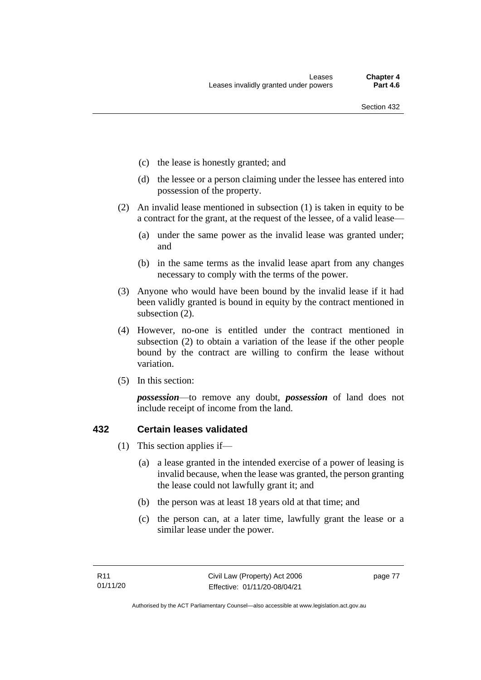- (c) the lease is honestly granted; and
- (d) the lessee or a person claiming under the lessee has entered into possession of the property.
- (2) An invalid lease mentioned in subsection (1) is taken in equity to be a contract for the grant, at the request of the lessee, of a valid lease—
	- (a) under the same power as the invalid lease was granted under; and
	- (b) in the same terms as the invalid lease apart from any changes necessary to comply with the terms of the power.
- (3) Anyone who would have been bound by the invalid lease if it had been validly granted is bound in equity by the contract mentioned in subsection (2).
- (4) However, no-one is entitled under the contract mentioned in subsection (2) to obtain a variation of the lease if the other people bound by the contract are willing to confirm the lease without variation.
- (5) In this section:

*possession*—to remove any doubt, *possession* of land does not include receipt of income from the land.

#### **432 Certain leases validated**

- (1) This section applies if—
	- (a) a lease granted in the intended exercise of a power of leasing is invalid because, when the lease was granted, the person granting the lease could not lawfully grant it; and
	- (b) the person was at least 18 years old at that time; and
	- (c) the person can, at a later time, lawfully grant the lease or a similar lease under the power.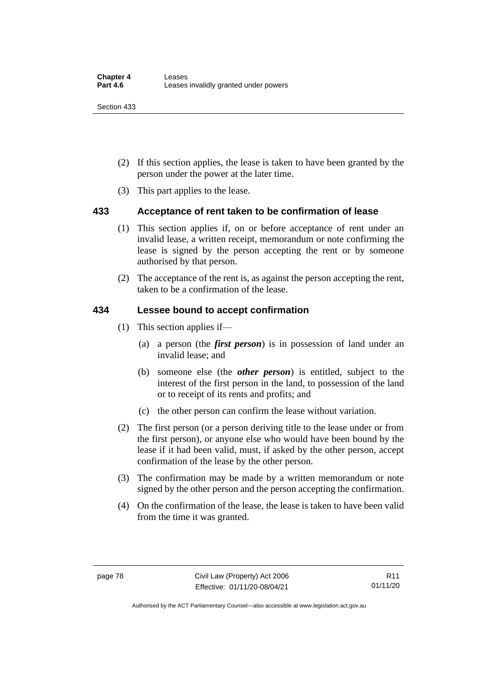- (2) If this section applies, the lease is taken to have been granted by the person under the power at the later time.
- (3) This part applies to the lease.

## **433 Acceptance of rent taken to be confirmation of lease**

- (1) This section applies if, on or before acceptance of rent under an invalid lease, a written receipt, memorandum or note confirming the lease is signed by the person accepting the rent or by someone authorised by that person.
- (2) The acceptance of the rent is, as against the person accepting the rent, taken to be a confirmation of the lease.

### **434 Lessee bound to accept confirmation**

- (1) This section applies if—
	- (a) a person (the *first person*) is in possession of land under an invalid lease; and
	- (b) someone else (the *other person*) is entitled, subject to the interest of the first person in the land, to possession of the land or to receipt of its rents and profits; and
	- (c) the other person can confirm the lease without variation.
- (2) The first person (or a person deriving title to the lease under or from the first person), or anyone else who would have been bound by the lease if it had been valid, must, if asked by the other person, accept confirmation of the lease by the other person.
- (3) The confirmation may be made by a written memorandum or note signed by the other person and the person accepting the confirmation.
- (4) On the confirmation of the lease, the lease is taken to have been valid from the time it was granted.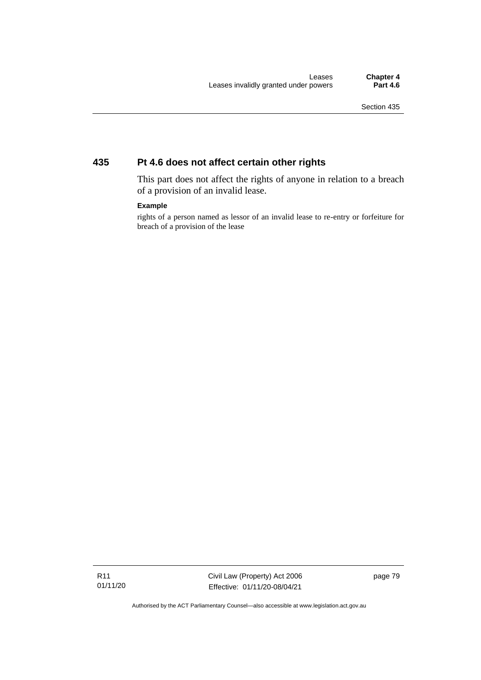## **435 Pt 4.6 does not affect certain other rights**

This part does not affect the rights of anyone in relation to a breach of a provision of an invalid lease.

#### **Example**

rights of a person named as lessor of an invalid lease to re-entry or forfeiture for breach of a provision of the lease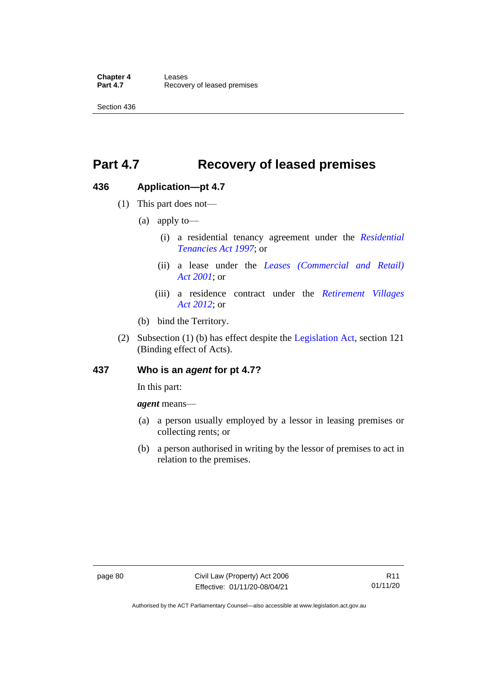## **Part 4.7 Recovery of leased premises**

### **436 Application—pt 4.7**

- (1) This part does not—
	- (a) apply to—
		- (i) a residential tenancy agreement under the *[Residential](http://www.legislation.act.gov.au/a/1997-84)  [Tenancies Act 1997](http://www.legislation.act.gov.au/a/1997-84)*; or
		- (ii) a lease under the *[Leases \(Commercial and Retail\)](http://www.legislation.act.gov.au/a/2001-18)  Act [2001](http://www.legislation.act.gov.au/a/2001-18)*; or
		- (iii) a residence contract under the *[Retirement Villages](http://www.legislation.act.gov.au/a/2012-38)  Act [2012](http://www.legislation.act.gov.au/a/2012-38)*; or
	- (b) bind the Territory.
- (2) Subsection (1) (b) has effect despite the [Legislation Act,](http://www.legislation.act.gov.au/a/2001-14) section 121 (Binding effect of Acts).

#### **437 Who is an** *agent* **for pt 4.7?**

In this part:

*agent* means—

- (a) a person usually employed by a lessor in leasing premises or collecting rents; or
- (b) a person authorised in writing by the lessor of premises to act in relation to the premises.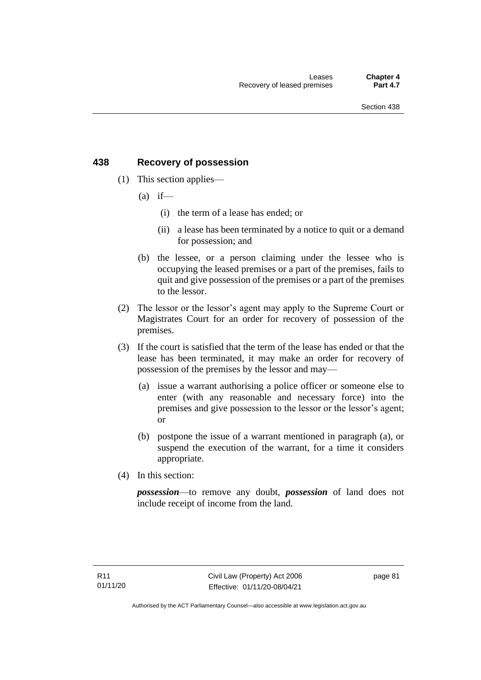## **438 Recovery of possession**

- (1) This section applies—
	- $(a)$  if—
		- (i) the term of a lease has ended; or
		- (ii) a lease has been terminated by a notice to quit or a demand for possession; and
	- (b) the lessee, or a person claiming under the lessee who is occupying the leased premises or a part of the premises, fails to quit and give possession of the premises or a part of the premises to the lessor.
- (2) The lessor or the lessor's agent may apply to the Supreme Court or Magistrates Court for an order for recovery of possession of the premises.
- (3) If the court is satisfied that the term of the lease has ended or that the lease has been terminated, it may make an order for recovery of possession of the premises by the lessor and may—
	- (a) issue a warrant authorising a police officer or someone else to enter (with any reasonable and necessary force) into the premises and give possession to the lessor or the lessor's agent; or
	- (b) postpone the issue of a warrant mentioned in paragraph (a), or suspend the execution of the warrant, for a time it considers appropriate.
- (4) In this section:

*possession*—to remove any doubt, *possession* of land does not include receipt of income from the land.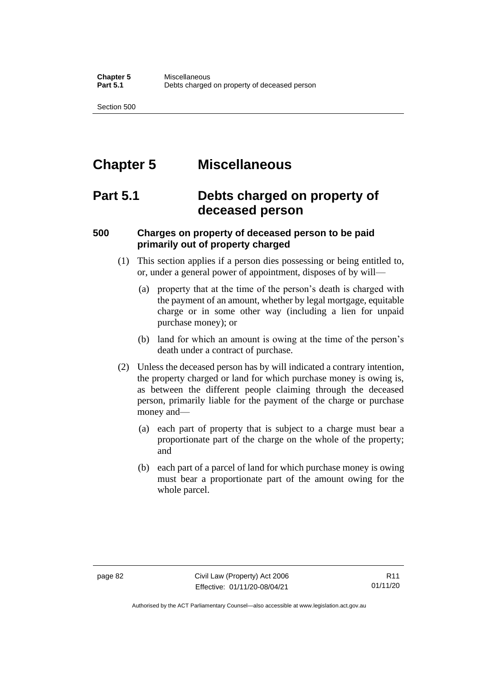## **Chapter 5 Miscellaneous**

## **Part 5.1 Debts charged on property of deceased person**

## **500 Charges on property of deceased person to be paid primarily out of property charged**

- (1) This section applies if a person dies possessing or being entitled to, or, under a general power of appointment, disposes of by will—
	- (a) property that at the time of the person's death is charged with the payment of an amount, whether by legal mortgage, equitable charge or in some other way (including a lien for unpaid purchase money); or
	- (b) land for which an amount is owing at the time of the person's death under a contract of purchase.
- (2) Unless the deceased person has by will indicated a contrary intention, the property charged or land for which purchase money is owing is, as between the different people claiming through the deceased person, primarily liable for the payment of the charge or purchase money and—
	- (a) each part of property that is subject to a charge must bear a proportionate part of the charge on the whole of the property; and
	- (b) each part of a parcel of land for which purchase money is owing must bear a proportionate part of the amount owing for the whole parcel.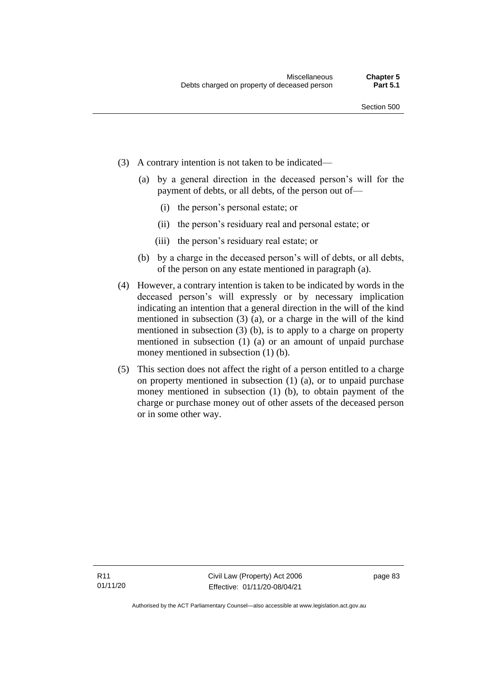- (3) A contrary intention is not taken to be indicated—
	- (a) by a general direction in the deceased person's will for the payment of debts, or all debts, of the person out of—
		- (i) the person's personal estate; or
		- (ii) the person's residuary real and personal estate; or
		- (iii) the person's residuary real estate; or
	- (b) by a charge in the deceased person's will of debts, or all debts, of the person on any estate mentioned in paragraph (a).
- (4) However, a contrary intention is taken to be indicated by words in the deceased person's will expressly or by necessary implication indicating an intention that a general direction in the will of the kind mentioned in subsection (3) (a), or a charge in the will of the kind mentioned in subsection (3) (b), is to apply to a charge on property mentioned in subsection (1) (a) or an amount of unpaid purchase money mentioned in subsection (1) (b).
- (5) This section does not affect the right of a person entitled to a charge on property mentioned in subsection (1) (a), or to unpaid purchase money mentioned in subsection (1) (b), to obtain payment of the charge or purchase money out of other assets of the deceased person or in some other way.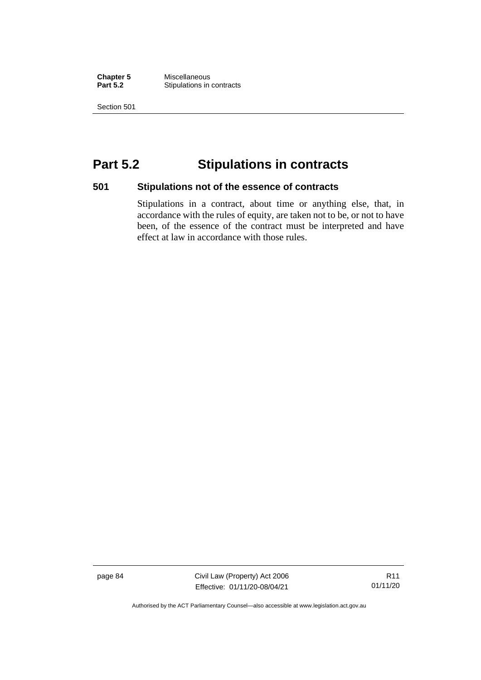**Chapter 5** Miscellaneous **Stipulations in contracts** 

Section 501

## **Part 5.2 Stipulations in contracts**

#### **501 Stipulations not of the essence of contracts**

Stipulations in a contract, about time or anything else, that, in accordance with the rules of equity, are taken not to be, or not to have been, of the essence of the contract must be interpreted and have effect at law in accordance with those rules.

page 84 Civil Law (Property) Act 2006 Effective: 01/11/20-08/04/21

R11 01/11/20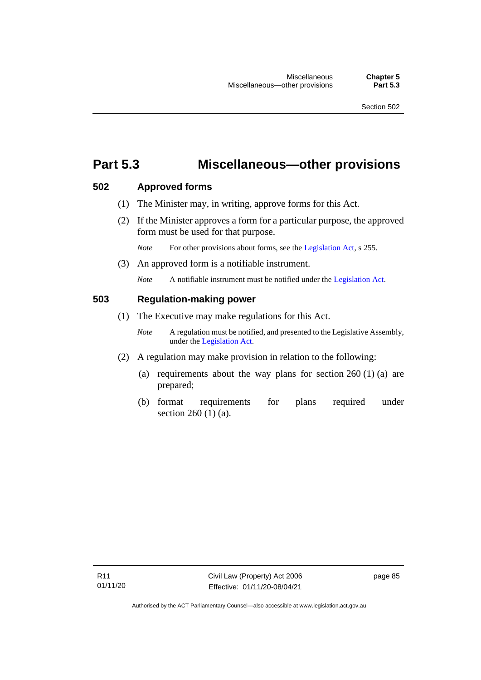## **Part 5.3 Miscellaneous—other provisions**

#### **502 Approved forms**

- (1) The Minister may, in writing, approve forms for this Act.
- (2) If the Minister approves a form for a particular purpose, the approved form must be used for that purpose.

*Note* For other provisions about forms, see the [Legislation Act,](http://www.legislation.act.gov.au/a/2001-14) s 255.

(3) An approved form is a notifiable instrument.

*Note* A notifiable instrument must be notified under the [Legislation Act.](http://www.legislation.act.gov.au/a/2001-14)

#### **503 Regulation-making power**

- (1) The Executive may make regulations for this Act.
	- *Note* A regulation must be notified, and presented to the Legislative Assembly, under the [Legislation Act.](http://www.legislation.act.gov.au/a/2001-14)
- (2) A regulation may make provision in relation to the following:
	- (a) requirements about the way plans for section  $260(1)(a)$  are prepared;
	- (b) format requirements for plans required under section 260 (1) (a).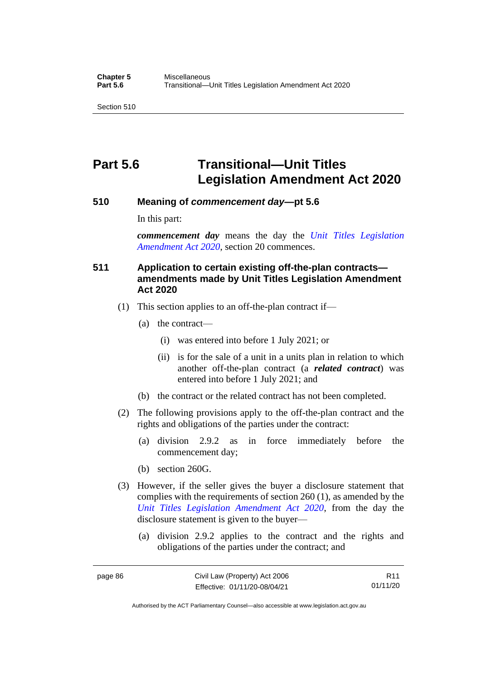## **Part 5.6 Transitional—Unit Titles Legislation Amendment Act 2020**

#### **510 Meaning of** *commencement day***—pt 5.6**

In this part:

*commencement day* means the day the *[Unit Titles Legislation](http://www.legislation.act.gov.au/a/2020-4/default.asp)  [Amendment Act 2020](http://www.legislation.act.gov.au/a/2020-4/default.asp)*, section 20 commences.

### **511 Application to certain existing off-the-plan contracts amendments made by Unit Titles Legislation Amendment Act 2020**

- (1) This section applies to an off-the-plan contract if—
	- (a) the contract—
		- (i) was entered into before 1 July 2021; or
		- (ii) is for the sale of a unit in a units plan in relation to which another off-the-plan contract (a *related contract*) was entered into before 1 July 2021; and
	- (b) the contract or the related contract has not been completed.
- (2) The following provisions apply to the off-the-plan contract and the rights and obligations of the parties under the contract:
	- (a) division 2.9.2 as in force immediately before the commencement day;
	- (b) section 260G.
- (3) However, if the seller gives the buyer a disclosure statement that complies with the requirements of section 260 (1), as amended by the *[Unit Titles Legislation Amendment Act 2020](http://www.legislation.act.gov.au/a/2020-4/default.asp)*, from the day the disclosure statement is given to the buyer—
	- (a) division 2.9.2 applies to the contract and the rights and obligations of the parties under the contract; and

R11 01/11/20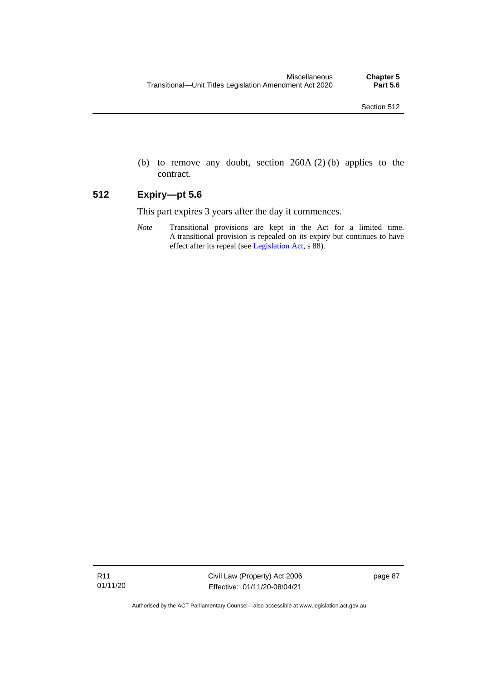(b) to remove any doubt, section 260A (2) (b) applies to the contract.

### **512 Expiry—pt 5.6**

This part expires 3 years after the day it commences.

*Note* Transitional provisions are kept in the Act for a limited time. A transitional provision is repealed on its expiry but continues to have effect after its repeal (se[e Legislation Act,](http://www.legislation.act.gov.au/a/2001-14) s 88).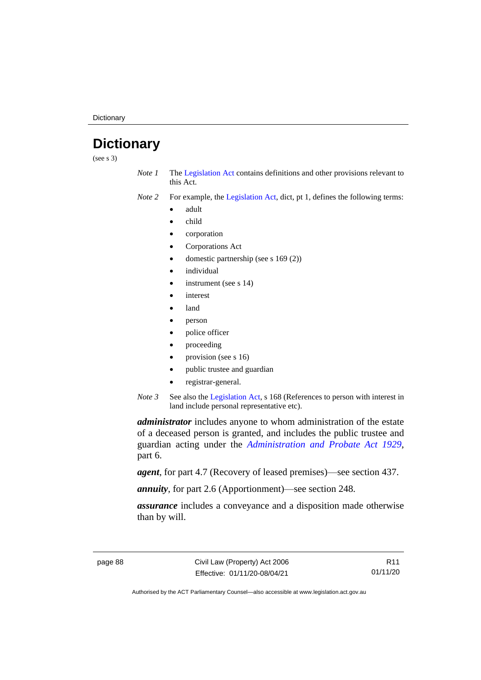**Dictionary** 

## **Dictionary**

(see s 3)

- *Note 1* The [Legislation Act](http://www.legislation.act.gov.au/a/2001-14) contains definitions and other provisions relevant to this Act.
- *Note 2* For example, the [Legislation Act,](http://www.legislation.act.gov.au/a/2001-14) dict, pt 1, defines the following terms:
	- adult
	- child
	- corporation
	- Corporations Act
	- domestic partnership (see s 169 (2))
	- *individual*
	- instrument (see s 14)
	- *interest*
	- land
	- person
	- police officer
	- proceeding
	- provision (see s 16)
	- public trustee and guardian
	- registrar-general.
- *Note 3* See also the [Legislation Act,](http://www.legislation.act.gov.au/a/2001-14) s 168 (References to person with interest in land include personal representative etc).

*administrator* includes anyone to whom administration of the estate of a deceased person is granted, and includes the public trustee and guardian acting under the *[Administration and Probate Act 1929](http://www.legislation.act.gov.au/a/1929-18)*, part 6.

*agent*, for part 4.7 (Recovery of leased premises)—see section 437.

*annuity*, for part 2.6 (Apportionment)—see section 248.

*assurance* includes a conveyance and a disposition made otherwise than by will.

R11 01/11/20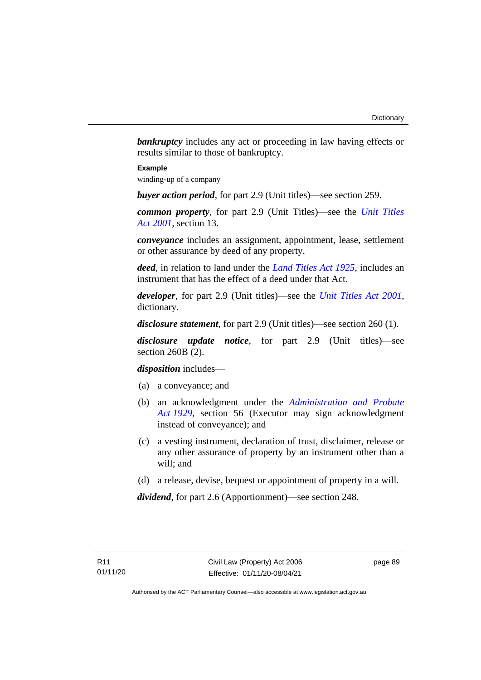**bankruptcy** includes any act or proceeding in law having effects or results similar to those of bankruptcy.

#### **Example**

winding-up of a company

*buyer action period*, for part 2.9 (Unit titles)—see section 259.

*common property*, for part 2.9 (Unit Titles)—see the *[Unit Titles](http://www.legislation.act.gov.au/a/2001-16)  Act [2001](http://www.legislation.act.gov.au/a/2001-16)*, section 13.

*conveyance* includes an assignment, appointment, lease, settlement or other assurance by deed of any property.

*deed*, in relation to land under the *[Land Titles Act 1925](http://www.legislation.act.gov.au/a/1925-1)*, includes an instrument that has the effect of a deed under that Act.

*developer*, for part 2.9 (Unit titles)—see the *[Unit Titles Act 2001](http://www.legislation.act.gov.au/a/2001-16)*, dictionary.

*disclosure statement*, for part 2.9 (Unit titles)—see section 260 (1).

*disclosure update notice*, for part 2.9 (Unit titles)—see section 260B (2).

*disposition* includes—

- (a) a conveyance; and
- (b) an acknowledgment under the *[Administration and Probate](http://www.legislation.act.gov.au/a/1929-18)  Act [1929](http://www.legislation.act.gov.au/a/1929-18)*, section 56 (Executor may sign acknowledgment instead of conveyance); and
- (c) a vesting instrument, declaration of trust, disclaimer, release or any other assurance of property by an instrument other than a will; and
- (d) a release, devise, bequest or appointment of property in a will.

*dividend*, for part 2.6 (Apportionment)—see section 248.

page 89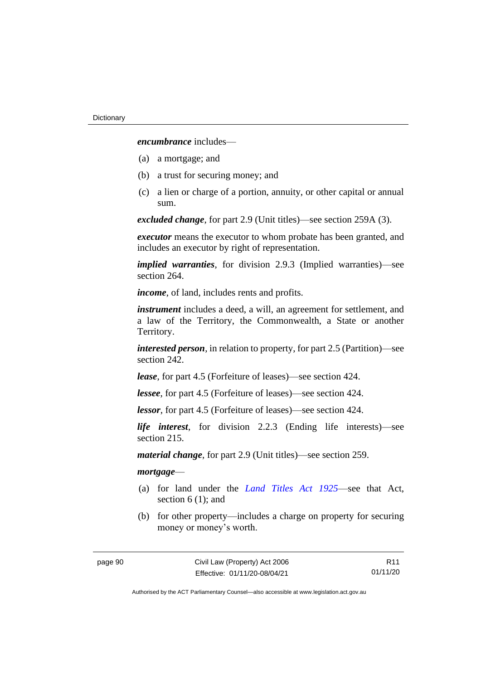*encumbrance* includes—

- (a) a mortgage; and
- (b) a trust for securing money; and
- (c) a lien or charge of a portion, annuity, or other capital or annual sum.

*excluded change*, for part 2.9 (Unit titles)—see section 259A (3).

*executor* means the executor to whom probate has been granted, and includes an executor by right of representation.

*implied warranties*, for division 2.9.3 (Implied warranties)—see section 264.

*income*, of land, includes rents and profits.

*instrument* includes a deed, a will, an agreement for settlement, and a law of the Territory, the Commonwealth, a State or another Territory.

*interested person*, in relation to property, for part 2.5 (Partition)—see section 242.

*lease*, for part 4.5 (Forfeiture of leases)—see section 424.

*lessee*, for part 4.5 (Forfeiture of leases)—see section 424.

*lessor*, for part 4.5 (Forfeiture of leases)—see section 424.

*life interest*, for division 2.2.3 (Ending life interests)—see section 215.

*material change*, for part 2.9 (Unit titles)—see section 259.

#### *mortgage*—

- (a) for land under the *[Land Titles Act 1925](http://www.legislation.act.gov.au/a/1925-1)*—see that Act, section 6 (1); and
- (b) for other property—includes a charge on property for securing money or money's worth.

R11 01/11/20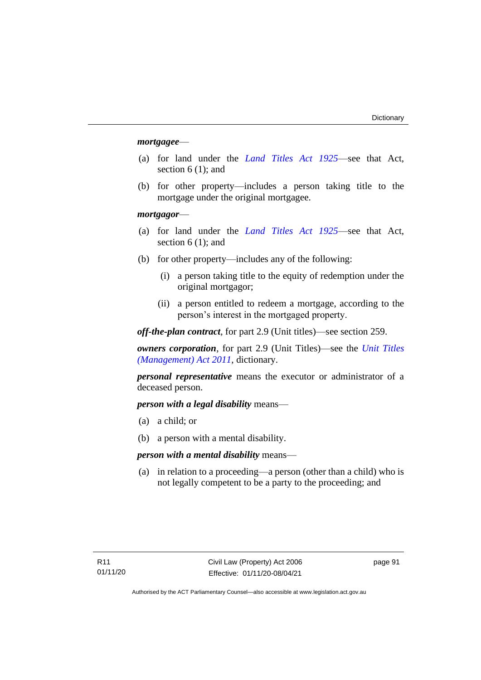#### *mortgagee*—

- (a) for land under the *[Land Titles Act 1925](http://www.legislation.act.gov.au/a/1925-1)*—see that Act, section 6 (1); and
- (b) for other property—includes a person taking title to the mortgage under the original mortgagee.

#### *mortgagor*—

- (a) for land under the *[Land Titles Act 1925](http://www.legislation.act.gov.au/a/1925-1)*—see that Act, section 6 (1); and
- (b) for other property—includes any of the following:
	- (i) a person taking title to the equity of redemption under the original mortgagor;
	- (ii) a person entitled to redeem a mortgage, according to the person's interest in the mortgaged property.

*off-the-plan contract*, for part 2.9 (Unit titles)—see section 259.

*owners corporation*, for part 2.9 (Unit Titles)—see the *[Unit Titles](http://www.legislation.act.gov.au/a/2011-41)  [\(Management\) Act](http://www.legislation.act.gov.au/a/2011-41) 2011*, dictionary.

*personal representative* means the executor or administrator of a deceased person.

*person with a legal disability* means—

- (a) a child; or
- (b) a person with a mental disability.

*person with a mental disability* means—

(a) in relation to a proceeding—a person (other than a child) who is not legally competent to be a party to the proceeding; and

page 91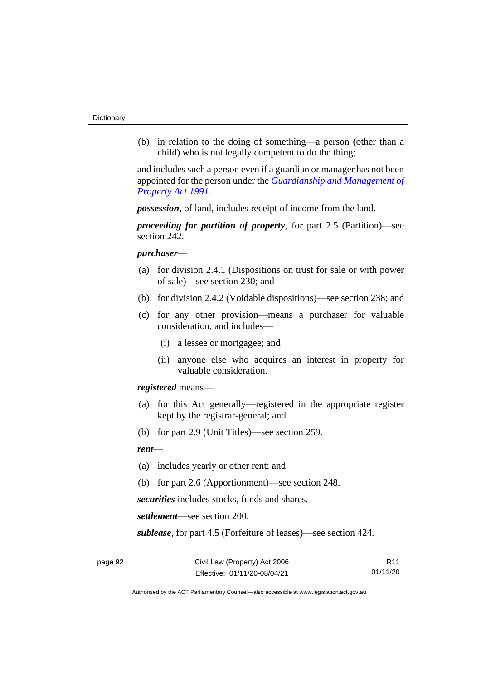(b) in relation to the doing of something—a person (other than a child) who is not legally competent to do the thing;

and includes such a person even if a guardian or manager has not been appointed for the person under the *[Guardianship and Management of](http://www.legislation.act.gov.au/a/1991-62)  [Property Act 1991](http://www.legislation.act.gov.au/a/1991-62)*.

*possession*, of land, includes receipt of income from the land.

*proceeding for partition of property*, for part 2.5 (Partition)—see section 242.

#### *purchaser*—

- (a) for division 2.4.1 (Dispositions on trust for sale or with power of sale)—see section 230; and
- (b) for division 2.4.2 (Voidable dispositions)—see section 238; and
- (c) for any other provision—means a purchaser for valuable consideration, and includes—
	- (i) a lessee or mortgagee; and
	- (ii) anyone else who acquires an interest in property for valuable consideration.

*registered* means—

- (a) for this Act generally—registered in the appropriate register kept by the registrar-general; and
- (b) for part 2.9 (Unit Titles)—see section 259.

#### *rent*—

- (a) includes yearly or other rent; and
- (b) for part 2.6 (Apportionment)—see section 248.

*securities* includes stocks, funds and shares.

*settlement*—see section 200.

*sublease*, for part 4.5 (Forfeiture of leases)—see section 424.

R11 01/11/20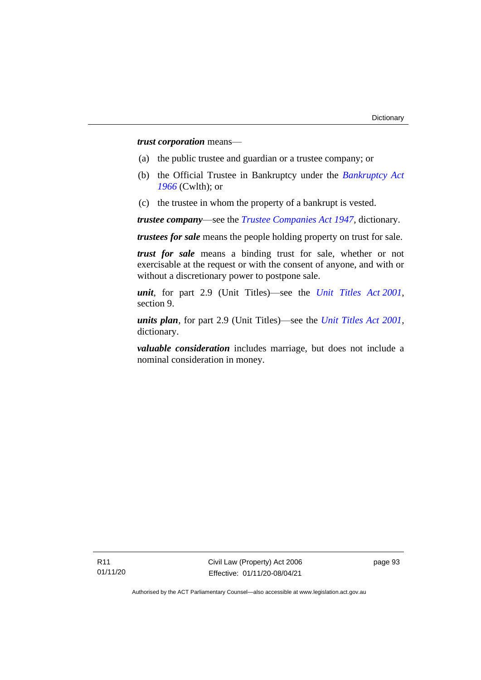*trust corporation* means—

- (a) the public trustee and guardian or a trustee company; or
- (b) the Official Trustee in Bankruptcy under the *[Bankruptcy Act](http://www.comlaw.gov.au/Series/C2004A07422)  [1966](http://www.comlaw.gov.au/Series/C2004A07422)* (Cwlth); or
- (c) the trustee in whom the property of a bankrupt is vested.

*trustee company*—see the *[Trustee Companies Act 1947](http://www.legislation.act.gov.au/a/1947-15)*, dictionary.

*trustees for sale* means the people holding property on trust for sale.

*trust for sale* means a binding trust for sale, whether or not exercisable at the request or with the consent of anyone, and with or without a discretionary power to postpone sale.

*unit*, for part 2.9 (Unit Titles)—see the *[Unit Titles Act](http://www.legislation.act.gov.au/a/2001-16) 2001*, section 9.

*units plan*, for part 2.9 (Unit Titles)—see the *[Unit Titles Act 2001](http://www.legislation.act.gov.au/a/2001-16)*, dictionary.

*valuable consideration* includes marriage, but does not include a nominal consideration in money.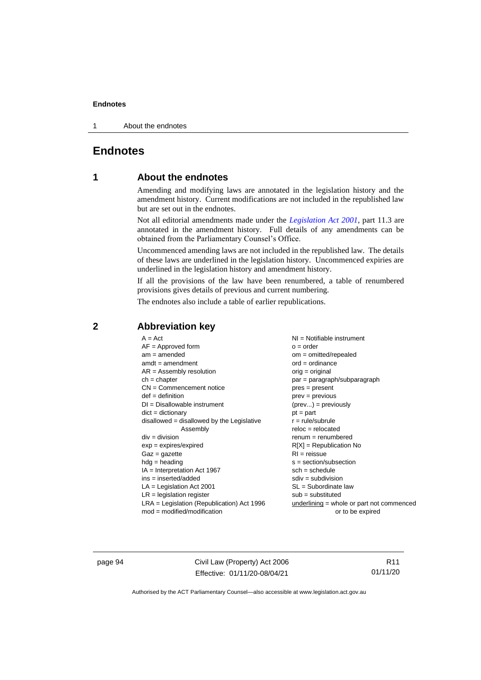1 About the endnotes

## **Endnotes**

#### **1 About the endnotes**

Amending and modifying laws are annotated in the legislation history and the amendment history. Current modifications are not included in the republished law but are set out in the endnotes.

Not all editorial amendments made under the *[Legislation Act 2001](http://www.legislation.act.gov.au/a/2001-14)*, part 11.3 are annotated in the amendment history. Full details of any amendments can be obtained from the Parliamentary Counsel's Office.

Uncommenced amending laws are not included in the republished law. The details of these laws are underlined in the legislation history. Uncommenced expiries are underlined in the legislation history and amendment history.

If all the provisions of the law have been renumbered, a table of renumbered provisions gives details of previous and current numbering.

The endnotes also include a table of earlier republications.

| $A = Act$                                    | $NI =$ Notifiable instrument                |
|----------------------------------------------|---------------------------------------------|
|                                              |                                             |
| $AF =$ Approved form                         | $o = order$                                 |
| $am = amended$                               | $om = omitted/repealed$                     |
| $amdt = amendment$                           | $ord = ordinance$                           |
| $AR = Assembly resolution$                   | $orig = original$                           |
| $ch = chapter$                               | par = paragraph/subparagraph                |
| $CN =$ Commencement notice                   | $pres = present$                            |
| $def = definition$                           | $prev = previous$                           |
| $DI = Disallowable instrument$               | $(\text{prev}) = \text{previously}$         |
| $dict = dictionary$                          | $pt = part$                                 |
| $disallowed = disallowed by the Legislative$ | $r = rule/subrule$                          |
| Assembly                                     | $reloc = relocated$                         |
| $div = division$                             | $renum = renumbered$                        |
| $exp = expires/expired$                      | $R[X]$ = Republication No                   |
| $Gaz = gazette$                              | $RI = reissue$                              |
| $h dq =$ heading                             | $s = section/subsection$                    |
| $IA = Interpretation Act 1967$               | $sch = schedule$                            |
| ins = inserted/added                         | $sdiv = subdivision$                        |
| $LA =$ Legislation Act 2001                  | $SL = Subordinate$ law                      |
| $LR =$ legislation register                  | $sub =$ substituted                         |
| $LRA =$ Legislation (Republication) Act 1996 | $underlining = whole or part not commenced$ |
| $mod = modified/modification$                | or to be expired                            |
|                                              |                                             |

#### **2 Abbreviation key**

page 94 Civil Law (Property) Act 2006 Effective: 01/11/20-08/04/21

R11 01/11/20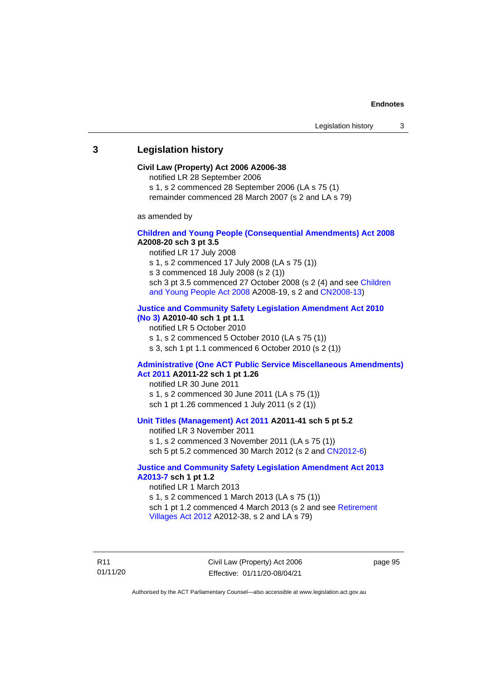#### **3 Legislation history**

#### **Civil Law (Property) Act 2006 A2006-38**

notified LR 28 September 2006

s 1, s 2 commenced 28 September 2006 (LA s 75 (1)

remainder commenced 28 March 2007 (s 2 and LA s 79)

as amended by

#### **[Children and Young People \(Consequential Amendments\) Act 2008](http://www.legislation.act.gov.au/a/2008-20) A2008-20 sch 3 pt 3.5**

notified LR 17 July 2008

s 1, s 2 commenced 17 July 2008 (LA s 75 (1))

s 3 commenced 18 July 2008 (s 2 (1))

sch 3 pt 3.5 commenced 27 October 2008 (s 2 (4) and see [Children](http://www.legislation.act.gov.au/a/2008-19)  [and Young People Act 2008](http://www.legislation.act.gov.au/a/2008-19) A2008-19, s 2 and [CN2008-13\)](http://www.legislation.act.gov.au/cn/2008-13/default.asp)

#### **[Justice and Community Safety Legislation Amendment Act 2010](http://www.legislation.act.gov.au/a/2010-40)**

**[\(No](http://www.legislation.act.gov.au/a/2010-40) 3) A2010-40 sch 1 pt 1.1**

notified LR 5 October 2010

s 1, s 2 commenced 5 October 2010 (LA s 75 (1))

s 3, sch 1 pt 1.1 commenced 6 October 2010 (s 2 (1))

#### **[Administrative \(One ACT Public Service Miscellaneous Amendments\)](http://www.legislation.act.gov.au/a/2011-22)  Act [2011](http://www.legislation.act.gov.au/a/2011-22) A2011-22 sch 1 pt 1.26**

notified LR 30 June 2011 s 1, s 2 commenced 30 June 2011 (LA s 75 (1)) sch 1 pt 1.26 commenced 1 July 2011 (s 2 (1))

#### **[Unit Titles \(Management\) Act 2011](http://www.legislation.act.gov.au/a/2011-41) A2011-41 sch 5 pt 5.2**

notified LR 3 November 2011 s 1, s 2 commenced 3 November 2011 (LA s 75 (1)) sch 5 pt 5.2 commenced 30 March 2012 (s 2 and [CN2012-6\)](http://www.legislation.act.gov.au/cn/2012-6/default.asp)

#### **[Justice and Community Safety Legislation Amendment Act 2013](http://www.legislation.act.gov.au/a/2013-7/default.asp)  [A2013-7](http://www.legislation.act.gov.au/a/2013-7/default.asp) sch 1 pt 1.2**

notified LR 1 March 2013 s 1, s 2 commenced 1 March 2013 (LA s 75 (1)) sch 1 pt 1.2 commenced 4 March 2013 (s 2 and see Retirement [Villages Act 2012](http://www.legislation.act.gov.au/a/2012-38) A2012-38, s 2 and LA s 79)

R11 01/11/20 Civil Law (Property) Act 2006 Effective: 01/11/20-08/04/21

page 95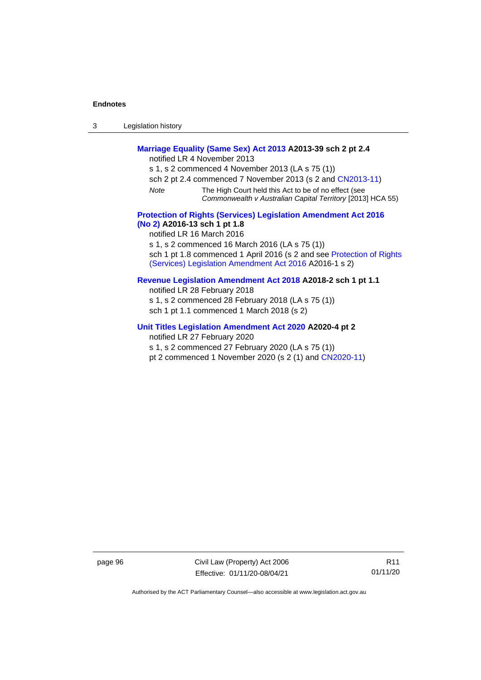| -3 | Legislation history |
|----|---------------------|
|----|---------------------|

#### **[Marriage Equality \(Same Sex\) Act 2013](http://www.legislation.act.gov.au/a/2013-39) A2013-39 sch 2 pt 2.4**

notified LR 4 November 2013

s 1, s 2 commenced 4 November 2013 (LA s 75 (1))

- sch 2 pt 2.4 commenced 7 November 2013 (s 2 and [CN2013-11\)](http://www.legislation.act.gov.au/cn/2013-11)
- *Note* The High Court held this Act to be of no effect (see *Commonwealth v Australian Capital Territory* [2013] HCA 55)

#### **[Protection of Rights \(Services\) Legislation Amendment Act 2016](http://www.legislation.act.gov.au/a/2016-13)  [\(No](http://www.legislation.act.gov.au/a/2016-13) 2) A2016-13 sch 1 pt 1.8**

notified LR 16 March 2016

s 1, s 2 commenced 16 March 2016 (LA s 75 (1))

sch 1 pt 1.8 commenced 1 April 2016 (s 2 and see [Protection of Rights](http://www.legislation.act.gov.au/a/2016-1/default.asp)  [\(Services\) Legislation Amendment Act 2016](http://www.legislation.act.gov.au/a/2016-1/default.asp) A2016-1 s 2)

#### **[Revenue Legislation Amendment Act 2018](http://www.legislation.act.gov.au/a/2018-2/default.asp) A2018-2 sch 1 pt 1.1**

notified LR 28 February 2018 s 1, s 2 commenced 28 February 2018 (LA s 75 (1)) sch 1 pt 1.1 commenced 1 March 2018 (s 2)

#### **[Unit Titles Legislation Amendment Act 2020](http://www.legislation.act.gov.au/a/2020-4/default.asp) A2020-4 pt 2**

notified LR 27 February 2020

s 1, s 2 commenced 27 February 2020 (LA s 75 (1))

pt 2 commenced 1 November 2020 (s 2 (1) and [CN2020-11\)](http://www.legislation.act.gov.au/cn/2020-11/default.asp)

page 96 Civil Law (Property) Act 2006 Effective: 01/11/20-08/04/21

R11 01/11/20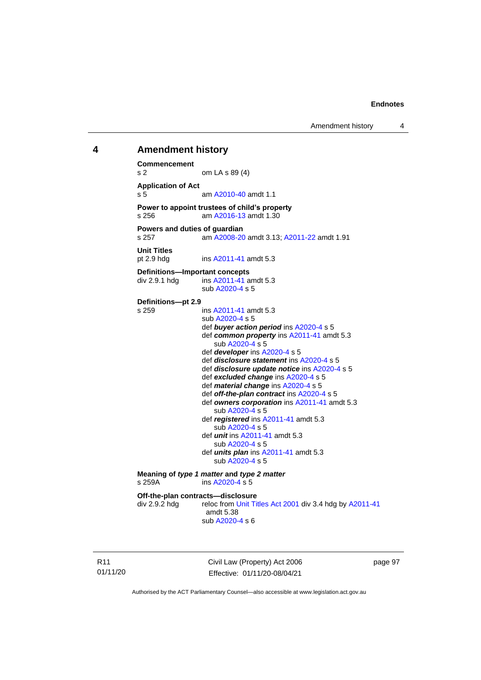#### **4 Amendment history**

**Commencement** s 2 om LA s 89 (4) **Application of Act** s 5 am [A2010-40](http://www.legislation.act.gov.au/a/2010-40) amdt 1.1 **Power to appoint trustees of child's property**<br>s 256 am A2016-13 amdt 1.30 am [A2016-13](http://www.legislation.act.gov.au/a/2016-13) amdt 1.30 **Powers and duties of guardian** s 257 am [A2008-20](http://www.legislation.act.gov.au/a/2008-20) amdt 3.13[; A2011-22](http://www.legislation.act.gov.au/a/2011-22) amdt 1.91 **Unit Titles** pt 2.9 hdg ins [A2011-41](http://www.legislation.act.gov.au/a/2011-41) amdt 5.3 **Definitions—Important concepts** div 2.9.1 hdg ins [A2011-41](http://www.legislation.act.gov.au/a/2011-41) amdt 5.3 sub [A2020-4](http://www.legislation.act.gov.au/a/2020-4/) s 5 **Definitions—pt 2.9** s 259 ins [A2011-41](http://www.legislation.act.gov.au/a/2011-41) amdt 5.3 sub [A2020-4](http://www.legislation.act.gov.au/a/2020-4/) s 5 def *buyer action period* ins [A2020-4](http://www.legislation.act.gov.au/a/2020-4/) s 5 def *common property* ins [A2011-41](http://www.legislation.act.gov.au/a/2011-41) amdt 5.3 sub [A2020-4](http://www.legislation.act.gov.au/a/2020-4/) s 5 def *developer* ins [A2020-4](http://www.legislation.act.gov.au/a/2020-4/) s 5 def *disclosure statement* in[s A2020-4](http://www.legislation.act.gov.au/a/2020-4/) s 5 def *disclosure update notice* in[s A2020-4](http://www.legislation.act.gov.au/a/2020-4/) s 5 def *excluded change* in[s A2020-4](http://www.legislation.act.gov.au/a/2020-4/) s 5 def *material change* ins [A2020-4](http://www.legislation.act.gov.au/a/2020-4/) s 5 def *off-the-plan contract* ins [A2020-4](http://www.legislation.act.gov.au/a/2020-4/) s 5 def *owners corporation* in[s A2011-41](http://www.legislation.act.gov.au/a/2011-41) amdt 5.3 sub [A2020-4](http://www.legislation.act.gov.au/a/2020-4/) s 5 def *registered* ins [A2011-41](http://www.legislation.act.gov.au/a/2011-41) amdt 5.3 sub [A2020-4](http://www.legislation.act.gov.au/a/2020-4/) s 5 def *unit* ins [A2011-41](http://www.legislation.act.gov.au/a/2011-41) amdt 5.3 sub [A2020-4](http://www.legislation.act.gov.au/a/2020-4/) s 5 def *units plan* ins [A2011-41](http://www.legislation.act.gov.au/a/2011-41) amdt 5.3 sub [A2020-4](http://www.legislation.act.gov.au/a/2020-4/) s 5 **Meaning of** *type 1 matter* **and** *type 2 matter* s 259A ins [A2020-4](http://www.legislation.act.gov.au/a/2020-4/) s 5 **Off-the-plan contracts—disclosure** div 2.9.2 hdg reloc fro[m Unit Titles Act 2001](http://www.legislation.act.gov.au/a/2001-16) div 3.4 hdg b[y A2011-41](http://www.legislation.act.gov.au/a/2011-41) amdt 5.38 sub [A2020-4](http://www.legislation.act.gov.au/a/2020-4/) s 6

R11 01/11/20 Civil Law (Property) Act 2006 Effective: 01/11/20-08/04/21

page 97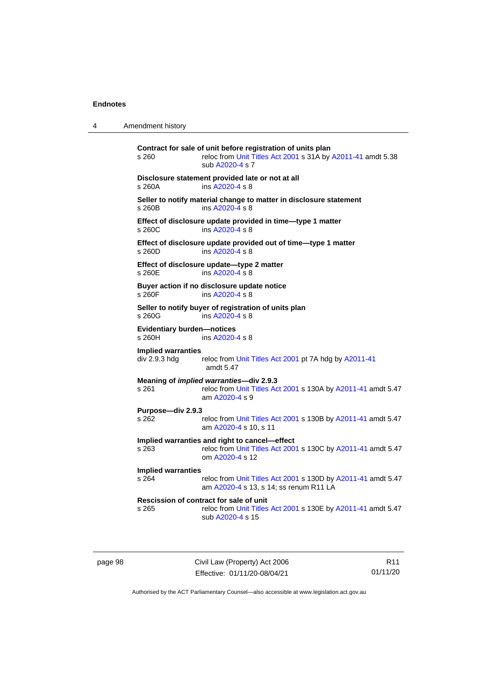| 4 | Amendment history |  |
|---|-------------------|--|
|   |                   |  |

| s 260                                                                                                                                       | Contract for sale of unit before registration of units plan<br>reloc from Unit Titles Act 2001 s 31A by A2011-41 amdt 5.38<br>sub A2020-4 s 7 |  |
|---------------------------------------------------------------------------------------------------------------------------------------------|-----------------------------------------------------------------------------------------------------------------------------------------------|--|
| s 260A                                                                                                                                      | Disclosure statement provided late or not at all<br>ins A2020-4 s 8                                                                           |  |
| Seller to notify material change to matter in disclosure statement<br>s 260B<br>ins A2020-4 s 8                                             |                                                                                                                                               |  |
| s 260C                                                                                                                                      | Effect of disclosure update provided in time-type 1 matter<br>ins A2020-4 s 8                                                                 |  |
| s 260D                                                                                                                                      | Effect of disclosure update provided out of time-type 1 matter<br>ins A2020-4 s 8                                                             |  |
| s 260E                                                                                                                                      | Effect of disclosure update-type 2 matter<br>ins A2020-4 s 8                                                                                  |  |
| s 260F                                                                                                                                      | Buyer action if no disclosure update notice<br>ins A2020-4 s 8                                                                                |  |
| s 260G                                                                                                                                      | Seller to notify buyer of registration of units plan<br>ins A2020-4 s 8                                                                       |  |
| <b>Evidentiary burden-notices</b><br>ins A2020-4 s 8<br>s 260H                                                                              |                                                                                                                                               |  |
| <b>Implied warranties</b><br>div 2.9.3 hdg                                                                                                  | reloc from Unit Titles Act 2001 pt 7A hdg by A2011-41<br>amdt 5.47                                                                            |  |
| s 261                                                                                                                                       | Meaning of <i>implied warranties</i> -div 2.9.3<br>reloc from Unit Titles Act 2001 s 130A by A2011-41 amdt 5.47<br>am A2020-4 s 9             |  |
| Purpose-div 2.9.3<br>s 262                                                                                                                  | reloc from Unit Titles Act 2001 s 130B by A2011-41 amdt 5.47<br>am A2020-4 s 10, s 11                                                         |  |
| Implied warranties and right to cancel-effect<br>reloc from Unit Titles Act 2001 s 130C by A2011-41 amdt 5.47<br>$s$ 263<br>om A2020-4 s 12 |                                                                                                                                               |  |
| <b>Implied warranties</b><br>s 264                                                                                                          | reloc from Unit Titles Act 2001 s 130D by A2011-41 amdt 5.47<br>am A2020-4 s 13, s 14; ss renum R11 LA                                        |  |
| s 265                                                                                                                                       | Rescission of contract for sale of unit<br>reloc from Unit Titles Act 2001 s 130E by A2011-41 amdt 5.47<br>sub A2020-4 s 15                   |  |

page 98 Civil Law (Property) Act 2006 Effective: 01/11/20-08/04/21

R11 01/11/20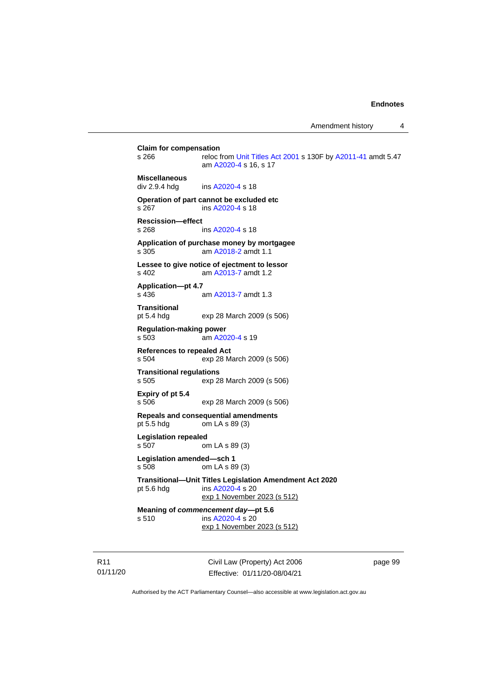**Claim for compensation**<br>s 266 reloc f reloc from [Unit Titles Act 2001](http://www.legislation.act.gov.au/a/2001-16) s 130F by [A2011-41](http://www.legislation.act.gov.au/a/2011-41) amdt 5.47 am [A2020-4](http://www.legislation.act.gov.au/a/2020-4/) s 16, s 17 **Miscellaneous** div 2.9.4 hdg ins [A2020-4](http://www.legislation.act.gov.au/a/2020-4/) s 18 **Operation of part cannot be excluded etc** s 267 ins [A2020-4](http://www.legislation.act.gov.au/a/2020-4/) s 18 **Rescission—effect** s 268 ins [A2020-4](http://www.legislation.act.gov.au/a/2020-4/) s 18 **Application of purchase money by mortgagee** s 305 am [A2018-2](http://www.legislation.act.gov.au/a/2018-2/default.asp) amdt 1.1 **Lessee to give notice of ejectment to lessor** s 402 am [A2013-7](http://www.legislation.act.gov.au/a/2013-7/default.asp) amdt 1.2 **Application—pt 4.7** s 436 am [A2013-7](http://www.legislation.act.gov.au/a/2013-7/default.asp) amdt 1.3 **Transitional** pt 5.4 hdg exp 28 March 2009 (s 506) **Regulation-making power** s 503 am [A2020-4](http://www.legislation.act.gov.au/a/2020-4/) s 19 **References to repealed Act**<br>s 504 exp 28 M exp 28 March 2009 (s 506) **Transitional regulations** s 505 exp 28 March 2009 (s 506) **Expiry of pt 5.4** s 506 exp 28 March 2009 (s 506) **Repeals and consequential amendments** pt 5.5 hdg om LA s 89 (3) **Legislation repealed** s 507 om LA s 89 (3) **Legislation amended—sch 1** s 508 om LA s 89 (3) **Transitional—Unit Titles Legislation Amendment Act 2020** pt 5.6 hdg ins [A2020-4](http://www.legislation.act.gov.au/a/2020-4/) s 20 exp 1 November 2023 (s 512) **Meaning of** *commencement day***—pt 5.6** s 510 ins [A2020-4](http://www.legislation.act.gov.au/a/2020-4/) s 20 exp 1 November 2023 (s 512)

R11 01/11/20 Civil Law (Property) Act 2006 Effective: 01/11/20-08/04/21

page 99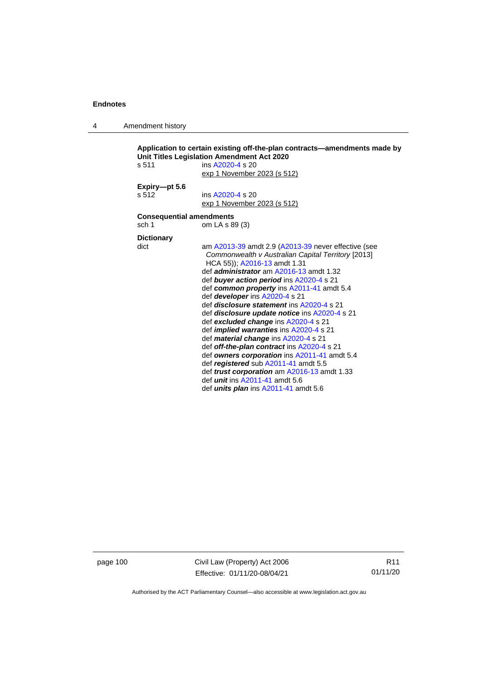4 Amendment history

```
Application to certain existing off-the-plan contracts—amendments made by 
Unit Titles Legislation Amendment Act 2020
s 511 ins A2020-4 s 20
                  exp 1 November 2023 (s 512)
Expiry—pt 5.6
s 512 ins A2020-4 s 20
                  exp 1 November 2023 (s 512)
Consequential amendments
sch 1 om LA s 89 (3)
Dictionary
dict am A2013-39 amdt 2.9 (A2013-39 never effective (see 
                   Commonwealth v Australian Capital Territory [2013] 
                   HCA 55)); A2016-13 amdt 1.31
                  def administrator am A2016-13 amdt 1.32
                  def buyer action period ins A2020-4 s 21
                  def common property ins A2011-41 amdt 5.4
                  def developer ins A2020-4 s 21
                  def disclosure statement ins A2020-4 s 21
                  def disclosure update notice ins A2020-4 s 21
                  def excluded change ins A2020-4 s 21
                  def implied warranties ins A2020-4 s 21
                  def material change ins A2020-4 s 21
                  def off-the-plan contract ins A2020-4 s 21
                  def owners corporation ins A2011-41 amdt 5.4
                  def registered sub A2011-41 amdt 5.5
                  def trust corporation am A2016-13 amdt 1.33
                  def unit ins A2011-41 amdt 5.6
                  def units plan ins A2011-41 amdt 5.6
```
page 100 Civil Law (Property) Act 2006 Effective: 01/11/20-08/04/21

R11 01/11/20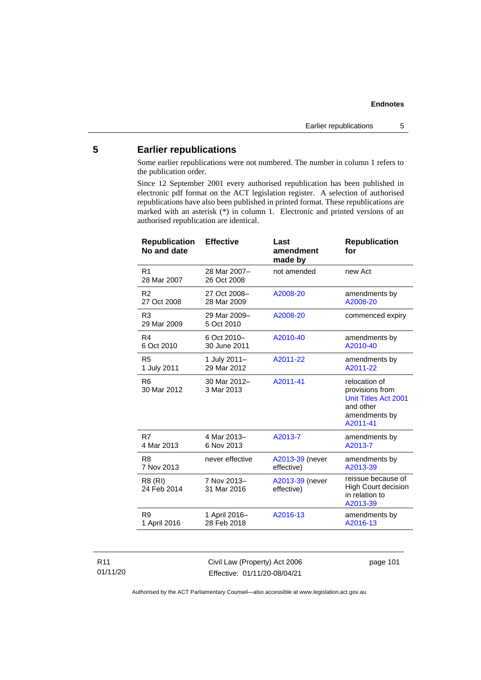## **5 Earlier republications**

Some earlier republications were not numbered. The number in column 1 refers to the publication order.

Since 12 September 2001 every authorised republication has been published in electronic pdf format on the ACT legislation register. A selection of authorised republications have also been published in printed format. These republications are marked with an asterisk (\*) in column 1. Electronic and printed versions of an authorised republication are identical.

| <b>Republication</b><br>No and date | <b>Effective</b>            | Last<br>amendment<br>made by  | <b>Republication</b><br>for                                                                        |
|-------------------------------------|-----------------------------|-------------------------------|----------------------------------------------------------------------------------------------------|
| R <sub>1</sub><br>28 Mar 2007       | 28 Mar 2007-<br>26 Oct 2008 | not amended                   | new Act                                                                                            |
| R <sub>2</sub>                      | 27 Oct 2008-                | A2008-20                      | amendments by                                                                                      |
| 27 Oct 2008                         | 28 Mar 2009                 |                               | A2008-20                                                                                           |
| R <sub>3</sub><br>29 Mar 2009       | 29 Mar 2009-<br>5 Oct 2010  | A2008-20                      | commenced expiry                                                                                   |
| R4                                  | 6 Oct 2010-                 | A2010-40                      | amendments by                                                                                      |
| 6 Oct 2010                          | 30 June 2011                |                               | A2010-40                                                                                           |
| R <sub>5</sub>                      | 1 July 2011-                | A2011-22                      | amendments by                                                                                      |
| 1 July 2011                         | 29 Mar 2012                 |                               | A2011-22                                                                                           |
| R <sub>6</sub><br>30 Mar 2012       | 30 Mar 2012-<br>3 Mar 2013  | A2011-41                      | relocation of<br>provisions from<br>Unit Titles Act 2001<br>and other<br>amendments by<br>A2011-41 |
| R7                                  | 4 Mar 2013-                 | A2013-7                       | amendments by                                                                                      |
| 4 Mar 2013                          | 6 Nov 2013                  |                               | A2013-7                                                                                            |
| R <sub>8</sub>                      | never effective             | A2013-39 (never               | amendments by                                                                                      |
| 7 Nov 2013                          |                             | effective)                    | A2013-39                                                                                           |
| R8 (RI)<br>24 Feb 2014              | 7 Nov 2013-<br>31 Mar 2016  | A2013-39 (never<br>effective) | reissue because of<br><b>High Court decision</b><br>in relation to<br>A2013-39                     |
| R9                                  | 1 April 2016-               | A2016-13                      | amendments by                                                                                      |
| 1 April 2016                        | 28 Feb 2018                 |                               | A2016-13                                                                                           |
|                                     |                             |                               |                                                                                                    |

### R11 01/11/20

Civil Law (Property) Act 2006 Effective: 01/11/20-08/04/21

page 101